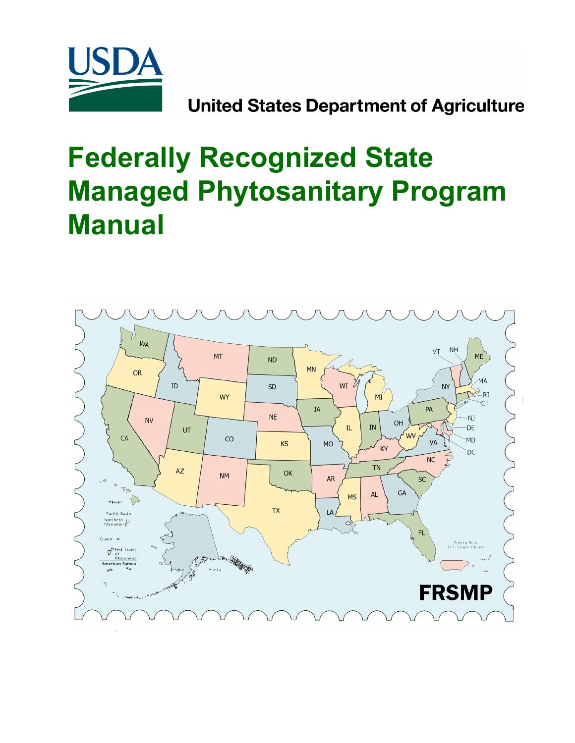

## **United States Department of Agriculture**

# **Federally Recognized State Managed Phytosanitary Program Manual**

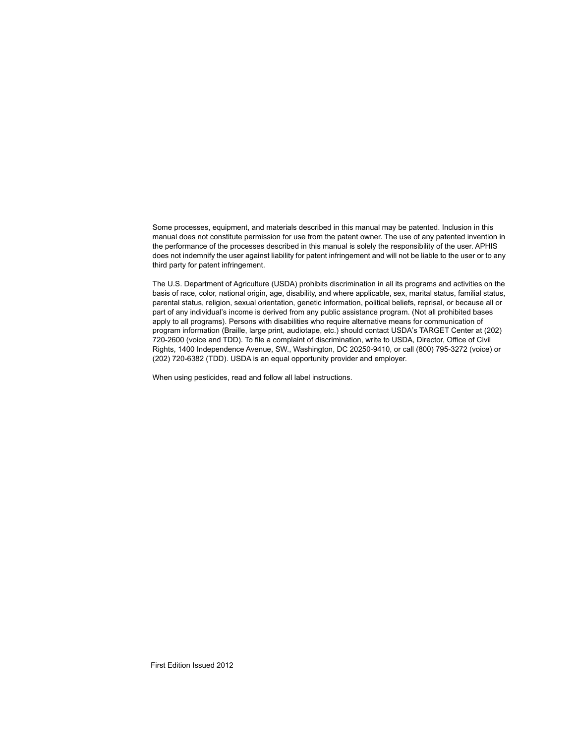Some processes, equipment, and materials described in this manual may be patented. Inclusion in this manual does not constitute permission for use from the patent owner. The use of any patented invention in the performance of the processes described in this manual is solely the responsibility of the user. APHIS does not indemnify the user against liability for patent infringement and will not be liable to the user or to any third party for patent infringement.

The U.S. Department of Agriculture (USDA) prohibits discrimination in all its programs and activities on the basis of race, color, national origin, age, disability, and where applicable, sex, marital status, familial status, parental status, religion, sexual orientation, genetic information, political beliefs, reprisal, or because all or part of any individual's income is derived from any public assistance program. (Not all prohibited bases apply to all programs). Persons with disabilities who require alternative means for communication of program information (Braille, large print, audiotape, etc.) should contact USDA's TARGET Center at (202) 720-2600 (voice and TDD). To file a complaint of discrimination, write to USDA, Director, Office of Civil Rights, 1400 Independence Avenue, SW., Washington, DC 20250-9410, or call (800) 795-3272 (voice) or (202) 720-6382 (TDD). USDA is an equal opportunity provider and employer.

When using pesticides, read and follow all label instructions.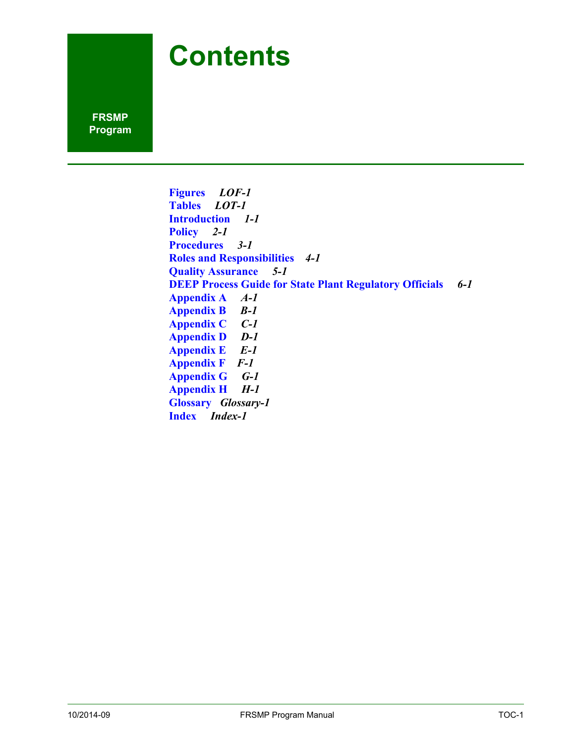## **Contents**

**FRSMP Program** 

> **[Figures](#page-4-0)** *LOF-1* **[Tables](#page-6-0)** *LOT-1* **[Introduction](#page-8-0)** *1-1* **[Policy](#page-12-0)** *2-1* **[Procedures](#page-20-0)** *3-1* **[Roles and Responsibilities](#page-26-0)** *4-1* **[Quality Assurance](#page-32-0)** *5-1* **[DEEP Process Guide for State Plant Regulatory Officials](#page-34-0)** *6-1* **[Appendix A](#page-38-0)** *A-1* **[Appendix B](#page-56-0)** *B-1* **[Appendix C](#page-58-0)** *C-1* **[Appendix D](#page-64-0)** *D-1* **[Appendix E](#page-70-0)** *E-1* **[Appendix F](#page-80-0)** *F-1* **[Appendix G](#page-82-0)** *G-1* **[Appendix H](#page-90-0)** *H-1* **[Glossary](#page-92-0)** *Glossary-1* **[Index](#page-96-0)** *Index-1*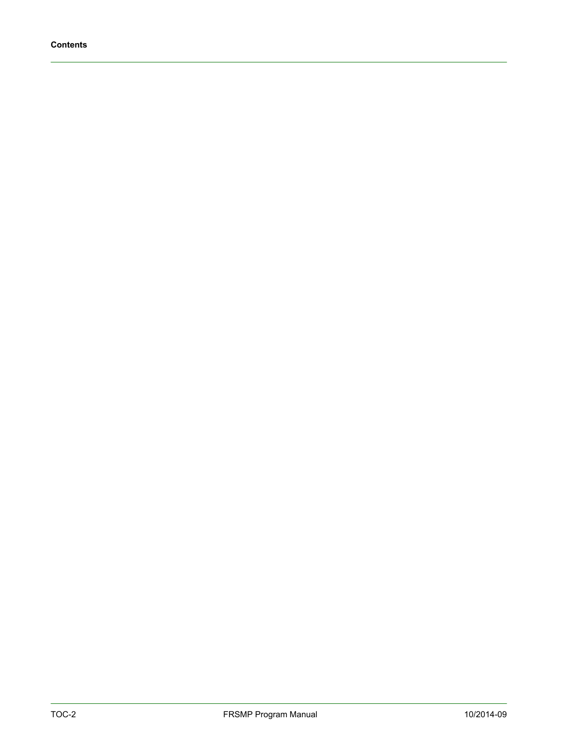**Contents**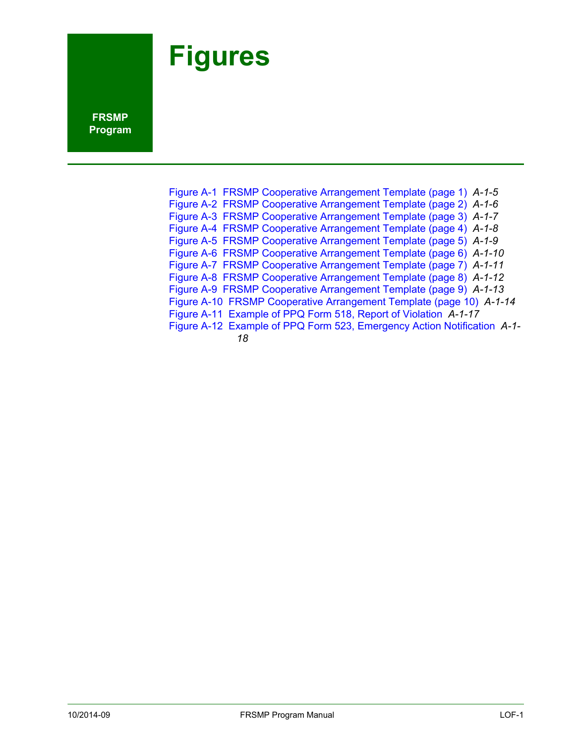# <span id="page-4-0"></span>**Figures**

**FRSMP Program** 

> [Figure A-1 FRSMP Cooperative Arrangement Template \(page 1\)](#page-42-0) *A-1-5* [Figure A-2 FRSMP Cooperative Arrangement Template \(page 2\)](#page-43-0) *A-1-6* [Figure A-3 FRSMP Cooperative Arrangement Template \(page 3\)](#page-44-0) *A-1-7* [Figure A-4 FRSMP Cooperative Arrangement Template \(page 4\)](#page-45-0) *A-1-8* [Figure A-5 FRSMP Cooperative Arrangement Template \(page 5\)](#page-46-0) *A-1-9* [Figure A-6 FRSMP Cooperative Arrangement Template \(page 6\)](#page-47-0) *A-1-10* [Figure A-7 FRSMP Cooperative Arrangement Template \(page 7\)](#page-48-0) *A-1-11* [Figure A-8 FRSMP Cooperative Arrangement Template \(page 8\)](#page-49-0) *A-1-12* [Figure A-9 FRSMP Cooperative Arrangement Template \(page 9\)](#page-50-0) *A-1-13* [Figure A-10 FRSMP Cooperative Arrangement Template \(page 10\)](#page-51-0) *A-1-14* [Figure A-11 Example of PPQ Form 518, Report of Violation](#page-54-0) *A-1-17* [Figure A-12 Example of PPQ Form 523, Emergency Action Notification](#page-55-0) *A-1-*

*18*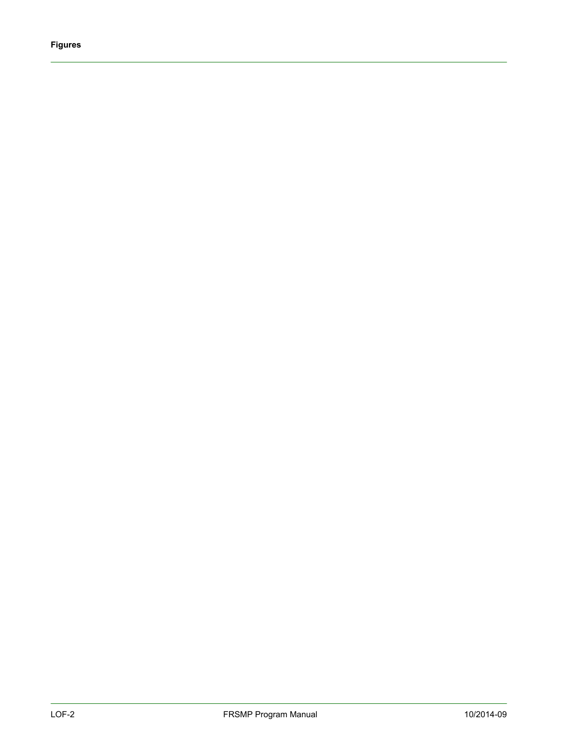**Figures**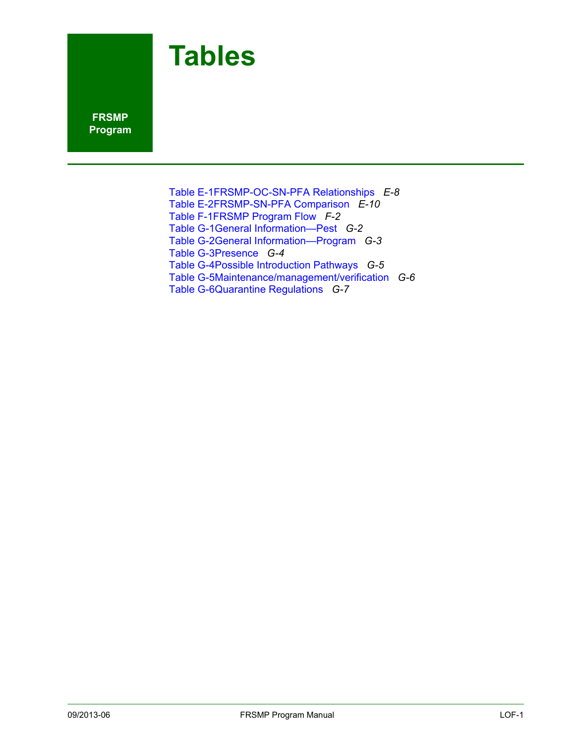<span id="page-6-0"></span>

**FRSMP Program** 

> [Table E-1FRSMP-OC-SN-PFA Relationships](#page-77-0) *E-8* [Table E-2FRSMP-SN-PFA Comparison](#page-79-0) *E-10* [Table F-1FRSMP Program Flow](#page-81-0) *F-2* [Table G-1General Information—Pest](#page-83-0) *G-2* [Table G-2General Information—Program](#page-84-0) *G-3* [Table G-3Presence](#page-85-0) *G-4* [Table G-4Possible Introduction Pathways](#page-86-0) *G-5* [Table G-5Maintenance/management/verification](#page-87-0) *G-6* [Table G-6Quarantine Regulations](#page-88-0) *G-7*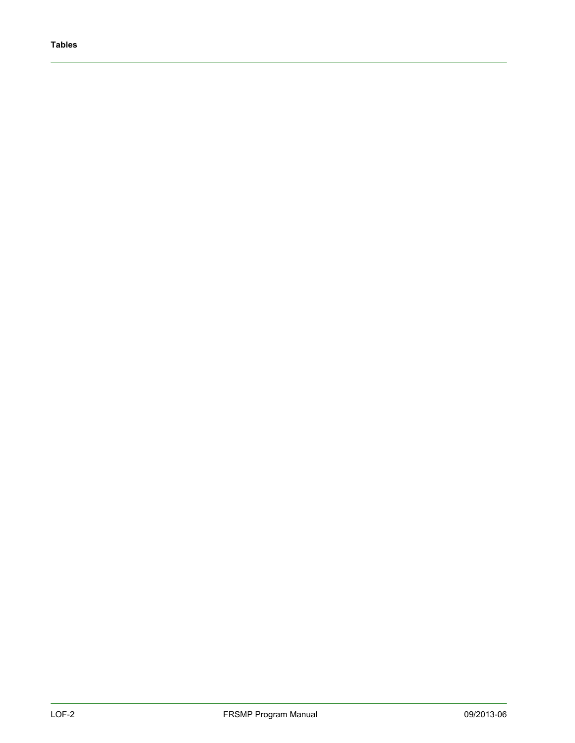**Tables**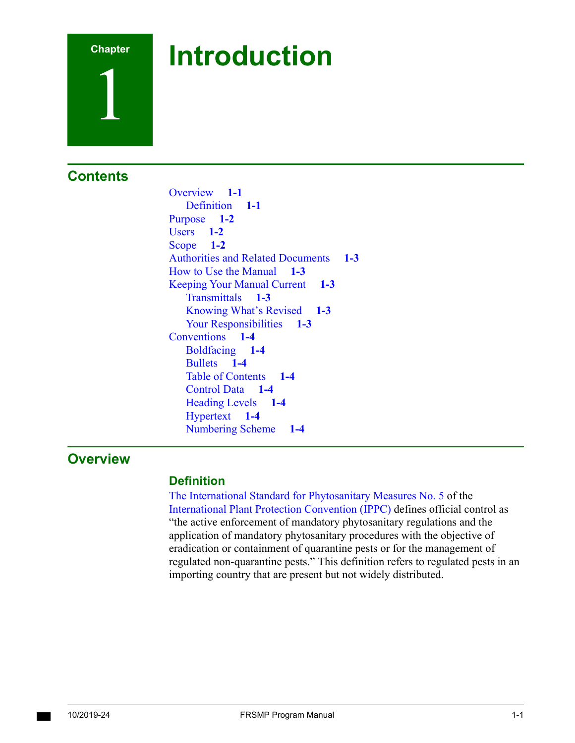

# <span id="page-8-0"></span>**Introduction**

## **Contents**

[Overview](#page-8-1) **1-1** [Definition](#page-8-2) **1-1** [Purpose](#page-9-0) **1-2** [Users](#page-9-1) **1-2** [Scope](#page-9-2) **1-2** [Authorities and Related Documents](#page-10-0) **1-3** [How to Use the Manual](#page-10-1) **1-3** [Keeping Your Manual Current](#page-10-2) **1-3** [Transmittals](#page-10-3) **1-3** [Knowing What's Revised](#page-10-5) **1-3** [Your Responsibilities](#page-10-4) **1-3** [Conventions](#page-11-0) **1-4** [Boldfacing](#page-11-1) **1-4** [Bullets](#page-11-2) **1-4** [Table of Contents](#page-11-3) **1-4** [Control Data](#page-11-4) **1-4** [Heading Levels](#page-11-5) **1-4** [Hypertext](#page-11-6) **1-4** [Numbering Scheme](#page-11-7) **1-4**

## <span id="page-8-1"></span>**Overview**

#### <span id="page-8-2"></span>**Definition**

[The International Standard for Phytosanitary Measures No. 5](https://www.ippc.int/sites/default/files/documents/20140214/ispm_05_en_2014-02-14cpm-8_201402141055--559.25%20KB.pdf) of the [International Plant Protection Convention \(IPPC\) d](https://www.ippc.int/)efines official control as "the active enforcement of mandatory phytosanitary regulations and the application of mandatory phytosanitary procedures with the objective of eradication or containment of quarantine pests or for the management of regulated non-quarantine pests." This definition refers to regulated pests in an importing country that are present but not widely distributed.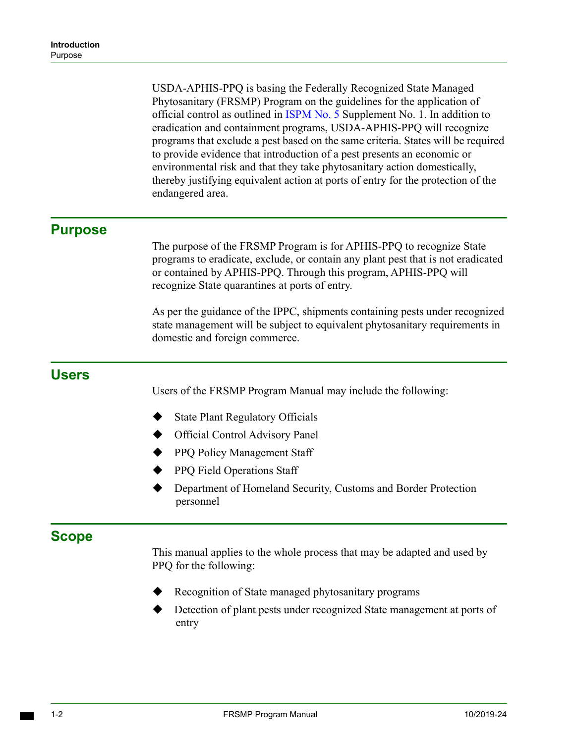USDA-APHIS-PPQ is basing the Federally Recognized State Managed Phytosanitary (FRSMP) Program on the guidelines for the application of official control as outlined in [ISPM No. 5](https://www.ippc.int/publications/glossary-phytosanitary-terms) Supplement No. 1. In addition to eradication and containment programs, USDA-APHIS-PPQ will recognize programs that exclude a pest based on the same criteria. States will be required to provide evidence that introduction of a pest presents an economic or environmental risk and that they take phytosanitary action domestically, thereby justifying equivalent action at ports of entry for the protection of the endangered area.

## <span id="page-9-0"></span>**Purpose**

The purpose of the FRSMP Program is for APHIS-PPQ to recognize State programs to eradicate, exclude, or contain any plant pest that is not eradicated or contained by APHIS-PPQ. Through this program, APHIS-PPQ will recognize State quarantines at ports of entry.

As per the guidance of the IPPC, shipments containing pests under recognized state management will be subject to equivalent phytosanitary requirements in domestic and foreign commerce.

## <span id="page-9-1"></span>**Users**

Users of the FRSMP Program Manual may include the following:

- State Plant Regulatory Officials
- Official Control Advisory Panel
- PPQ Policy Management Staff
- PPQ Field Operations Staff
- Department of Homeland Security, Customs and Border Protection personnel

## <span id="page-9-2"></span>**Scope**

This manual applies to the whole process that may be adapted and used by PPQ for the following:

- Recognition of State managed phytosanitary programs
- Detection of plant pests under recognized State management at ports of entry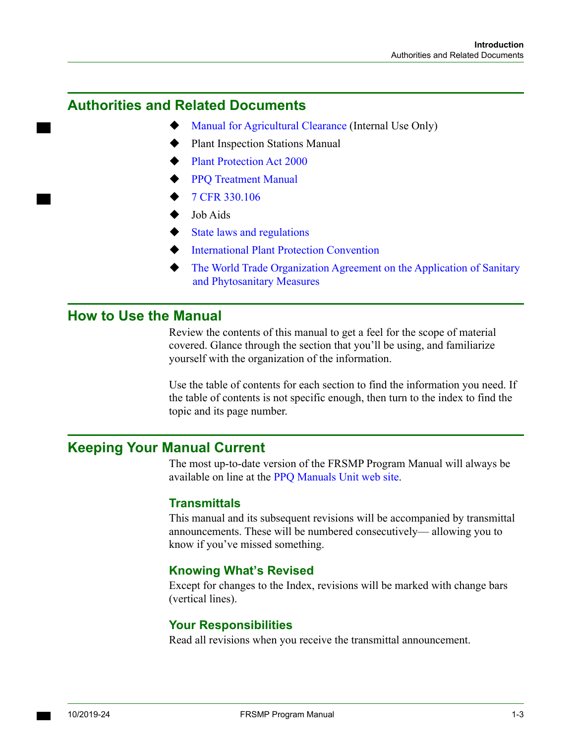## <span id="page-10-0"></span>**Authorities and Related Documents**

- [Manual for Agricultural Clearance](https://cbp.aphis.usda.gov/ppq/php/manual/mac.pdf) (Internal Use Only)
- Plant Inspection Stations Manual
- [Plant Protection Act 2000](http://www.aphis.usda.gov/brs/pdf/PlantProtAct2000.pdf)
- [PPQ Treatment Manual](http://www.aphis.usda.gov/import_export/plants/manuals/ports/downloads/treatment.pdf)
- [7 CFR 330.106](https://www.ecfr.gov/cgi-bin/text-idx?SID=29f17ec057571132c00f6e72bbd72af1&mc=true&node=pt7.5.330&rgn=div5)
- Job Aids
- [State laws and regulations](http://nationalplantboard.org/laws-and-regulations/)
- [International Plant Protection Convention](https://www.ippc.int/)
- [The World Trade Organization Agreement on the Application of Sanitary](http://www.wto.org/english/tratop_e/sps_e/spsagr_e.htm)  [and Phytosanitary Measures](http://www.wto.org/english/tratop_e/sps_e/spsagr_e.htm)

#### <span id="page-10-1"></span>**How to Use the Manual**

Review the contents of this manual to get a feel for the scope of material covered. Glance through the section that you'll be using, and familiarize yourself with the organization of the information.

Use the table of contents for each section to find the information you need. If the table of contents is not specific enough, then turn to the index to find the topic and its page number.

## <span id="page-10-2"></span>**Keeping Your Manual Current**

The most up-to-date version of the FRSMP Program Manual will always be available on line at the [PPQ Manuals Unit web site.](http://www.aphis.usda.gov/wps/portal/aphis/ourfocus/importexport?1dmy&urile=wcm%3apath%3a%2Faphis_content_library%2Fsa_our_focus%2Fsa_plant_health%2Fsa_manuals%2Fct_online_manuals)

#### <span id="page-10-3"></span>**Transmittals**

This manual and its subsequent revisions will be accompanied by transmittal announcements. These will be numbered consecutively— allowing you to know if you've missed something.

#### <span id="page-10-5"></span>**Knowing What's Revised**

Except for changes to the Index, revisions will be marked with change bars (vertical lines).

#### <span id="page-10-4"></span>**Your Responsibilities**

Read all revisions when you receive the transmittal announcement.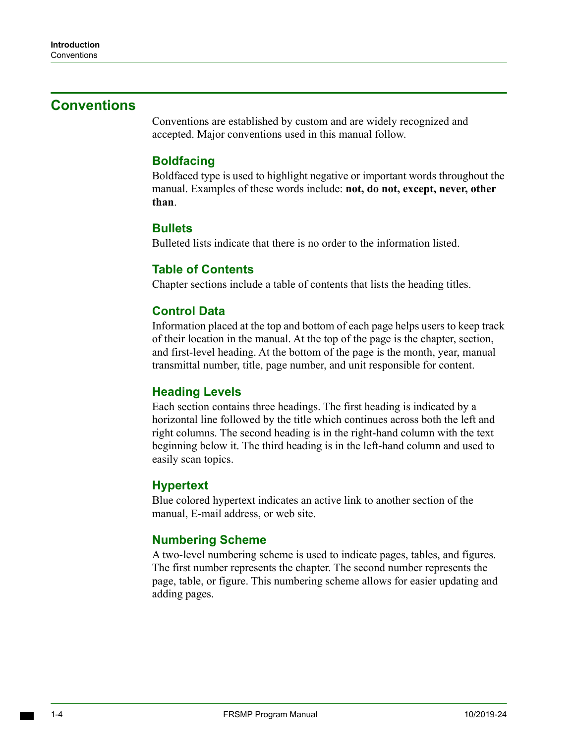## <span id="page-11-0"></span>**Conventions**

Conventions are established by custom and are widely recognized and accepted. Major conventions used in this manual follow.

#### <span id="page-11-1"></span>**Boldfacing**

Boldfaced type is used to highlight negative or important words throughout the manual. Examples of these words include: **not, do not, except, never, other than**.

#### <span id="page-11-2"></span>**Bullets**

Bulleted lists indicate that there is no order to the information listed.

## <span id="page-11-3"></span>**Table of Contents**

Chapter sections include a table of contents that lists the heading titles.

#### <span id="page-11-4"></span>**Control Data**

Information placed at the top and bottom of each page helps users to keep track of their location in the manual. At the top of the page is the chapter, section, and first-level heading. At the bottom of the page is the month, year, manual transmittal number, title, page number, and unit responsible for content.

## <span id="page-11-5"></span>**Heading Levels**

Each section contains three headings. The first heading is indicated by a horizontal line followed by the title which continues across both the left and right columns. The second heading is in the right-hand column with the text beginning below it. The third heading is in the left-hand column and used to easily scan topics.

#### <span id="page-11-6"></span>**Hypertext**

Blue colored hypertext indicates an active link to another section of the manual, E-mail address, or web site.

## <span id="page-11-7"></span>**Numbering Scheme**

A two-level numbering scheme is used to indicate pages, tables, and figures. The first number represents the chapter. The second number represents the page, table, or figure. This numbering scheme allows for easier updating and adding pages.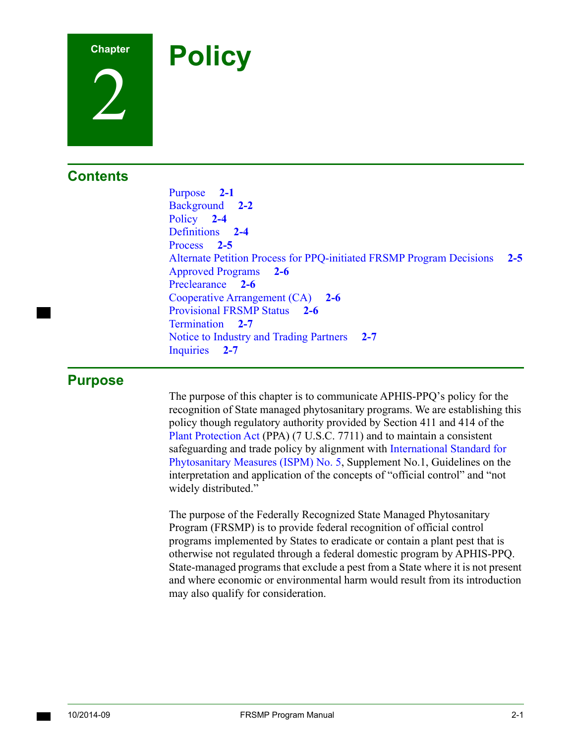## <span id="page-12-0"></span>**Policy**

## **Contents**

[Purpose](#page-12-1) **2-1** [Background](#page-13-0) **2-2** [Policy](#page-15-0) **2-4** [Definitions](#page-15-1) **2-4** [Process](#page-16-0) **2-5** [Alternate Petition Process for PPQ-initiated FRSMP Program Decisions](#page-16-1) **2-5** [Approved Programs](#page-17-0) **2-6** [Preclearance](#page-17-1) **2-6** [Cooperative Arrangement \(CA\)](#page-17-2) **2-6** [Provisional FRSMP Status](#page-17-3) **2-6** [Termination](#page-18-0) **2-7** [Notice to Industry and Trading Partners](#page-18-1) **2-7** [Inquiries](#page-18-2) **2-7**

## <span id="page-12-1"></span>**Purpose**

The purpose of this chapter is to communicate APHIS-PPQ's policy for the recognition of State managed phytosanitary programs. We are establishing this policy though regulatory authority provided by Section 411 and 414 of the [Plant Protection Act](http://www.aphis.usda.gov/brs/pdf/PlantProtAct2000.pdf) (PPA) (7 U.S.C. 7711) and to maintain a consistent safeguarding and trade policy by alignment with [International Standard for](https://www.ippc.int/publications/glossary-phytosanitary-terms)  [Phytosanitary Measures \(ISPM\) No. 5,](https://www.ippc.int/publications/glossary-phytosanitary-terms) Supplement No.1, Guidelines on the interpretation and application of the concepts of "official control" and "not widely distributed."

The purpose of the Federally Recognized State Managed Phytosanitary Program (FRSMP) is to provide federal recognition of official control programs implemented by States to eradicate or contain a plant pest that is otherwise not regulated through a federal domestic program by APHIS-PPQ. State-managed programs that exclude a pest from a State where it is not present and where economic or environmental harm would result from its introduction may also qualify for consideration.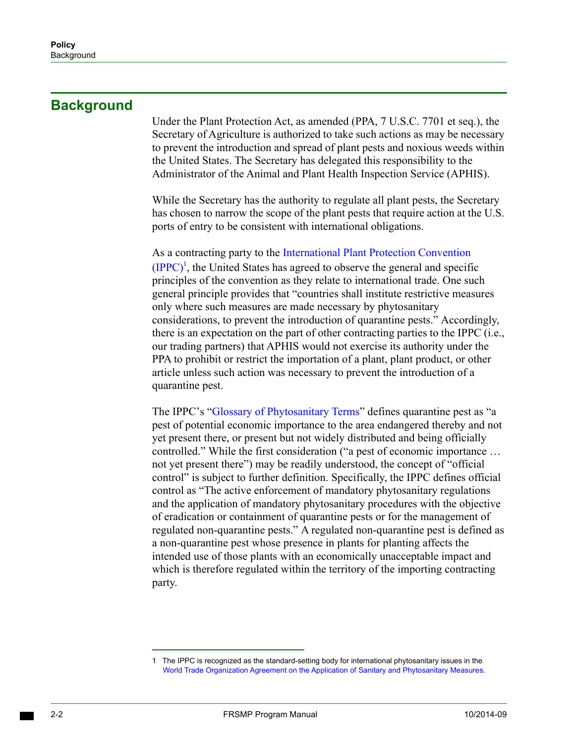## <span id="page-13-0"></span>**Background**

Under the Plant Protection Act, as amended (PPA, 7 U.S.C. 7701 et seq.), the Secretary of Agriculture is authorized to take such actions as may be necessary to prevent the introduction and spread of plant pests and noxious weeds within the United States. The Secretary has delegated this responsibility to the Administrator of the Animal and Plant Health Inspection Service (APHIS).

While the Secretary has the authority to regulate all plant pests, the Secretary has chosen to narrow the scope of the plant pests that require action at the U.S. ports of entry to be consistent with international obligations.

As a contracting party to the [International Plant Protection Convention](https://www.ippc.int/)   $(IPPC)^1$  $(IPPC)^1$ , the United States has agreed to observe the general and specific principles of the convention as they relate to international trade. One such general principle provides that "countries shall institute restrictive measures only where such measures are made necessary by phytosanitary considerations, to prevent the introduction of quarantine pests." Accordingly, there is an expectation on the part of other contracting parties to the IPPC (i.e., our trading partners) that APHIS would not exercise its authority under the PPA to prohibit or restrict the importation of a plant, plant product, or other article unless such action was necessary to prevent the introduction of a quarantine pest.

The IPPC's "[Glossary of Phytosanitary Terms](https://www.ippc.int/sites/default/files/documents/20140214/ispm_05_en_2014-02-14cpm-8_201402141055--559.25%20KB.pdf)" defines quarantine pest as "a pest of potential economic importance to the area endangered thereby and not yet present there, or present but not widely distributed and being officially controlled." While the first consideration ("a pest of economic importance … not yet present there") may be readily understood, the concept of "official control" is subject to further definition. Specifically, the IPPC defines official control as "The active enforcement of mandatory phytosanitary regulations and the application of mandatory phytosanitary procedures with the objective of eradication or containment of quarantine pests or for the management of regulated non-quarantine pests." A regulated non-quarantine pest is defined as a non-quarantine pest whose presence in plants for planting affects the intended use of those plants with an economically unacceptable impact and which is therefore regulated within the territory of the importing contracting party.

<sup>1</sup> The IPPC is recognized as the standard-setting body for international phytosanitary issues in the [World Trade Organization Agreement on the Application of Sanitary and Phytosanitary Measures.](http://www.wto.org/english/tratop_e/sps_e/spsagr_e.htm)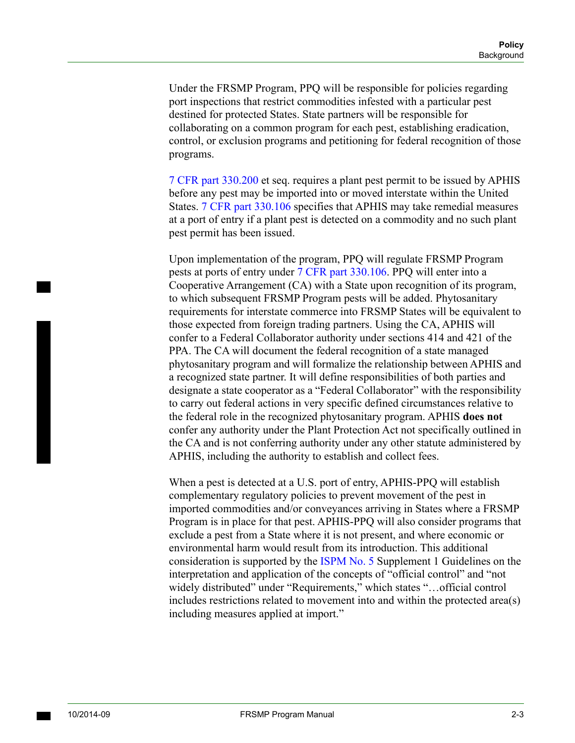Under the FRSMP Program, PPQ will be responsible for policies regarding port inspections that restrict commodities infested with a particular pest destined for protected States. State partners will be responsible for collaborating on a common program for each pest, establishing eradication, control, or exclusion programs and petitioning for federal recognition of those programs.

[7 CFR part 330.200](http://www.ecfr.gov/cgi-bin/text-idx?c=ecfr&SID=dd01409099bdaaefc1cf333905ae3868&rgn=div5&view=text&node=7:5.1.1.1.8&idno=7#7:5.1.1.1.8.2) et seq. requires a plant pest permit to be issued by APHIS before any pest may be imported into or moved interstate within the United States. [7 CFR part 330.106](http://www.ecfr.gov/cgi-bin/text-idx?c=ecfr&SID=dd01409099bdaaefc1cf333905ae3868&rgn=div5&view=text&node=7:5.1.1.1.8&idno=7#7:5.1.1.1.8.1.42.7) specifies that APHIS may take remedial measures at a port of entry if a plant pest is detected on a commodity and no such plant pest permit has been issued.

Upon implementation of the program, PPQ will regulate FRSMP Program pests at ports of entry under [7 CFR part 330.106.](http://www.ecfr.gov/cgi-bin/text-idx?c=ecfr&SID=dd01409099bdaaefc1cf333905ae3868&rgn=div5&view=text&node=7:5.1.1.1.8&idno=7#7:5.1.1.1.8.1.42.7) PPQ will enter into a Cooperative Arrangement (CA) with a State upon recognition of its program, to which subsequent FRSMP Program pests will be added. Phytosanitary requirements for interstate commerce into FRSMP States will be equivalent to those expected from foreign trading partners. Using the CA, APHIS will confer to a Federal Collaborator authority under sections 414 and 421 of the PPA. The CA will document the federal recognition of a state managed phytosanitary program and will formalize the relationship between APHIS and a recognized state partner. It will define responsibilities of both parties and designate a state cooperator as a "Federal Collaborator" with the responsibility to carry out federal actions in very specific defined circumstances relative to the federal role in the recognized phytosanitary program. APHIS **does not** confer any authority under the Plant Protection Act not specifically outlined in the CA and is not conferring authority under any other statute administered by APHIS, including the authority to establish and collect fees.

When a pest is detected at a U.S. port of entry, APHIS-PPQ will establish complementary regulatory policies to prevent movement of the pest in imported commodities and/or conveyances arriving in States where a FRSMP Program is in place for that pest. APHIS-PPQ will also consider programs that exclude a pest from a State where it is not present, and where economic or environmental harm would result from its introduction. This additional consideration is supported by the [ISPM No. 5](https://www.ippc.int/publications/glossary-phytosanitary-terms) Supplement 1 Guidelines on the interpretation and application of the concepts of "official control" and "not widely distributed" under "Requirements," which states "…official control includes restrictions related to movement into and within the protected area(s) including measures applied at import."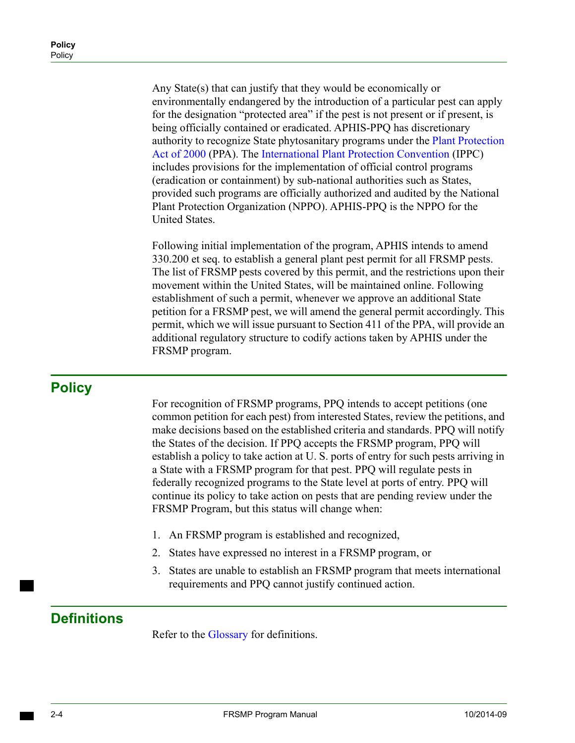Any State(s) that can justify that they would be economically or environmentally endangered by the introduction of a particular pest can apply for the designation "protected area" if the pest is not present or if present, is being officially contained or eradicated. APHIS-PPQ has discretionary authority to recognize State phytosanitary programs under the [Plant Protection](http://www.aphis.usda.gov/brs/pdf/PlantProtAct2000.pdf)  [Act of 2000](http://www.aphis.usda.gov/brs/pdf/PlantProtAct2000.pdf) (PPA). The [International Plant Protection Convention](https://www.ippc.int/) (IPPC) includes provisions for the implementation of official control programs (eradication or containment) by sub-national authorities such as States, provided such programs are officially authorized and audited by the National Plant Protection Organization (NPPO). APHIS-PPQ is the NPPO for the United States.

Following initial implementation of the program, APHIS intends to amend 330.200 et seq. to establish a general plant pest permit for all FRSMP pests. The list of FRSMP pests covered by this permit, and the restrictions upon their movement within the United States, will be maintained online. Following establishment of such a permit, whenever we approve an additional State petition for a FRSMP pest, we will amend the general permit accordingly. This permit, which we will issue pursuant to Section 411 of the PPA, will provide an additional regulatory structure to codify actions taken by APHIS under the FRSMP program.

## <span id="page-15-0"></span>**Policy**

For recognition of FRSMP programs, PPQ intends to accept petitions (one common petition for each pest) from interested States, review the petitions, and make decisions based on the established criteria and standards. PPQ will notify the States of the decision. If PPQ accepts the FRSMP program, PPQ will establish a policy to take action at U. S. ports of entry for such pests arriving in a State with a FRSMP program for that pest. PPQ will regulate pests in federally recognized programs to the State level at ports of entry. PPQ will continue its policy to take action on pests that are pending review under the FRSMP Program, but this status will change when:

- 1. An FRSMP program is established and recognized,
- 2. States have expressed no interest in a FRSMP program, or
- 3. States are unable to establish an FRSMP program that meets international requirements and PPQ cannot justify continued action.

## <span id="page-15-1"></span>**Definitions**

Refer to the [Glossary](#page-92-0) for definitions.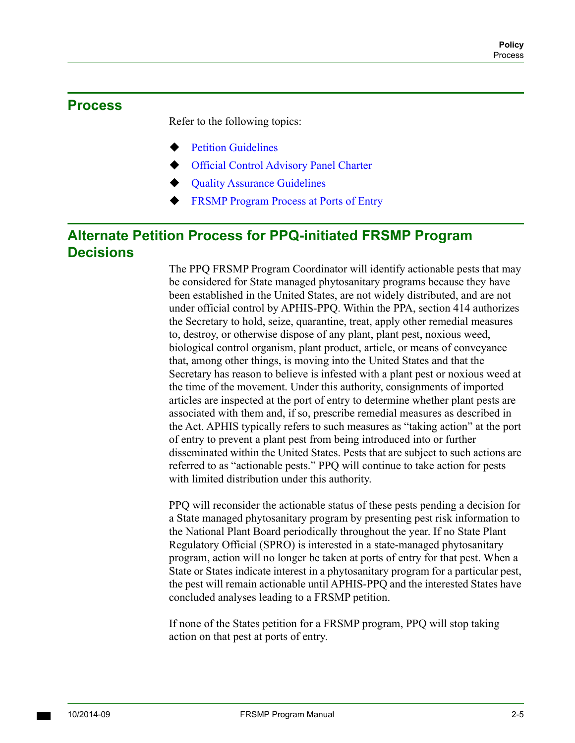## <span id="page-16-0"></span>**Process**

Refer to the following topics:

- Petition Guidelines
- [Official Control Advisory Panel Charter](#page-58-1)
- [Quality Assurance Guidelines](#page-25-0)
- [FRSMP Program Process at Ports of Entry](#page-81-1)

## <span id="page-16-2"></span><span id="page-16-1"></span>**Alternate Petition Process for PPQ-initiated FRSMP Program Decisions**

The PPQ FRSMP Program Coordinator will identify actionable pests that may be considered for State managed phytosanitary programs because they have been established in the United States, are not widely distributed, and are not under official control by APHIS-PPQ. Within the PPA, section 414 authorizes the Secretary to hold, seize, quarantine, treat, apply other remedial measures to, destroy, or otherwise dispose of any plant, plant pest, noxious weed, biological control organism, plant product, article, or means of conveyance that, among other things, is moving into the United States and that the Secretary has reason to believe is infested with a plant pest or noxious weed at the time of the movement. Under this authority, consignments of imported articles are inspected at the port of entry to determine whether plant pests are associated with them and, if so, prescribe remedial measures as described in the Act. APHIS typically refers to such measures as "taking action" at the port of entry to prevent a plant pest from being introduced into or further disseminated within the United States. Pests that are subject to such actions are referred to as "actionable pests." PPQ will continue to take action for pests with limited distribution under this authority.

PPQ will reconsider the actionable status of these pests pending a decision for a State managed phytosanitary program by presenting pest risk information to the National Plant Board periodically throughout the year. If no State Plant Regulatory Official (SPRO) is interested in a state-managed phytosanitary program, action will no longer be taken at ports of entry for that pest. When a State or States indicate interest in a phytosanitary program for a particular pest, the pest will remain actionable until APHIS-PPQ and the interested States have concluded analyses leading to a FRSMP petition.

If none of the States petition for a FRSMP program, PPQ will stop taking action on that pest at ports of entry.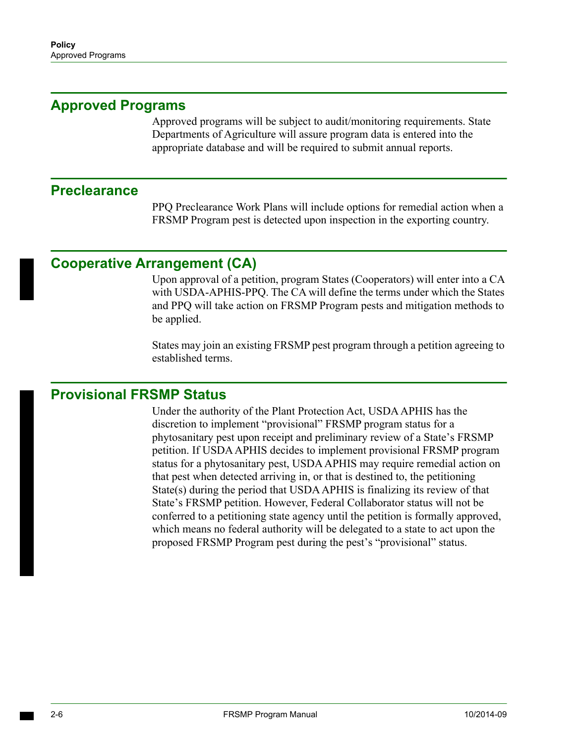## <span id="page-17-0"></span>**Approved Programs**

Approved programs will be subject to audit/monitoring requirements. State Departments of Agriculture will assure program data is entered into the appropriate database and will be required to submit annual reports.

## <span id="page-17-1"></span>**Preclearance**

PPQ Preclearance Work Plans will include options for remedial action when a FRSMP Program pest is detected upon inspection in the exporting country.

## <span id="page-17-2"></span>**Cooperative Arrangement (CA)**

Upon approval of a petition, program States (Cooperators) will enter into a CA with USDA-APHIS-PPQ. The CA will define the terms under which the States and PPQ will take action on FRSMP Program pests and mitigation methods to be applied.

States may join an existing FRSMP pest program through a petition agreeing to established terms.

## <span id="page-17-3"></span>**Provisional FRSMP Status**

Under the authority of the Plant Protection Act, USDA APHIS has the discretion to implement "provisional" FRSMP program status for a phytosanitary pest upon receipt and preliminary review of a State's FRSMP petition. If USDA APHIS decides to implement provisional FRSMP program status for a phytosanitary pest, USDA APHIS may require remedial action on that pest when detected arriving in, or that is destined to, the petitioning State(s) during the period that USDA APHIS is finalizing its review of that State's FRSMP petition. However, Federal Collaborator status will not be conferred to a petitioning state agency until the petition is formally approved, which means no federal authority will be delegated to a state to act upon the proposed FRSMP Program pest during the pest's "provisional" status.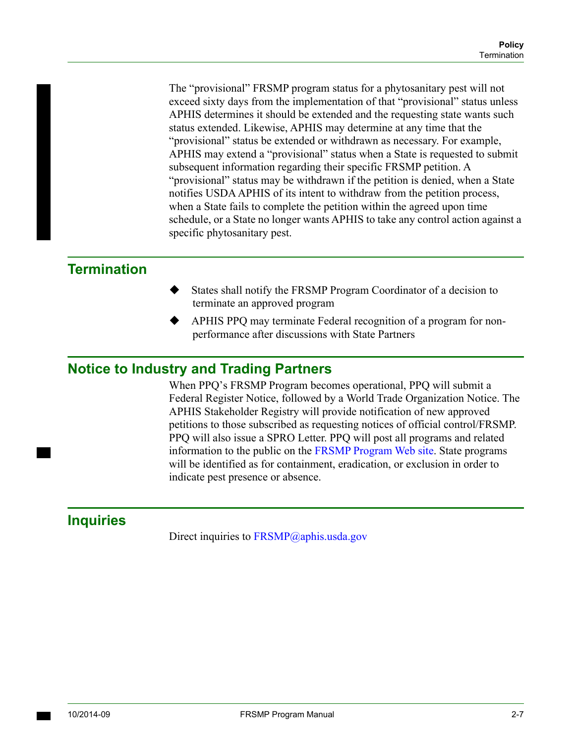The "provisional" FRSMP program status for a phytosanitary pest will not exceed sixty days from the implementation of that "provisional" status unless APHIS determines it should be extended and the requesting state wants such status extended. Likewise, APHIS may determine at any time that the "provisional" status be extended or withdrawn as necessary. For example, APHIS may extend a "provisional" status when a State is requested to submit subsequent information regarding their specific FRSMP petition. A "provisional" status may be withdrawn if the petition is denied, when a State notifies USDA APHIS of its intent to withdraw from the petition process, when a State fails to complete the petition within the agreed upon time schedule, or a State no longer wants APHIS to take any control action against a specific phytosanitary pest.

## <span id="page-18-0"></span>**Termination**

- States shall notify the FRSMP Program Coordinator of a decision to terminate an approved program
- APHIS PPQ may terminate Federal recognition of a program for nonperformance after discussions with State Partners

## <span id="page-18-1"></span>**Notice to Industry and Trading Partners**

When PPQ's FRSMP Program becomes operational, PPQ will submit a Federal Register Notice, followed by a World Trade Organization Notice. The APHIS Stakeholder Registry will provide notification of new approved petitions to those subscribed as requesting notices of official control/FRSMP. PPQ will also issue a SPRO Letter. PPQ will post all programs and related information to the public on the [FRSMP Program Web site.](https://www.aphis.usda.gov/aphis/ourfocus/planthealth/plant-pest-and-disease-programs/frsmp/!ut/p/z1/04_iUlDg4tKPAFJABpSA0fpReYllmemJJZn5eYk5-hH6kVFm8X6Gzu4GFiaGPu6uLoYGjh6Wnt4e5mYGzr5m-l76UfgVFGQHKgIA-d8Ulw!!/) State programs will be identified as for containment, eradication, or exclusion in order to indicate pest presence or absence.

## <span id="page-18-2"></span>**Inquiries**

Direct inquiries to [FRSMP@aphis.usda.gov](mailto:FRSMP@aphis.usda.gov)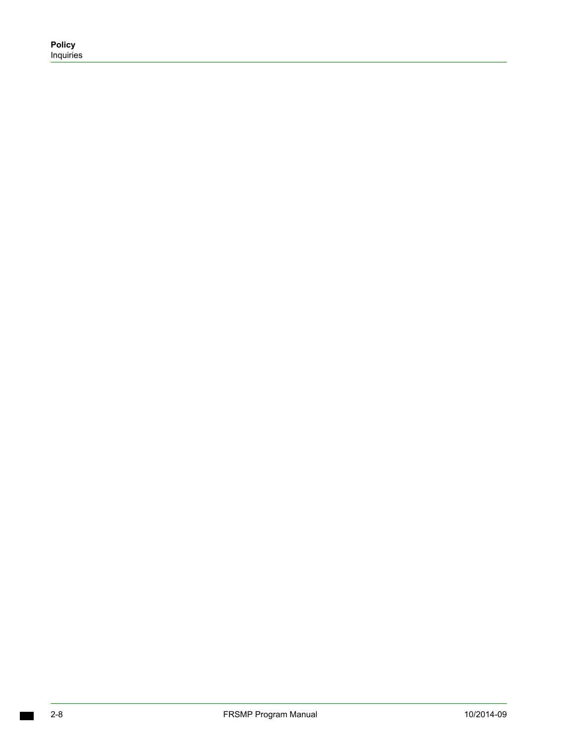**Policy** Inquiries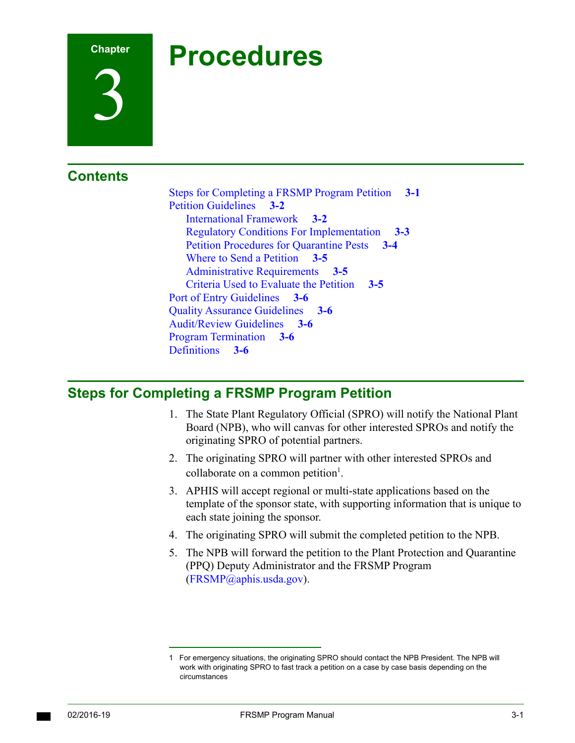3

## <span id="page-20-0"></span>**Procedures**

## **Contents**

[Steps for Completing a FRSMP Program Petition](#page-20-1) **3-1** [Petition Guidelines](#page-21-0) **3-2** [International Framework](#page-21-1) **3-2** [Regulatory Conditions For Implementation](#page-22-0) **3-3** [Petition Procedures for Quarantine Pests](#page-23-0) **3-4** [Where to Send a Petition](#page-24-0) **3-5** [Administrative Requirements](#page-24-1) **3-5** [Criteria Used to Evaluate the Petition](#page-24-2) **3-5** [Port of Entry Guidelines](#page-25-1) **3-6** [Quality Assurance Guidelines](#page-25-2) **3-6** [Audit/Review Guidelines](#page-25-3) **3-6** [Program Termination](#page-25-4) **3-6** [Definitions](#page-25-5) **3-6**

## <span id="page-20-1"></span>**Steps for Completing a FRSMP Program Petition**

- 1. The State Plant Regulatory Official (SPRO) will notify the National Plant Board (NPB), who will canvas for other interested SPROs and notify the originating SPRO of potential partners.
- 2. The originating SPRO will partner with other interested SPROs and collaborate on a common petition<sup>1</sup>.
- 3. APHIS will accept regional or multi-state applications based on the template of the sponsor state, with supporting information that is unique to each state joining the sponsor.
- 4. The originating SPRO will submit the completed petition to the NPB.
- 5. The NPB will forward the petition to the Plant Protection and Quarantine (PPQ) Deputy Administrator and the FRSMP Program ([FRSMP@aphis.usda.gov\)](mailto:FRSMP@aphis.usda.gov).

<sup>1</sup> For emergency situations, the originating SPRO should contact the NPB President. The NPB will work with originating SPRO to fast track a petition on a case by case basis depending on the circumstances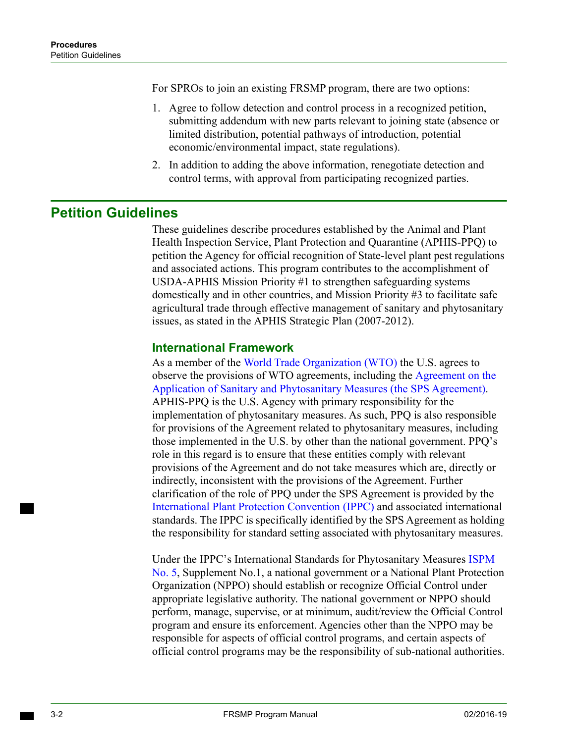For SPROs to join an existing FRSMP program, there are two options:

- 1. Agree to follow detection and control process in a recognized petition, submitting addendum with new parts relevant to joining state (absence or limited distribution, potential pathways of introduction, potential economic/environmental impact, state regulations).
- 2. In addition to adding the above information, renegotiate detection and control terms, with approval from participating recognized parties.

## <span id="page-21-0"></span>**Petition Guidelines**

These guidelines describe procedures established by the Animal and Plant Health Inspection Service, Plant Protection and Quarantine (APHIS-PPQ) to petition the Agency for official recognition of State-level plant pest regulations and associated actions. This program contributes to the accomplishment of USDA-APHIS Mission Priority #1 to strengthen safeguarding systems domestically and in other countries, and Mission Priority #3 to facilitate safe agricultural trade through effective management of sanitary and phytosanitary issues, as stated in the APHIS Strategic Plan (2007-2012).

#### <span id="page-21-1"></span>**International Framework**

As a member of the [World Trade Organization \(WTO\)](http://www.wto.org/) the U.S. agrees to observe the provisions of WTO agreements, including the [Agreement on the](http://www.wto.org/english/tratop_e/sps_e/spsagr_e.htm)  [Application of Sanitary and Phytosanitary Measures \(the SPS Agreement\)](http://www.wto.org/english/tratop_e/sps_e/spsagr_e.htm). APHIS-PPQ is the U.S. Agency with primary responsibility for the implementation of phytosanitary measures. As such, PPQ is also responsible for provisions of the Agreement related to phytosanitary measures, including those implemented in the U.S. by other than the national government. PPQ's role in this regard is to ensure that these entities comply with relevant provisions of the Agreement and do not take measures which are, directly or indirectly, inconsistent with the provisions of the Agreement. Further clarification of the role of PPQ under the SPS Agreement is provided by the [International Plant Protection Convention \(IPPC\)](https://www.ippc.int/) and associated international standards. The IPPC is specifically identified by the SPS Agreement as holding the responsibility for standard setting associated with phytosanitary measures.

Under the IPPC's International Standards for Phytosanitary Measures [ISPM](https://www.ippc.int/publications/glossary-phytosanitary-terms)  [No. 5,](https://www.ippc.int/publications/glossary-phytosanitary-terms) Supplement No.1, a national government or a National Plant Protection Organization (NPPO) should establish or recognize Official Control under appropriate legislative authority. The national government or NPPO should perform, manage, supervise, or at minimum, audit/review the Official Control program and ensure its enforcement. Agencies other than the NPPO may be responsible for aspects of official control programs, and certain aspects of official control programs may be the responsibility of sub-national authorities.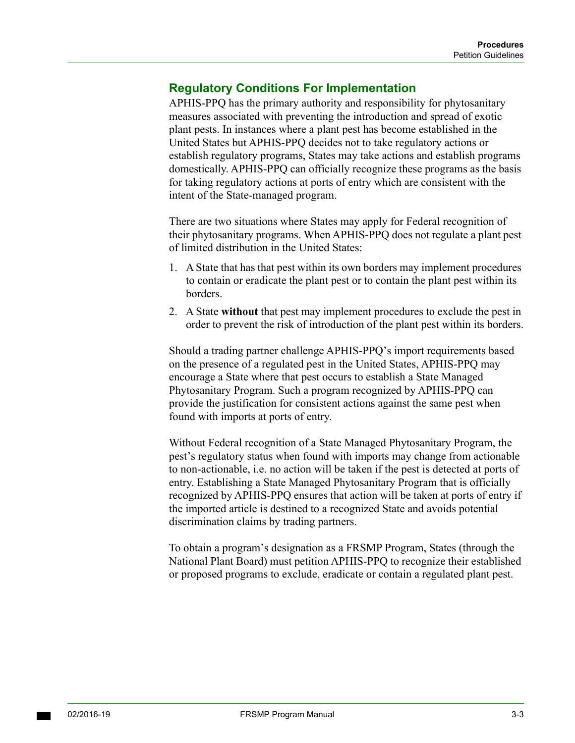## <span id="page-22-0"></span>**Regulatory Conditions For Implementation**

APHIS-PPQ has the primary authority and responsibility for phytosanitary measures associated with preventing the introduction and spread of exotic plant pests. In instances where a plant pest has become established in the United States but APHIS-PPQ decides not to take regulatory actions or establish regulatory programs, States may take actions and establish programs domestically. APHIS-PPQ can officially recognize these programs as the basis for taking regulatory actions at ports of entry which are consistent with the intent of the State-managed program.

There are two situations where States may apply for Federal recognition of their phytosanitary programs. When APHIS-PPQ does not regulate a plant pest of limited distribution in the United States:

- 1. A State that has that pest within its own borders may implement procedures to contain or eradicate the plant pest or to contain the plant pest within its borders.
- 2. A State **without** that pest may implement procedures to exclude the pest in order to prevent the risk of introduction of the plant pest within its borders.

Should a trading partner challenge APHIS-PPQ's import requirements based on the presence of a regulated pest in the United States, APHIS-PPQ may encourage a State where that pest occurs to establish a State Managed Phytosanitary Program. Such a program recognized by APHIS-PPQ can provide the justification for consistent actions against the same pest when found with imports at ports of entry.

Without Federal recognition of a State Managed Phytosanitary Program, the pest's regulatory status when found with imports may change from actionable to non-actionable, i.e. no action will be taken if the pest is detected at ports of entry. Establishing a State Managed Phytosanitary Program that is officially recognized by APHIS-PPQ ensures that action will be taken at ports of entry if the imported article is destined to a recognized State and avoids potential discrimination claims by trading partners.

To obtain a program's designation as a FRSMP Program, States (through the National Plant Board) must petition APHIS-PPQ to recognize their established or proposed programs to exclude, eradicate or contain a regulated plant pest.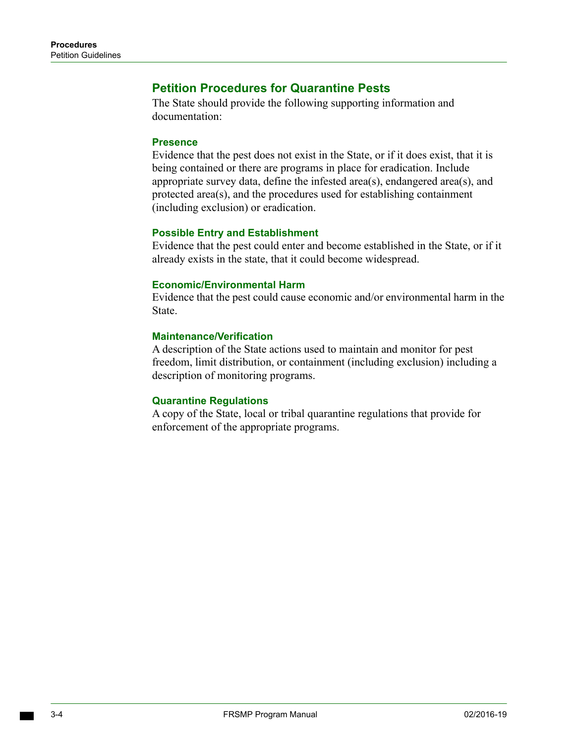#### <span id="page-23-0"></span>**Petition Procedures for Quarantine Pests**

The State should provide the following supporting information and documentation:

#### **Presence**

Evidence that the pest does not exist in the State, or if it does exist, that it is being contained or there are programs in place for eradication. Include appropriate survey data, define the infested area(s), endangered area(s), and protected area(s), and the procedures used for establishing containment (including exclusion) or eradication.

#### **Possible Entry and Establishment**

Evidence that the pest could enter and become established in the State, or if it already exists in the state, that it could become widespread.

#### **Economic/Environmental Harm**

Evidence that the pest could cause economic and/or environmental harm in the State.

#### **Maintenance/Verification**

A description of the State actions used to maintain and monitor for pest freedom, limit distribution, or containment (including exclusion) including a description of monitoring programs.

#### **Quarantine Regulations**

A copy of the State, local or tribal quarantine regulations that provide for enforcement of the appropriate programs.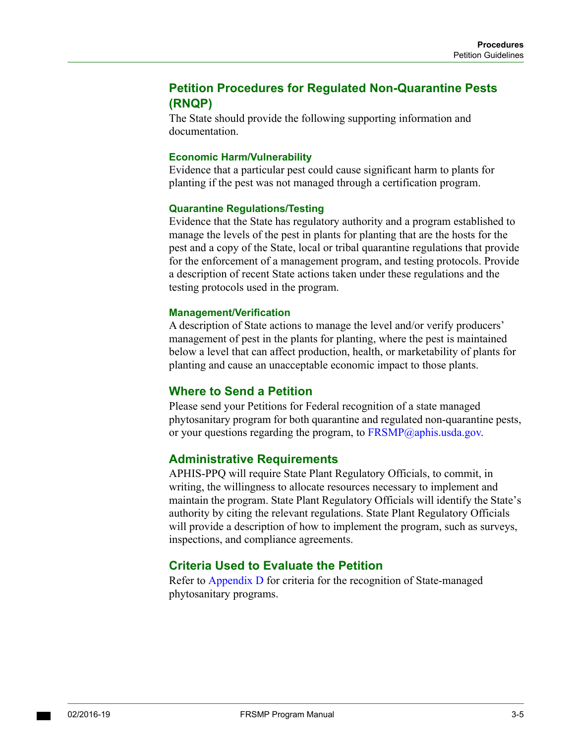## **Petition Procedures for Regulated Non-Quarantine Pests (RNQP)**

The State should provide the following supporting information and documentation.

#### **Economic Harm/Vulnerability**

Evidence that a particular pest could cause significant harm to plants for planting if the pest was not managed through a certification program.

#### **Quarantine Regulations/Testing**

Evidence that the State has regulatory authority and a program established to manage the levels of the pest in plants for planting that are the hosts for the pest and a copy of the State, local or tribal quarantine regulations that provide for the enforcement of a management program, and testing protocols. Provide a description of recent State actions taken under these regulations and the testing protocols used in the program.

#### **Management/Verification**

A description of State actions to manage the level and/or verify producers' management of pest in the plants for planting, where the pest is maintained below a level that can affect production, health, or marketability of plants for planting and cause an unacceptable economic impact to those plants.

#### <span id="page-24-0"></span>**Where to Send a Petition**

Please send your Petitions for Federal recognition of a state managed phytosanitary program for both quarantine and regulated non-quarantine pests, or your questions regarding the program, to [FRSMP@aphis.usda.gov](mailto:FRSMP@aphis.usda.gov).

#### <span id="page-24-1"></span>**Administrative Requirements**

APHIS-PPQ will require State Plant Regulatory Officials, to commit, in writing, the willingness to allocate resources necessary to implement and maintain the program. State Plant Regulatory Officials will identify the State's authority by citing the relevant regulations. State Plant Regulatory Officials will provide a description of how to implement the program, such as surveys, inspections, and compliance agreements.

#### <span id="page-24-2"></span>**Criteria Used to Evaluate the Petition**

Refer to [Appendix D](#page-64-0) for criteria for the recognition of State-managed phytosanitary programs.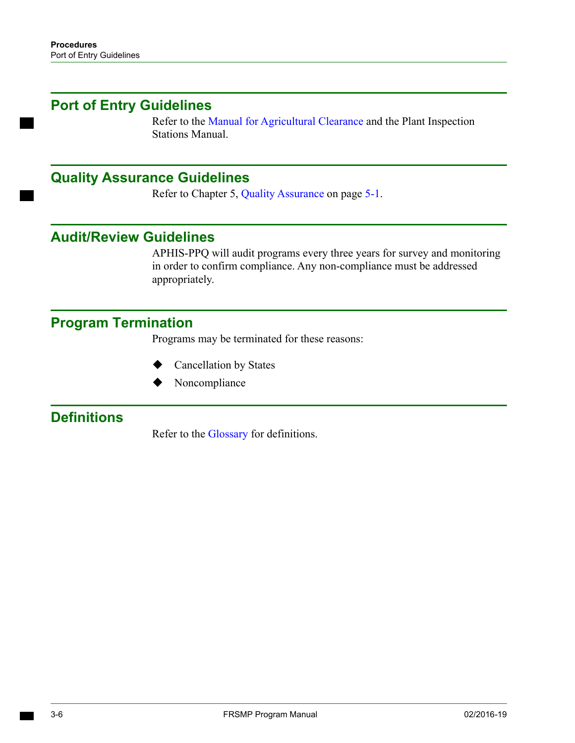## <span id="page-25-1"></span>**Port of Entry Guidelines**

Refer to the [Manual for Agricultural Clearance](https://cbp.aphis.usda.gov/ppq/php/manual/mac.pdf) and the Plant Inspection Stations Manual.

## <span id="page-25-2"></span><span id="page-25-0"></span>**Quality Assurance Guidelines**

Refer to Chapter 5, [Quality Assurance on page 5-1.](#page-32-0)

#### <span id="page-25-3"></span>**Audit/Review Guidelines**

APHIS-PPQ will audit programs every three years for survey and monitoring in order to confirm compliance. Any non-compliance must be addressed appropriately.

## <span id="page-25-4"></span>**Program Termination**

Programs may be terminated for these reasons:

- Cancellation by States
- Noncompliance

## <span id="page-25-5"></span>**Definitions**

Refer to the [Glossary](#page-92-0) for definitions.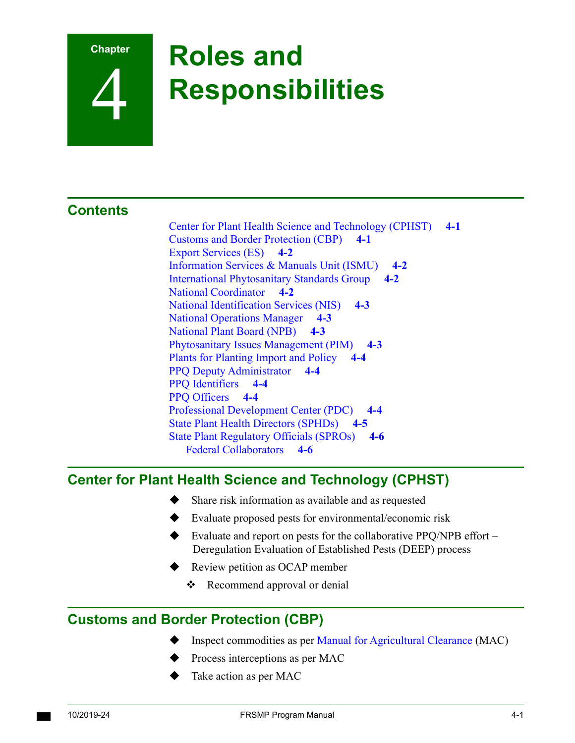# <span id="page-26-0"></span>**Roles and Responsibilities**

## **Contents**

**Chapter**

4

[Center for Plant Health Science and Technology \(CPHST\)](#page-26-1) **4-1** [Customs and Border Protection \(CBP\)](#page-26-2) **4-1** [Export Services \(ES\)](#page-27-0) **4-2** [Information Services & Manuals Unit \(ISMU\)](#page-27-1) **4-2** [International Phytosanitary Standards Group](#page-27-2) **4-2** [National Coordinator](#page-27-3) **4-2** [National Identification Services \(NIS\)](#page-28-0) **4-3** [National Operations Manager](#page-28-1) **4-3** [National Plant Board \(NPB\)](#page-28-2) **4-3** [Phytosanitary Issues Management \(PIM\)](#page-28-3) **4-3** [Plants for Planting Import and Policy](#page-29-0) **4-4** [PPQ Deputy Administrator](#page-29-1) **4-4** [PPQ Identifiers](#page-29-2) **4-4** [PPQ Officers](#page-29-3) **4-4** [Professional Development Center \(PDC\)](#page-29-4) **4-4** [State Plant Health Directors \(SPHDs\)](#page-30-0) **4-5** [State Plant Regulatory Officials \(SPROs\)](#page-31-0) **4-6** [Federal Collaborators](#page-31-1) **4-6**

## <span id="page-26-1"></span>**Center for Plant Health Science and Technology (CPHST)**

- Share risk information as available and as requested
- ◆ Evaluate proposed pests for environmental/economic risk
- $\blacklozenge$  Evaluate and report on pests for the collaborative PPQ/NPB effort Deregulation Evaluation of Established Pests (DEEP) process
- Review petition as OCAP member
	- **❖** Recommend approval or denial

## <span id="page-26-2"></span>**Customs and Border Protection (CBP)**

- Inspect commodities as per [Manual for Agricultural Clearance](https://cbp.aphis.usda.gov/ppq/php/manual/mac.pdf) (MAC)
- Process interceptions as per MAC
- Take action as per MAC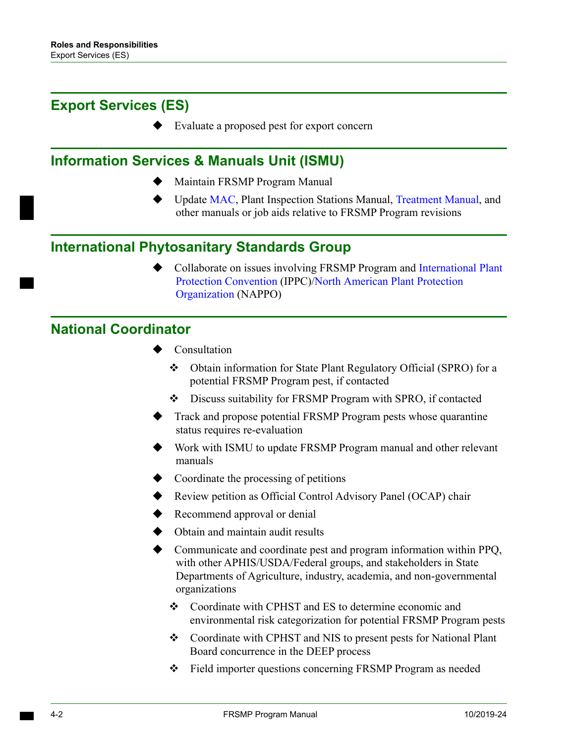## <span id="page-27-0"></span>**Export Services (ES)**

Evaluate a proposed pest for export concern

## <span id="page-27-1"></span>**Information Services & Manuals Unit (ISMU)**

- Maintain FRSMP Program Manual
- Update [MAC,](https://cbp.aphis.usda.gov/ppq/php/manual/mac.pdf) Plant Inspection Stations Manual, [Treatment Manual](http://www.aphis.usda.gov/import_export/plants/manuals/ports/downloads/treatment.pdf), and other manuals or job aids relative to FRSMP Program revisions

## <span id="page-27-2"></span>**International Phytosanitary Standards Group**

Collaborate on issues involving FRSMP Program and [International Plant](https://www.ippc.int/)  [Protection Convention](https://www.ippc.int/) (IPPC)[/North American Plant Protection](http://www.nappo.org/)  [Organization](http://www.nappo.org/) (NAPPO)

## <span id="page-27-3"></span>**National Coordinator**

- Consultation
	- Obtain information for State Plant Regulatory Official (SPRO) for a potential FRSMP Program pest, if contacted
	- Discuss suitability for FRSMP Program with SPRO, if contacted
- Track and propose potential FRSMP Program pests whose quarantine status requires re-evaluation
- Work with ISMU to update FRSMP Program manual and other relevant manuals
- Coordinate the processing of petitions
- Review petition as Official Control Advisory Panel (OCAP) chair
- Recommend approval or denial
- Obtain and maintain audit results
- Communicate and coordinate pest and program information within PPQ, with other APHIS/USDA/Federal groups, and stakeholders in State Departments of Agriculture, industry, academia, and non-governmental organizations
	- ❖ Coordinate with CPHST and ES to determine economic and environmental risk categorization for potential FRSMP Program pests
	- Coordinate with CPHST and NIS to present pests for National Plant Board concurrence in the DEEP process
	- **◆** Field importer questions concerning FRSMP Program as needed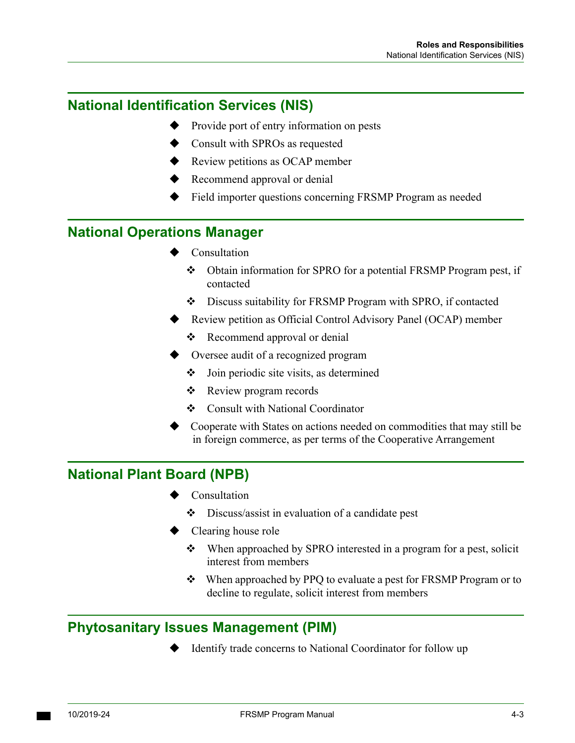## <span id="page-28-0"></span>**National Identification Services (NIS)**

- Provide port of entry information on pests
- Consult with SPROs as requested
- Review petitions as OCAP member
- ◆ Recommend approval or denial
- Field importer questions concerning FRSMP Program as needed

## <span id="page-28-1"></span>**National Operations Manager**

- Consultation
	- Obtain information for SPRO for a potential FRSMP Program pest, if contacted
	- $\bullet$  Discuss suitability for FRSMP Program with SPRO, if contacted
- Review petition as Official Control Advisory Panel (OCAP) member
	- **❖** Recommend approval or denial
- Oversee audit of a recognized program
	- Join periodic site visits, as determined
	- Review program records
	- Consult with National Coordinator
- Cooperate with States on actions needed on commodities that may still be in foreign commerce, as per terms of the Cooperative Arrangement

## <span id="page-28-2"></span>**National Plant Board (NPB)**

- Consultation
	- Discuss/assist in evaluation of a candidate pest
- Clearing house role
	- When approached by SPRO interested in a program for a pest, solicit interest from members
	- When approached by PPQ to evaluate a pest for FRSMP Program or to decline to regulate, solicit interest from members

## <span id="page-28-3"></span>**Phytosanitary Issues Management (PIM)**

Identify trade concerns to National Coordinator for follow up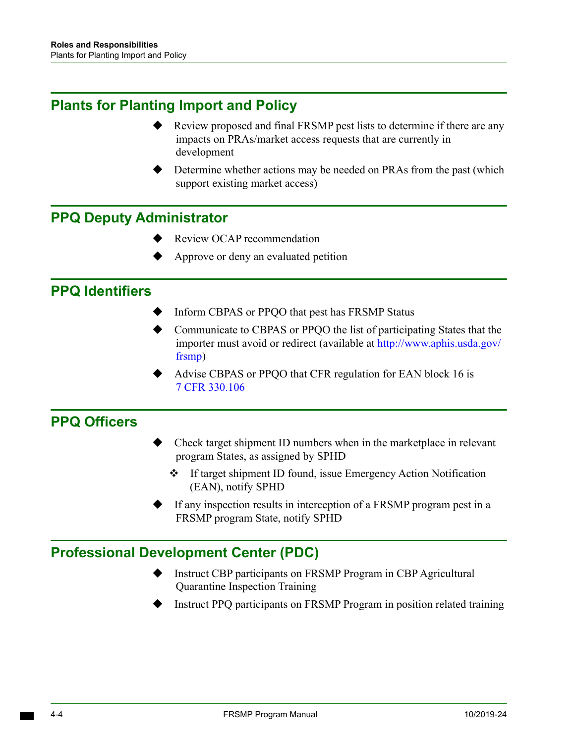## <span id="page-29-0"></span>**Plants for Planting Import and Policy**

- Review proposed and final FRSMP pest lists to determine if there are any impacts on PRAs/market access requests that are currently in development
- Determine whether actions may be needed on PRAs from the past (which support existing market access)

## <span id="page-29-1"></span>**PPQ Deputy Administrator**

- Review OCAP recommendation
- Approve or deny an evaluated petition

## <span id="page-29-2"></span>**PPQ Identifiers**

- Inform CBPAS or PPQO that pest has FRSMP Status
- Communicate to CBPAS or PPQO the list of participating States that the importer must avoid or redirect (available at [http://www.aphis.usda.gov/](http://www.aphis.usda.gov/frsmp) [frsmp](http://www.aphis.usda.gov/frsmp))
- Advise CBPAS or PPQO that CFR regulation for EAN block 16 is [7 CFR 330.106](http://www.ecfr.gov/cgi-bin/text-idx?SID=53be906958f8276c9d73556b22e278a9&node=7:5.1.1.1.8&rgn=div5#7:5.1.1.1.8.1.42.7)

## <span id="page-29-3"></span>**PPQ Officers**

- Check target shipment ID numbers when in the marketplace in relevant program States, as assigned by SPHD
	- If target shipment ID found, issue Emergency Action Notification (EAN), notify SPHD
- If any inspection results in interception of a FRSMP program pest in a FRSMP program State, notify SPHD

## <span id="page-29-4"></span>**Professional Development Center (PDC)**

- Instruct CBP participants on FRSMP Program in CBP Agricultural Quarantine Inspection Training
- Instruct PPQ participants on FRSMP Program in position related training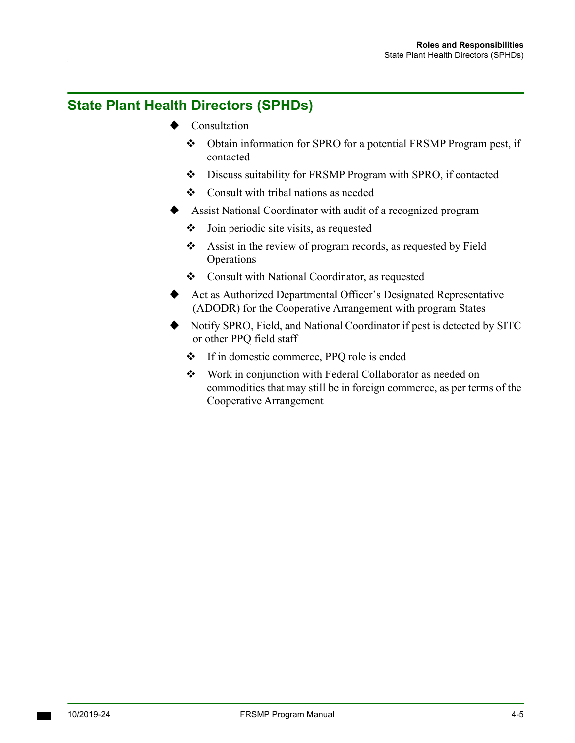## <span id="page-30-0"></span>**State Plant Health Directors (SPHDs)**

- Consultation
	- Obtain information for SPRO for a potential FRSMP Program pest, if contacted
	- $\bullet$  Discuss suitability for FRSMP Program with SPRO, if contacted
	- Consult with tribal nations as needed
- Assist National Coordinator with audit of a recognized program
	- Join periodic site visits, as requested
	- ❖ Assist in the review of program records, as requested by Field **Operations**
	- Consult with National Coordinator, as requested
- Act as Authorized Departmental Officer's Designated Representative (ADODR) for the Cooperative Arrangement with program States
- Notify SPRO, Field, and National Coordinator if pest is detected by SITC or other PPQ field staff
	- If in domestic commerce, PPQ role is ended
	- ◆ Work in conjunction with Federal Collaborator as needed on commodities that may still be in foreign commerce, as per terms of the Cooperative Arrangement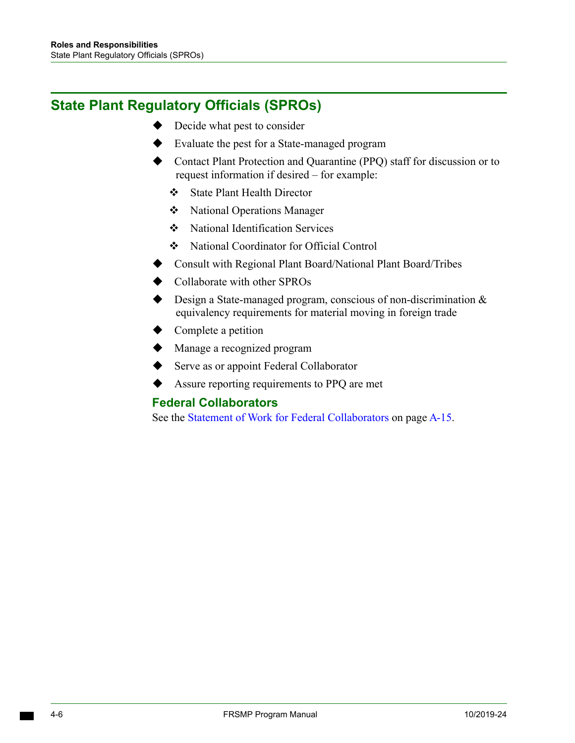## <span id="page-31-0"></span>**State Plant Regulatory Officials (SPROs)**

- Decide what pest to consider
- Evaluate the pest for a State-managed program
- Contact Plant Protection and Quarantine (PPQ) staff for discussion or to request information if desired – for example:
	- State Plant Health Director
	- National Operations Manager
	- National Identification Services
	- ◆ National Coordinator for Official Control
- ◆ Consult with Regional Plant Board/National Plant Board/Tribes
- Collaborate with other SPROs
- Design a State-managed program, conscious of non-discrimination & equivalency requirements for material moving in foreign trade
- Complete a petition
- $\blacklozenge$  Manage a recognized program
- Serve as or appoint Federal Collaborator
- Assure reporting requirements to PPQ are met

#### <span id="page-31-1"></span>**Federal Collaborators**

See the [Statement of Work for Federal Collaborators on page A-15](#page-52-0).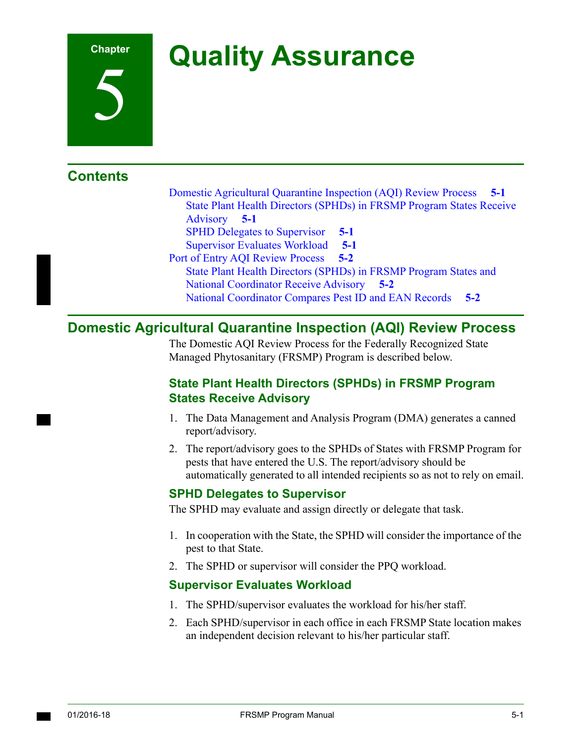## **Chapter**

# <span id="page-32-0"></span>5 **Quality Assurance**

**Contents**

[Domestic Agricultural Quarantine Inspection \(AQI\) Review Process](#page-32-1) **5-1** [State Plant Health Directors \(SPHDs\) in FRSMP Program States Receive](#page-32-2)  [Advisory](#page-32-2) **5-1** [SPHD Delegates to Supervisor](#page-32-3) **5-1** [Supervisor Evaluates Workload](#page-32-4) **5-1** [Port of Entry AQI Review Process](#page-33-0) **5-2** [State Plant Health Directors \(SPHDs\) in FRSMP Program States and](#page-33-1)  [National Coordinator Receive Advisory](#page-33-1) **5-2** [National Coordinator Compares Pest ID and EAN Records](#page-33-2) **5-2**

## <span id="page-32-1"></span>**Domestic Agricultural Quarantine Inspection (AQI) Review Process**

The Domestic AQI Review Process for the Federally Recognized State Managed Phytosanitary (FRSMP) Program is described below.

## <span id="page-32-2"></span>**State Plant Health Directors (SPHDs) in FRSMP Program States Receive Advisory**

- 1. The Data Management and Analysis Program (DMA) generates a canned report/advisory.
- 2. The report/advisory goes to the SPHDs of States with FRSMP Program for pests that have entered the U.S. The report/advisory should be automatically generated to all intended recipients so as not to rely on email.

#### <span id="page-32-3"></span>**SPHD Delegates to Supervisor**

The SPHD may evaluate and assign directly or delegate that task.

- 1. In cooperation with the State, the SPHD will consider the importance of the pest to that State.
- 2. The SPHD or supervisor will consider the PPQ workload.

## <span id="page-32-4"></span>**Supervisor Evaluates Workload**

- 1. The SPHD/supervisor evaluates the workload for his/her staff.
- 2. Each SPHD/supervisor in each office in each FRSMP State location makes an independent decision relevant to his/her particular staff.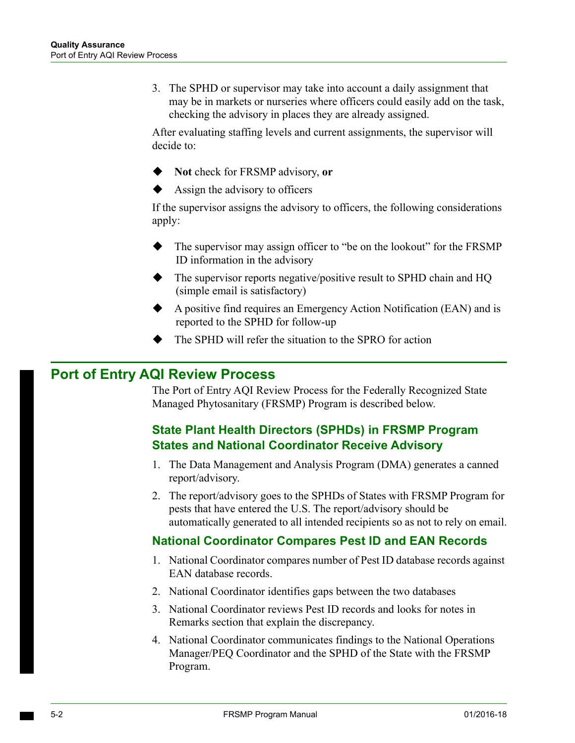3. The SPHD or supervisor may take into account a daily assignment that may be in markets or nurseries where officers could easily add on the task, checking the advisory in places they are already assigned.

After evaluating staffing levels and current assignments, the supervisor will decide to:

- **Not** check for FRSMP advisory, **or**
- Assign the advisory to officers

If the supervisor assigns the advisory to officers, the following considerations apply:

- The supervisor may assign officer to "be on the lookout" for the FRSMP ID information in the advisory
- The supervisor reports negative/positive result to SPHD chain and HQ (simple email is satisfactory)
- A positive find requires an Emergency Action Notification (EAN) and is reported to the SPHD for follow-up
- The SPHD will refer the situation to the SPRO for action

## <span id="page-33-0"></span>**Port of Entry AQI Review Process**

The Port of Entry AQI Review Process for the Federally Recognized State Managed Phytosanitary (FRSMP) Program is described below.

## <span id="page-33-1"></span>**State Plant Health Directors (SPHDs) in FRSMP Program States and National Coordinator Receive Advisory**

- 1. The Data Management and Analysis Program (DMA) generates a canned report/advisory.
- 2. The report/advisory goes to the SPHDs of States with FRSMP Program for pests that have entered the U.S. The report/advisory should be automatically generated to all intended recipients so as not to rely on email.

#### <span id="page-33-2"></span>**National Coordinator Compares Pest ID and EAN Records**

- 1. National Coordinator compares number of Pest ID database records against EAN database records.
- 2. National Coordinator identifies gaps between the two databases
- 3. National Coordinator reviews Pest ID records and looks for notes in Remarks section that explain the discrepancy.
- 4. National Coordinator communicates findings to the National Operations Manager/PEQ Coordinator and the SPHD of the State with the FRSMP Program.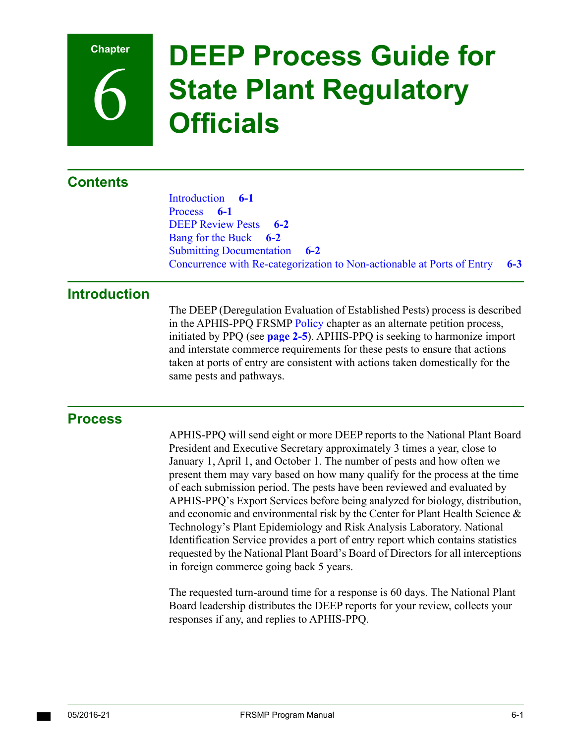

# <span id="page-34-0"></span>**DEEP Process Guide for State Plant Regulatory Officials**

## **Contents**

[Introduction](#page-34-1) **6-1** [Process](#page-34-2) **6-1** [DEEP Review Pests](#page-35-0) **6-2** [Bang for the Buck](#page-35-1) **6-2** [Submitting Documentation](#page-35-2) **6-2** [Concurrence with Re-categorization to Non-actionable at Ports of Entry](#page-36-0) **6-3**

## <span id="page-34-1"></span>**Introduction**

The DEEP (Deregulation Evaluation of Established Pests) process is described in the APHIS-PPQ FRSMP [Policy](#page-12-0) chapter as an alternate petition process, initiated by PPQ (see **[page 2-5](#page-16-2)**). APHIS-PPQ is seeking to harmonize import and interstate commerce requirements for these pests to ensure that actions taken at ports of entry are consistent with actions taken domestically for the same pests and pathways.

## <span id="page-34-2"></span>**Process**

APHIS-PPQ will send eight or more DEEP reports to the National Plant Board President and Executive Secretary approximately 3 times a year, close to January 1, April 1, and October 1. The number of pests and how often we present them may vary based on how many qualify for the process at the time of each submission period. The pests have been reviewed and evaluated by APHIS-PPQ's Export Services before being analyzed for biology, distribution, and economic and environmental risk by the Center for Plant Health Science & Technology's Plant Epidemiology and Risk Analysis Laboratory. National Identification Service provides a port of entry report which contains statistics requested by the National Plant Board's Board of Directors for all interceptions in foreign commerce going back 5 years.

The requested turn-around time for a response is 60 days. The National Plant Board leadership distributes the DEEP reports for your review, collects your responses if any, and replies to APHIS-PPQ.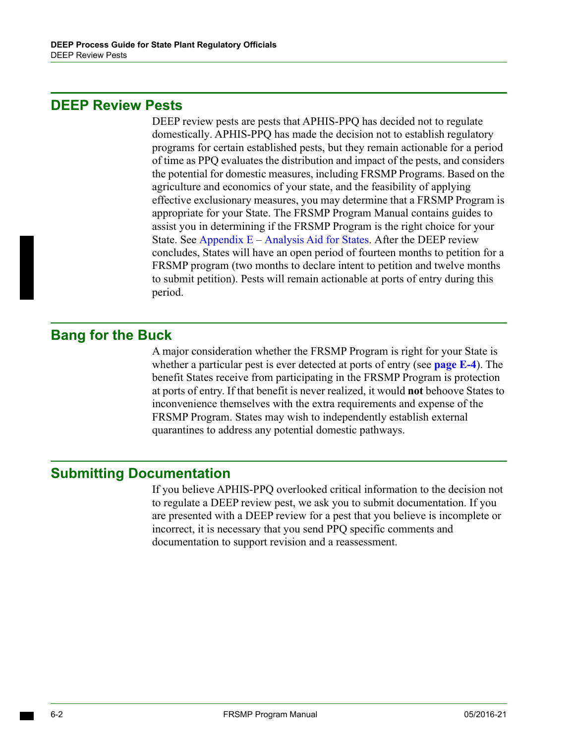## <span id="page-35-0"></span>**DEEP Review Pests**

DEEP review pests are pests that APHIS-PPQ has decided not to regulate domestically. APHIS-PPQ has made the decision not to establish regulatory programs for certain established pests, but they remain actionable for a period of time as PPQ evaluates the distribution and impact of the pests, and considers the potential for domestic measures, including FRSMP Programs. Based on the agriculture and economics of your state, and the feasibility of applying effective exclusionary measures, you may determine that a FRSMP Program is appropriate for your State. The FRSMP Program Manual contains guides to assist you in determining if the FRSMP Program is the right choice for your State. See Appendix  $E -$  [Analysis Aid for States.](#page-70-1) After the DEEP review concludes, States will have an open period of fourteen months to petition for a FRSMP program (two months to declare intent to petition and twelve months to submit petition). Pests will remain actionable at ports of entry during this period.

## <span id="page-35-1"></span>**Bang for the Buck**

A major consideration whether the FRSMP Program is right for your State is whether a particular pest is ever detected at ports of entry (see **[page E-4](#page-73-0)**). The benefit States receive from participating in the FRSMP Program is protection at ports of entry. If that benefit is never realized, it would **not** behoove States to inconvenience themselves with the extra requirements and expense of the FRSMP Program. States may wish to independently establish external quarantines to address any potential domestic pathways.

## <span id="page-35-2"></span>**Submitting Documentation**

If you believe APHIS-PPQ overlooked critical information to the decision not to regulate a DEEP review pest, we ask you to submit documentation. If you are presented with a DEEP review for a pest that you believe is incomplete or incorrect, it is necessary that you send PPQ specific comments and documentation to support revision and a reassessment.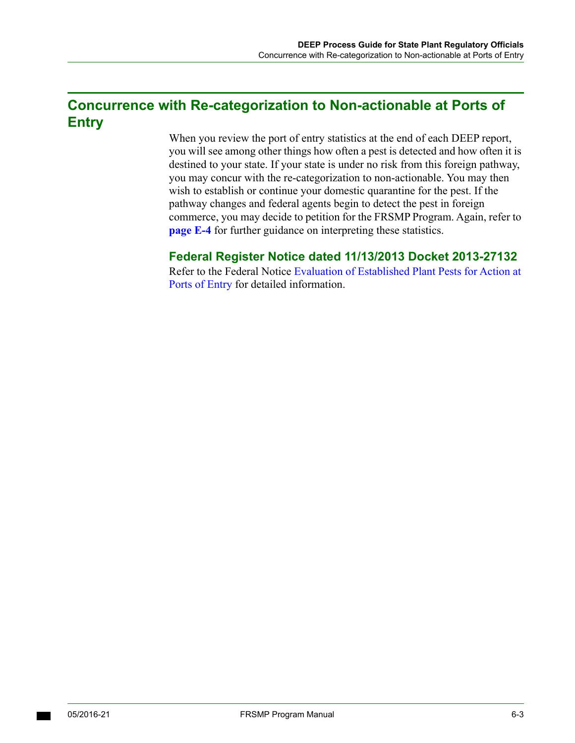## **Concurrence with Re-categorization to Non-actionable at Ports of Entry**

When you review the port of entry statistics at the end of each DEEP report, you will see among other things how often a pest is detected and how often it is destined to your state. If your state is under no risk from this foreign pathway, you may concur with the re-categorization to non-actionable. You may then wish to establish or continue your domestic quarantine for the pest. If the pathway changes and federal agents begin to detect the pest in foreign commerce, you may decide to petition for the FRSMP Program. Again, refer to **[page E-4](#page-73-0)** for further guidance on interpreting these statistics.

## **Federal Register Notice dated 11/13/2013 Docket 2013-27132**

Refer to the Federal Notice [Evaluation of Established Plant Pests for Action at](https://www.federalregister.gov/articles/2013/11/13/2013-27132/evaluation-of-established-plant-pests-for-action-at-ports-of-entry)  [Ports of Entry](https://www.federalregister.gov/articles/2013/11/13/2013-27132/evaluation-of-established-plant-pests-for-action-at-ports-of-entry) for detailed information.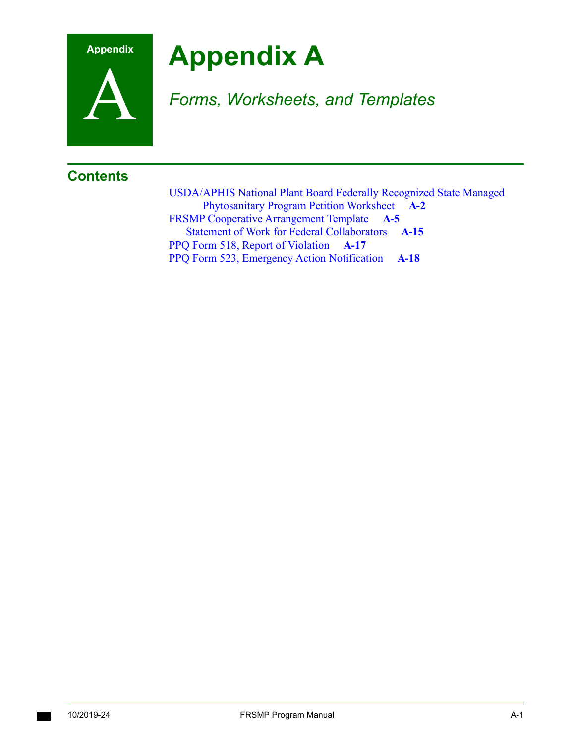

# A **Appendix A**

*Forms, Worksheets, and Templates*

## **Contents**

[USDA/APHIS National Plant Board Federally Recognized State Managed](#page-39-0)  [Phytosanitary Program Petition Worksheet](#page-39-0) **A-2** [FRSMP Cooperative Arrangement Template](#page-42-0) **A-5** [Statement of Work for Federal Collaborators](#page-52-0) **A-15** [PPQ Form 518, Report of Violation](#page-54-0) **A-17** [PPQ Form 523, Emergency Action Notification](#page-55-0) **A-18**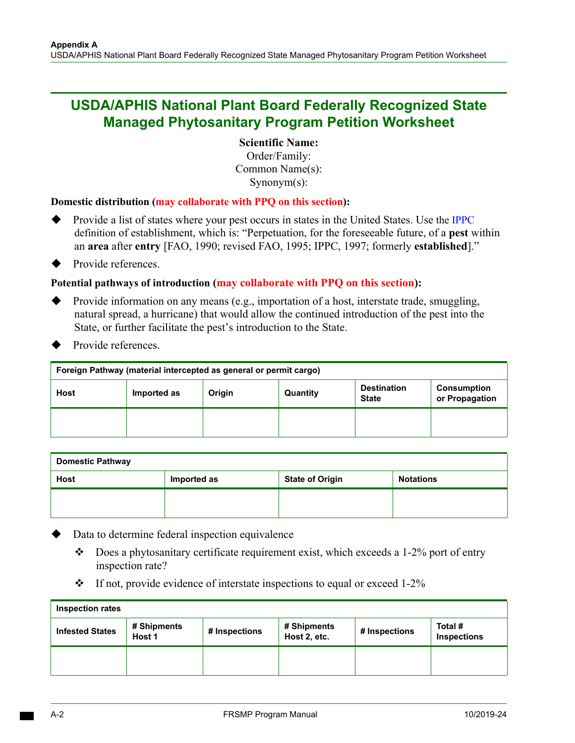## <span id="page-39-0"></span>**USDA/APHIS National Plant Board Federally Recognized State Managed Phytosanitary Program Petition Worksheet**

**Scientific Name:** Order/Family: Common Name(s): Synonym(s):

### **Domestic distribution (may collaborate with PPQ on this section):**

- Provide a list of states where your pest occurs in states in the United States. Use the [IPPC](https://www.ippc.int/) definition of establishment, which is: "Perpetuation, for the foreseeable future, of a **pest** within an **area** after **entry** [FAO, 1990; revised FAO, 1995; IPPC, 1997; formerly **established**]."
- Provide references.

### **Potential pathways of introduction (may collaborate with PPQ on this section):**

- Provide information on any means (e.g., importation of a host, interstate trade, smuggling, natural spread, a hurricane) that would allow the continued introduction of the pest into the State, or further facilitate the pest's introduction to the State.
- Provide references.

| Foreign Pathway (material intercepted as general or permit cargo) |             |        |          |                                    |                                      |
|-------------------------------------------------------------------|-------------|--------|----------|------------------------------------|--------------------------------------|
| Host                                                              | Imported as | Origin | Quantity | <b>Destination</b><br><b>State</b> | <b>Consumption</b><br>or Propagation |
|                                                                   |             |        |          |                                    |                                      |

| <b>Domestic Pathway</b> |             |                        |                  |
|-------------------------|-------------|------------------------|------------------|
| <b>Host</b>             | Imported as | <b>State of Origin</b> | <b>Notations</b> |
|                         |             |                        |                  |
|                         |             |                        |                  |

- Data to determine federal inspection equivalence
	- $\bullet$  Does a phytosanitary certificate requirement exist, which exceeds a 1-2% port of entry inspection rate?
	- $\cdot$  If not, provide evidence of interstate inspections to equal or exceed 1-2%

| Inspection rates       |                       |               |                             |               |                               |
|------------------------|-----------------------|---------------|-----------------------------|---------------|-------------------------------|
| <b>Infested States</b> | # Shipments<br>Host 1 | # Inspections | # Shipments<br>Host 2, etc. | # Inspections | Total #<br><b>Inspections</b> |
|                        |                       |               |                             |               |                               |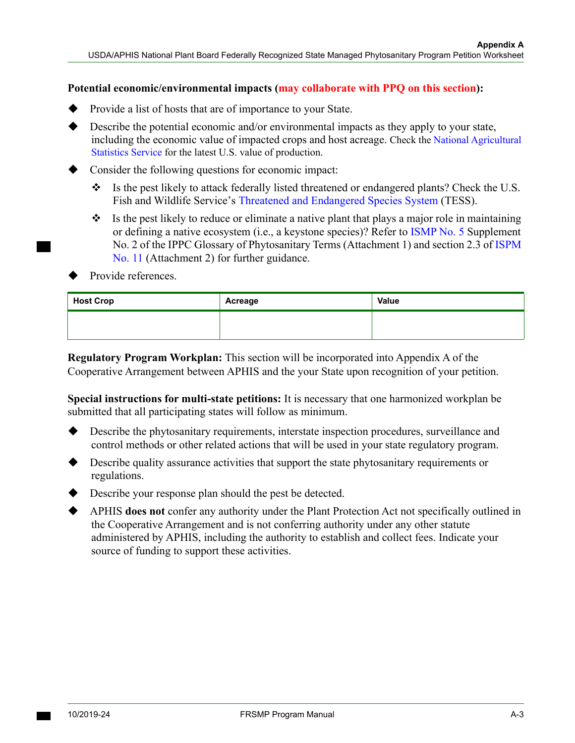### **Potential economic/environmental impacts (may collaborate with PPQ on this section):**

- Provide a list of hosts that are of importance to your State.
- Describe the potential economic and/or environmental impacts as they apply to your state, including the economic value of impacted crops and host acreage. Check the [National Agricultural](http://www.nass.usda.gov/)  [Statistics Service](http://www.nass.usda.gov/) for the latest U.S. value of production.
- Consider the following questions for economic impact:
	- \* Is the pest likely to attack federally listed threatened or endangered plants? Check the U.S. Fish and Wildlife Service's [Threatened and Endangered Species System](http://ecos.fws.gov/tess_public/) (TESS).
	- $\cdot \cdot$  Is the pest likely to reduce or eliminate a native plant that plays a major role in maintaining or defining a native ecosystem (i.e., a keystone species)? Refer to [ISMP No. 5](https://www.ippc.int/publications/glossary-phytosanitary-terms) Supplement No. 2 of the IPPC Glossary of Phytosanitary Terms (Attachment 1) and section 2.3 of [ISPM](https://www.ippc.int/en/publications/639/)  [No. 11](https://www.ippc.int/en/publications/639/) (Attachment 2) for further guidance.
- Provide references.

| Value   |
|---------|
|         |
| Acreage |

**Regulatory Program Workplan:** This section will be incorporated into Appendix A of the Cooperative Arrangement between APHIS and the your State upon recognition of your petition.

**Special instructions for multi-state petitions:** It is necessary that one harmonized workplan be submitted that all participating states will follow as minimum.

- Describe the phytosanitary requirements, interstate inspection procedures, surveillance and control methods or other related actions that will be used in your state regulatory program.
- Describe quality assurance activities that support the state phytosanitary requirements or regulations.
- ◆ Describe your response plan should the pest be detected.
- APHIS **does not** confer any authority under the Plant Protection Act not specifically outlined in the Cooperative Arrangement and is not conferring authority under any other statute administered by APHIS, including the authority to establish and collect fees. Indicate your source of funding to support these activities.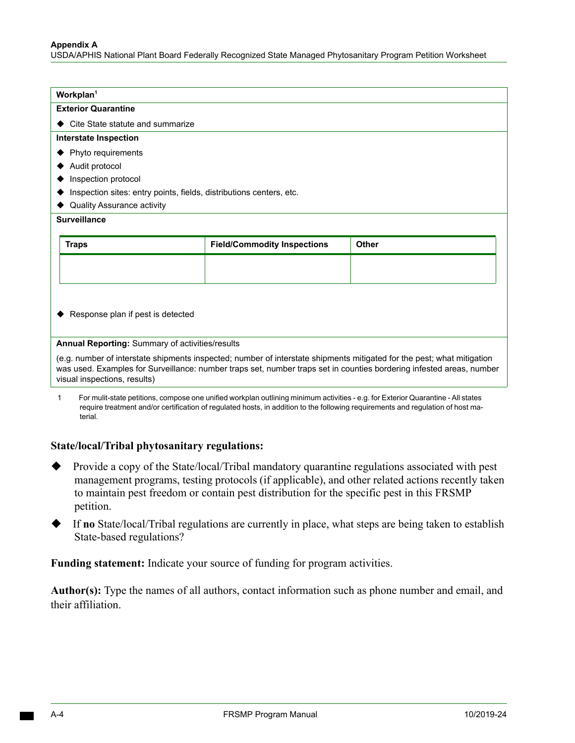| Workplan <sup>1</sup>                                                                                                                                  |                                    |                                                                                                                      |
|--------------------------------------------------------------------------------------------------------------------------------------------------------|------------------------------------|----------------------------------------------------------------------------------------------------------------------|
| <b>Exterior Quarantine</b>                                                                                                                             |                                    |                                                                                                                      |
| Cite State statute and summarize                                                                                                                       |                                    |                                                                                                                      |
| <b>Interstate Inspection</b>                                                                                                                           |                                    |                                                                                                                      |
| Phyto requirements                                                                                                                                     |                                    |                                                                                                                      |
| Audit protocol                                                                                                                                         |                                    |                                                                                                                      |
| Inspection protocol                                                                                                                                    |                                    |                                                                                                                      |
| Inspection sites: entry points, fields, distributions centers, etc.                                                                                    |                                    |                                                                                                                      |
| <b>Quality Assurance activity</b>                                                                                                                      |                                    |                                                                                                                      |
| <b>Surveillance</b>                                                                                                                                    |                                    |                                                                                                                      |
|                                                                                                                                                        |                                    |                                                                                                                      |
| <b>Traps</b>                                                                                                                                           | <b>Field/Commodity Inspections</b> | <b>Other</b>                                                                                                         |
|                                                                                                                                                        |                                    |                                                                                                                      |
|                                                                                                                                                        |                                    |                                                                                                                      |
|                                                                                                                                                        |                                    |                                                                                                                      |
|                                                                                                                                                        |                                    |                                                                                                                      |
|                                                                                                                                                        |                                    |                                                                                                                      |
| Response plan if pest is detected                                                                                                                      |                                    |                                                                                                                      |
|                                                                                                                                                        |                                    |                                                                                                                      |
| Annual Reporting: Summary of activities/results                                                                                                        |                                    |                                                                                                                      |
| (e.g. number of interstate shipments inspected; number of interstate shipments mitigated for the pest; what mitigation<br>visual inspections, results) |                                    | was used. Examples for Surveillance: number traps set, number traps set in counties bordering infested areas, number |

1 For mulit-state petitions, compose one unified workplan outlining minimum activities - e.g. for Exterior Quarantine - All states require treatment and/or certification of regulated hosts, in addition to the following requirements and regulation of host material.

### **State/local/Tribal phytosanitary regulations:**

- Provide a copy of the State/local/Tribal mandatory quarantine regulations associated with pest management programs, testing protocols (if applicable), and other related actions recently taken to maintain pest freedom or contain pest distribution for the specific pest in this FRSMP petition.
- If **no** State/local/Tribal regulations are currently in place, what steps are being taken to establish State-based regulations?

**Funding statement:** Indicate your source of funding for program activities.

**Author(s):** Type the names of all authors, contact information such as phone number and email, and their affiliation.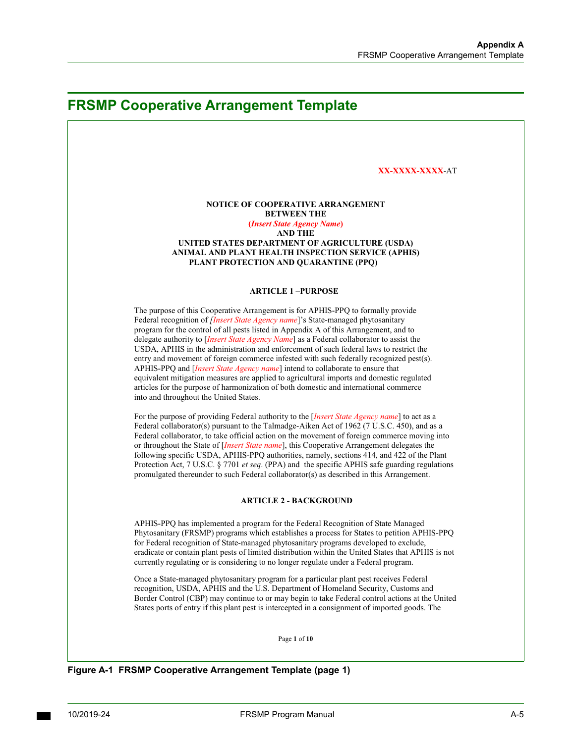## <span id="page-42-0"></span>**FRSMP Cooperative Arrangement Template**

### **XX-XXXX-XXXX**-AT

### **NOTICE OF COOPERATIVE ARRANGEMENT BETWEEN THE (***Insert State Agency Name***)**

**AND THE**

### **UNITED STATES DEPARTMENT OF AGRICULTURE (USDA) ANIMAL AND PLANT HEALTH INSPECTION SERVICE (APHIS) PLANT PROTECTION AND QUARANTINE (PPQ)**

#### **ARTICLE 1 –PURPOSE**

The purpose of this Cooperative Arrangement is for APHIS-PPQ to formally provide Federal recognition of *[Insert State Agency name*]'s State-managed phytosanitary program for the control of all pests listed in Appendix A of this Arrangement, and to delegate authority to [*Insert State Agency Name*] as a Federal collaborator to assist the USDA, APHIS in the administration and enforcement of such federal laws to restrict the entry and movement of foreign commerce infested with such federally recognized pest(s). APHIS-PPQ and [*Insert State Agency name*] intend to collaborate to ensure that equivalent mitigation measures are applied to agricultural imports and domestic regulated articles for the purpose of harmonization of both domestic and international commerce into and throughout the United States.

For the purpose of providing Federal authority to the [*Insert State Agency name*] to act as a Federal collaborator(s) pursuant to the Talmadge-Aiken Act of 1962 (7 U.S.C. 450), and as a Federal collaborator, to take official action on the movement of foreign commerce moving into or throughout the State of [*Insert State name*], this Cooperative Arrangement delegates the following specific USDA, APHIS-PPQ authorities, namely, sections 414, and 422 of the Plant Protection Act, 7 U.S.C. § 7701 *et seq*. (PPA) and the specific APHIS safe guarding regulations promulgated thereunder to such Federal collaborator(s) as described in this Arrangement.

### **ARTICLE 2 - BACKGROUND**

APHIS-PPQ has implemented a program for the Federal Recognition of State Managed Phytosanitary (FRSMP) programs which establishes a process for States to petition APHIS-PPQ for Federal recognition of State-managed phytosanitary programs developed to exclude, eradicate or contain plant pests of limited distribution within the United States that APHIS is not currently regulating or is considering to no longer regulate under a Federal program.

Once a State-managed phytosanitary program for a particular plant pest receives Federal recognition, USDA, APHIS and the U.S. Department of Homeland Security, Customs and Border Control (CBP) may continue to or may begin to take Federal control actions at the United States ports of entry if this plant pest is intercepted in a consignment of imported goods. The

Page **1** of **10**

**Figure A-1 FRSMP Cooperative Arrangement Template (page 1)**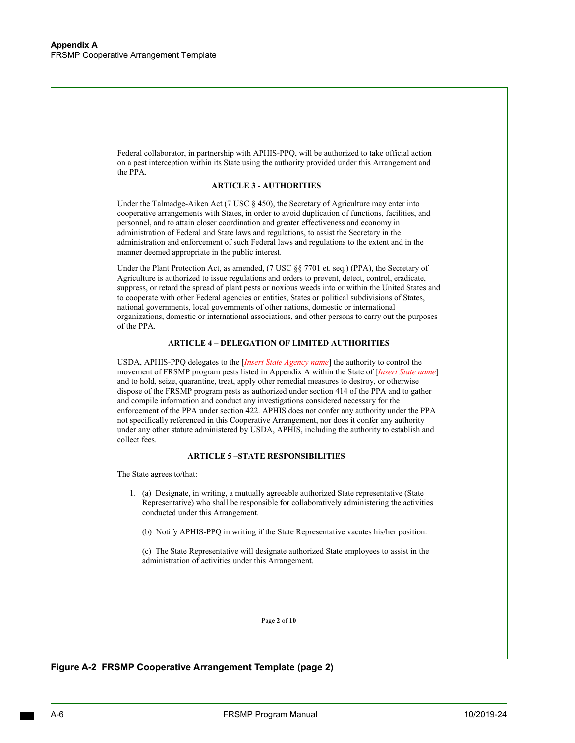Federal collaborator, in partnership with APHIS-PPQ, will be authorized to take official action on a pest interception within its State using the authority provided under this Arrangement and the PPA.

### **ARTICLE 3 - AUTHORITIES**

Under the Talmadge-Aiken Act (7 USC § 450), the Secretary of Agriculture may enter into cooperative arrangements with States, in order to avoid duplication of functions, facilities, and personnel, and to attain closer coordination and greater effectiveness and economy in administration of Federal and State laws and regulations, to assist the Secretary in the administration and enforcement of such Federal laws and regulations to the extent and in the manner deemed appropriate in the public interest.

Under the Plant Protection Act, as amended, (7 USC §§ 7701 et. seq.) (PPA), the Secretary of Agriculture is authorized to issue regulations and orders to prevent, detect, control, eradicate, suppress, or retard the spread of plant pests or noxious weeds into or within the United States and to cooperate with other Federal agencies or entities, States or political subdivisions of States, national governments, local governments of other nations, domestic or international organizations, domestic or international associations, and other persons to carry out the purposes of the PPA.

### **ARTICLE 4 – DELEGATION OF LIMITED AUTHORITIES**

USDA, APHIS-PPQ delegates to the [*Insert State Agency name*] the authority to control the movement of FRSMP program pests listed in Appendix A within the State of [*Insert State name*] and to hold, seize, quarantine, treat, apply other remedial measures to destroy, or otherwise dispose of the FRSMP program pests as authorized under section 414 of the PPA and to gather and compile information and conduct any investigations considered necessary for the enforcement of the PPA under section 422. APHIS does not confer any authority under the PPA not specifically referenced in this Cooperative Arrangement, nor does it confer any authority under any other statute administered by USDA, APHIS, including the authority to establish and collect fees.

### **ARTICLE 5 –STATE RESPONSIBILITIES**

The State agrees to/that:

- 1. (a) Designate, in writing, a mutually agreeable authorized State representative (State Representative) who shall be responsible for collaboratively administering the activities conducted under this Arrangement.
	- (b) Notify APHIS-PPQ in writing if the State Representative vacates his/her position.

(c) The State Representative will designate authorized State employees to assist in the administration of activities under this Arrangement.

Page **2** of **10**

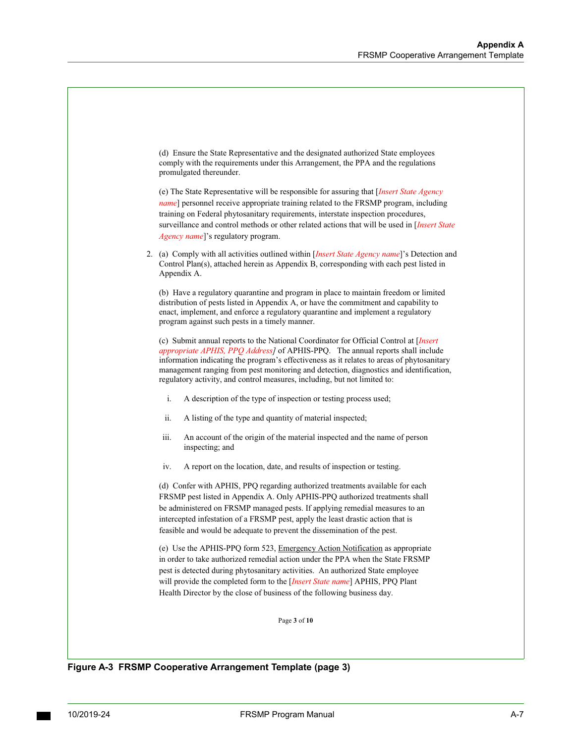

**Figure A-3 FRSMP Cooperative Arrangement Template (page 3)**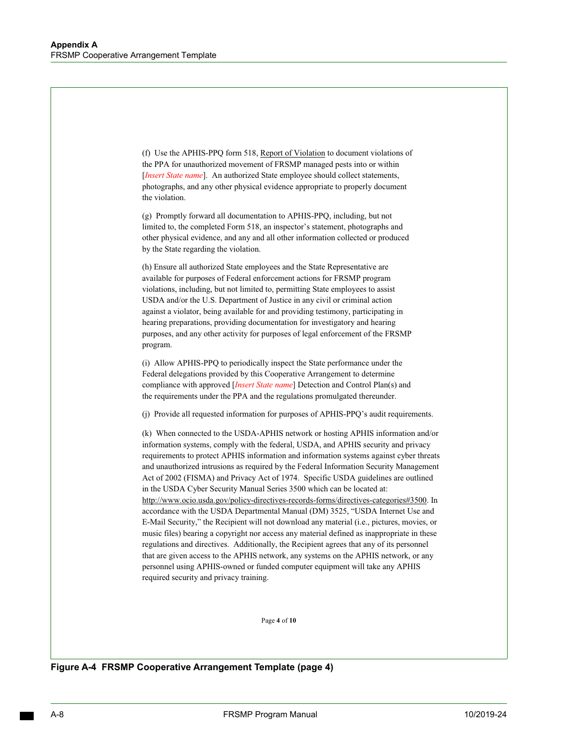(f) Use the APHIS-PPQ form 518, Report of Violation to document violations of the PPA for unauthorized movement of FRSMP managed pests into or within [*Insert State name*]. An authorized State employee should collect statements, photographs, and any other physical evidence appropriate to properly document the violation.

(g) Promptly forward all documentation to APHIS-PPQ, including, but not limited to, the completed Form 518, an inspector's statement, photographs and other physical evidence, and any and all other information collected or produced by the State regarding the violation.

(h) Ensure all authorized State employees and the State Representative are available for purposes of Federal enforcement actions for FRSMP program violations, including, but not limited to, permitting State employees to assist USDA and/or the U.S. Department of Justice in any civil or criminal action against a violator, being available for and providing testimony, participating in hearing preparations, providing documentation for investigatory and hearing purposes, and any other activity for purposes of legal enforcement of the FRSMP program.

(i) Allow APHIS-PPQ to periodically inspect the State performance under the Federal delegations provided by this Cooperative Arrangement to determine compliance with approved [*Insert State name*] Detection and Control Plan(s) and the requirements under the PPA and the regulations promulgated thereunder.

(j) Provide all requested information for purposes of APHIS-PPQ's audit requirements.

(k) When connected to the USDA-APHIS network or hosting APHIS information and/or information systems, comply with the federal, USDA, and APHIS security and privacy requirements to protect APHIS information and information systems against cyber threats and unauthorized intrusions as required by the Federal Information Security Management Act of 2002 (FISMA) and Privacy Act of 1974. Specific USDA guidelines are outlined in the USDA Cyber Security Manual Series 3500 which can be located at: http://www.ocio.usda.gov/policy-directives-records-forms/directives-categories#3500. In accordance with the USDA Departmental Manual (DM) 3525, "USDA Internet Use and E-Mail Security," the Recipient will not download any material (i.e., pictures, movies, or music files) bearing a copyright nor access any material defined as inappropriate in these regulations and directives. Additionally, the Recipient agrees that any of its personnel that are given access to the APHIS network, any systems on the APHIS network, or any personnel using APHIS-owned or funded computer equipment will take any APHIS required security and privacy training.

Page **4** of **10**

**Figure A-4 FRSMP Cooperative Arrangement Template (page 4)**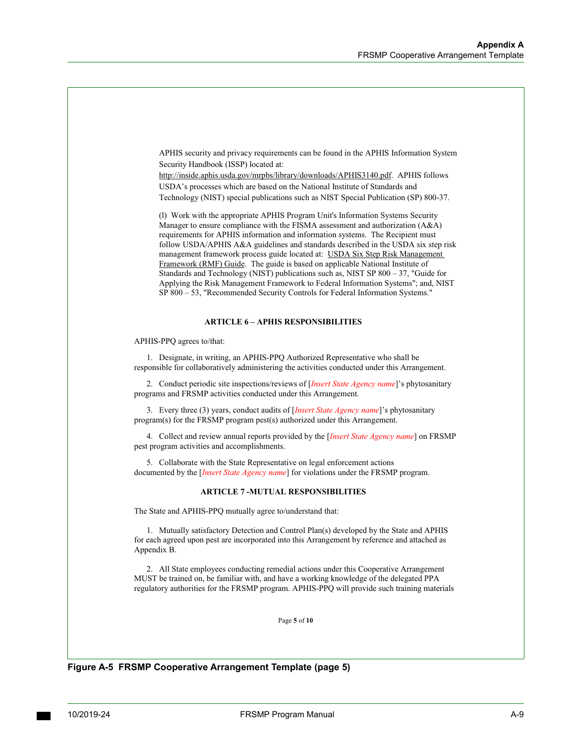APHIS security and privacy requirements can be found in the APHIS Information System Security Handbook (ISSP) located at:

http://inside.aphis.usda.gov/mrpbs/library/downloads/APHIS3140.pdf. APHIS follows USDA's processes which are based on the National Institute of Standards and Technology (NIST) special publications such as NIST Special Publication (SP) 800-37.

(l) Work with the appropriate APHIS Program Unit's Information Systems Security Manager to ensure compliance with the FISMA assessment and authorization (A&A) requirements for APHIS information and information systems. The Recipient must follow USDA/APHIS A&A guidelines and standards described in the USDA six step risk management framework process guide located at: USDA Six Step Risk Management Framework (RMF) Guide. The guide is based on applicable National Institute of Standards and Technology (NIST) publications such as, NIST SP 800 – 37, "Guide for Applying the Risk Management Framework to Federal Information Systems"; and, NIST SP 800 – 53, "Recommended Security Controls for Federal Information Systems."

#### **ARTICLE 6 – APHIS RESPONSIBILITIES**

APHIS-PPQ agrees to/that:

1. Designate, in writing, an APHIS-PPQ Authorized Representative who shall be responsible for collaboratively administering the activities conducted under this Arrangement.

2. Conduct periodic site inspections/reviews of [*Insert State Agency name*]'s phytosanitary programs and FRSMP activities conducted under this Arrangement.

3. Every three (3) years, conduct audits of [*Insert State Agency name*]'s phytosanitary program(s) for the FRSMP program pest(s) authorized under this Arrangement.

4. Collect and review annual reports provided by the [*Insert State Agency name*] on FRSMP pest program activities and accomplishments.

5. Collaborate with the State Representative on legal enforcement actions documented by the [*Insert State Agency name*] for violations under the FRSMP program.

### **ARTICLE 7 -MUTUAL RESPONSIBILITIES**

The State and APHIS-PPQ mutually agree to/understand that:

1. Mutually satisfactory Detection and Control Plan(s) developed by the State and APHIS for each agreed upon pest are incorporated into this Arrangement by reference and attached as Appendix B.

2. All State employees conducting remedial actions under this Cooperative Arrangement MUST be trained on, be familiar with, and have a working knowledge of the delegated PPA regulatory authorities for the FRSMP program. APHIS-PPQ will provide such training materials

Page **5** of **10**

**Figure A-5 FRSMP Cooperative Arrangement Template (page 5)**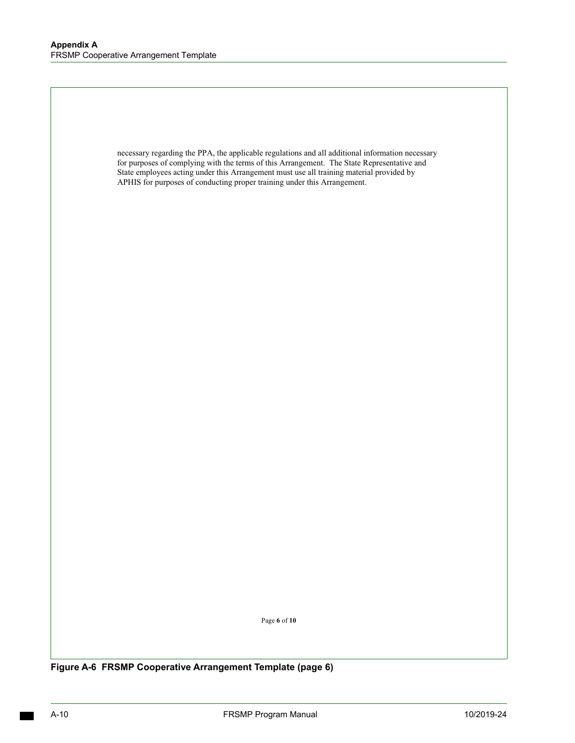necessary regarding the PPA, the applicable regulations and all additional information necessary for purposes of complying with the terms of this Arrangement. The State Representative and State employees acting under this Arrangement must use all training material provided by APHIS for purposes of conducting proper training under this Arrangement.

Page **6** of **10**

**Figure A-6 FRSMP Cooperative Arrangement Template (page 6)**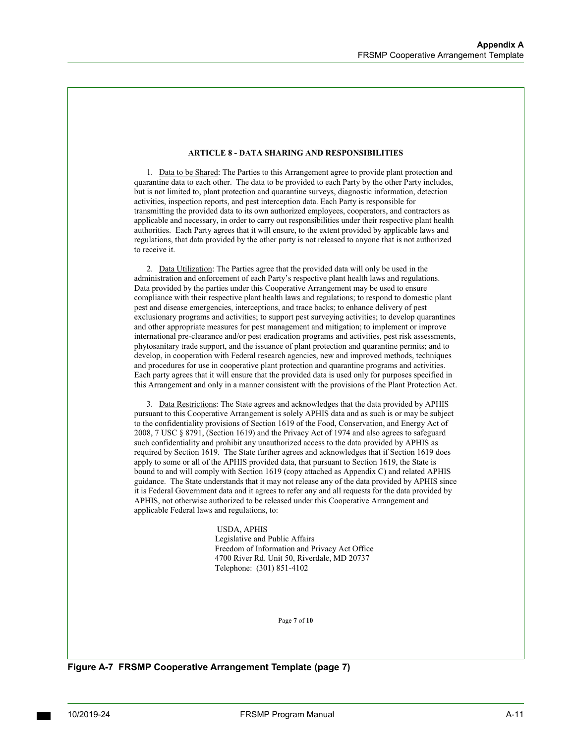### **ARTICLE 8 - DATA SHARING AND RESPONSIBILITIES**

1. Data to be Shared: The Parties to this Arrangement agree to provide plant protection and quarantine data to each other. The data to be provided to each Party by the other Party includes, but is not limited to, plant protection and quarantine surveys, diagnostic information, detection activities, inspection reports, and pest interception data. Each Party is responsible for transmitting the provided data to its own authorized employees, cooperators, and contractors as applicable and necessary, in order to carry out responsibilities under their respective plant health authorities. Each Party agrees that it will ensure, to the extent provided by applicable laws and regulations, that data provided by the other party is not released to anyone that is not authorized to receive it.

2. Data Utilization: The Parties agree that the provided data will only be used in the administration and enforcement of each Party's respective plant health laws and regulations. Data provided by the parties under this Cooperative Arrangement may be used to ensure compliance with their respective plant health laws and regulations; to respond to domestic plant pest and disease emergencies, interceptions, and trace backs; to enhance delivery of pest exclusionary programs and activities; to support pest surveying activities; to develop quarantines and other appropriate measures for pest management and mitigation; to implement or improve international pre-clearance and/or pest eradication programs and activities, pest risk assessments, phytosanitary trade support, and the issuance of plant protection and quarantine permits; and to develop, in cooperation with Federal research agencies, new and improved methods, techniques and procedures for use in cooperative plant protection and quarantine programs and activities. Each party agrees that it will ensure that the provided data is used only for purposes specified in this Arrangement and only in a manner consistent with the provisions of the Plant Protection Act.

3. Data Restrictions: The State agrees and acknowledges that the data provided by APHIS pursuant to this Cooperative Arrangement is solely APHIS data and as such is or may be subject to the confidentiality provisions of Section 1619 of the Food, Conservation, and Energy Act of 2008, 7 USC § 8791, (Section 1619) and the Privacy Act of 1974 and also agrees to safeguard such confidentiality and prohibit any unauthorized access to the data provided by APHIS as required by Section 1619. The State further agrees and acknowledges that if Section 1619 does apply to some or all of the APHIS provided data, that pursuant to Section 1619, the State is bound to and will comply with Section 1619 (copy attached as Appendix C) and related APHIS guidance. The State understands that it may not release any of the data provided by APHIS since it is Federal Government data and it agrees to refer any and all requests for the data provided by APHIS, not otherwise authorized to be released under this Cooperative Arrangement and applicable Federal laws and regulations, to:

> USDA, APHIS Legislative and Public Affairs Freedom of Information and Privacy Act Office 4700 River Rd. Unit 50, Riverdale, MD 20737 Telephone: (301) 851-4102

> > Page **7** of **10**

**Figure A-7 FRSMP Cooperative Arrangement Template (page 7)**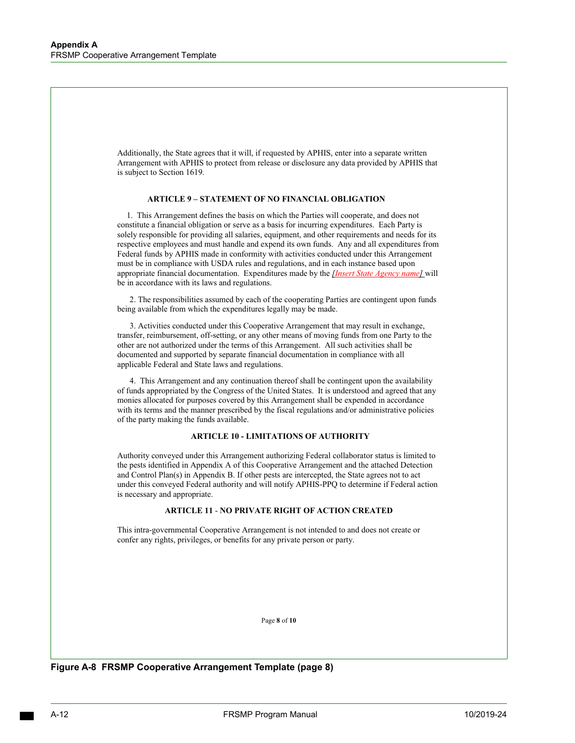Additionally, the State agrees that it will, if requested by APHIS, enter into a separate written Arrangement with APHIS to protect from release or disclosure any data provided by APHIS that is subject to Section 1619.

### **ARTICLE 9 – STATEMENT OF NO FINANCIAL OBLIGATION**

1. This Arrangement defines the basis on which the Parties will cooperate, and does not constitute a financial obligation or serve as a basis for incurring expenditures. Each Party is solely responsible for providing all salaries, equipment, and other requirements and needs for its respective employees and must handle and expend its own funds. Any and all expenditures from Federal funds by APHIS made in conformity with activities conducted under this Arrangement must be in compliance with USDA rules and regulations, and in each instance based upon appropriate financial documentation. Expenditures made by the *[Insert State Agency name]* will be in accordance with its laws and regulations.

2. The responsibilities assumed by each of the cooperating Parties are contingent upon funds being available from which the expenditures legally may be made.

3. Activities conducted under this Cooperative Arrangement that may result in exchange, transfer, reimbursement, off-setting, or any other means of moving funds from one Party to the other are not authorized under the terms of this Arrangement. All such activities shall be documented and supported by separate financial documentation in compliance with all applicable Federal and State laws and regulations.

4. This Arrangement and any continuation thereof shall be contingent upon the availability of funds appropriated by the Congress of the United States. It is understood and agreed that any monies allocated for purposes covered by this Arrangement shall be expended in accordance with its terms and the manner prescribed by the fiscal regulations and/or administrative policies of the party making the funds available.

#### **ARTICLE 10 - LIMITATIONS OF AUTHORITY**

Authority conveyed under this Arrangement authorizing Federal collaborator status is limited to the pests identified in Appendix A of this Cooperative Arrangement and the attached Detection and Control Plan(s) in Appendix B. If other pests are intercepted, the State agrees not to act under this conveyed Federal authority and will notify APHIS-PPQ to determine if Federal action is necessary and appropriate.

### **ARTICLE 11** - **NO PRIVATE RIGHT OF ACTION CREATED**

This intra-governmental Cooperative Arrangement is not intended to and does not create or confer any rights, privileges, or benefits for any private person or party.

Page **8** of **10**

**Figure A-8 FRSMP Cooperative Arrangement Template (page 8)**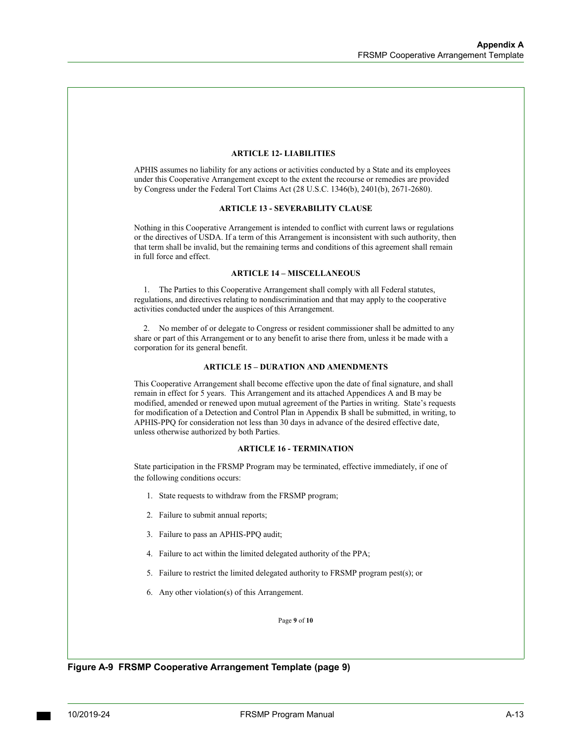### **ARTICLE 12- LIABILITIES**

APHIS assumes no liability for any actions or activities conducted by a State and its employees under this Cooperative Arrangement except to the extent the recourse or remedies are provided by Congress under the Federal Tort Claims Act (28 U.S.C. 1346(b), 2401(b), 2671-2680).

### **ARTICLE 13 - SEVERABILITY CLAUSE**

Nothing in this Cooperative Arrangement is intended to conflict with current laws or regulations or the directives of USDA. If a term of this Arrangement is inconsistent with such authority, then that term shall be invalid, but the remaining terms and conditions of this agreement shall remain in full force and effect.

### **ARTICLE 14 – MISCELLANEOUS**

1. The Parties to this Cooperative Arrangement shall comply with all Federal statutes, regulations, and directives relating to nondiscrimination and that may apply to the cooperative activities conducted under the auspices of this Arrangement.

2. No member of or delegate to Congress or resident commissioner shall be admitted to any share or part of this Arrangement or to any benefit to arise there from, unless it be made with a corporation for its general benefit.

### **ARTICLE 15 – DURATION AND AMENDMENTS**

This Cooperative Arrangement shall become effective upon the date of final signature, and shall remain in effect for 5 years. This Arrangement and its attached Appendices A and B may be modified, amended or renewed upon mutual agreement of the Parties in writing. State's requests for modification of a Detection and Control Plan in Appendix B shall be submitted, in writing, to APHIS-PPQ for consideration not less than 30 days in advance of the desired effective date, unless otherwise authorized by both Parties.

#### **ARTICLE 16 - TERMINATION**

State participation in the FRSMP Program may be terminated, effective immediately, if one of the following conditions occurs:

- 1. State requests to withdraw from the FRSMP program;
- 2. Failure to submit annual reports;
- 3. Failure to pass an APHIS-PPQ audit;
- 4. Failure to act within the limited delegated authority of the PPA;
- 5. Failure to restrict the limited delegated authority to FRSMP program pest(s); or
- 6. Any other violation(s) of this Arrangement.

Page **9** of **10**

**Figure A-9 FRSMP Cooperative Arrangement Template (page 9)**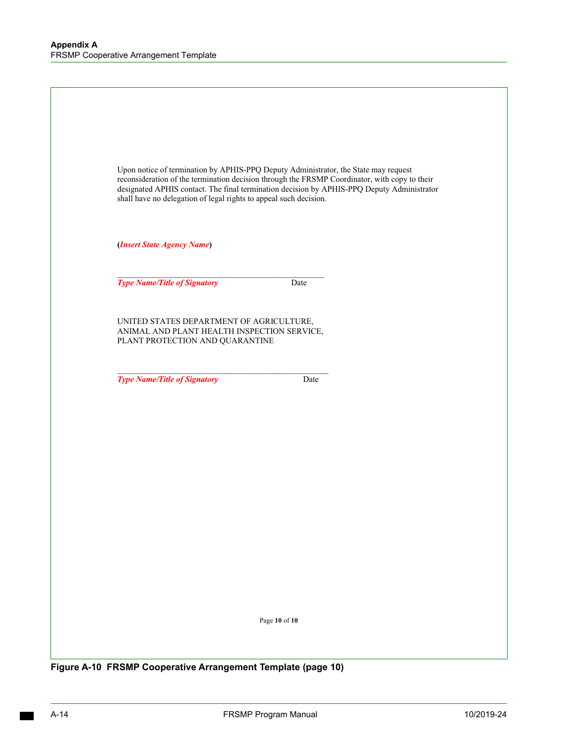| shall have no delegation of legal rights to appeal such decision.                                                          | Upon notice of termination by APHIS-PPQ Deputy Administrator, the State may request<br>reconsideration of the termination decision through the FRSMP Coordinator, with copy to their<br>designated APHIS contact. The final termination decision by APHIS-PPQ Deputy Administrator |
|----------------------------------------------------------------------------------------------------------------------------|------------------------------------------------------------------------------------------------------------------------------------------------------------------------------------------------------------------------------------------------------------------------------------|
| (Insert State Agency Name)                                                                                                 |                                                                                                                                                                                                                                                                                    |
| <b>Type Name/Title of Signatory</b>                                                                                        | Date                                                                                                                                                                                                                                                                               |
| UNITED STATES DEPARTMENT OF AGRICULTURE,<br>ANIMAL AND PLANT HEALTH INSPECTION SERVICE,<br>PLANT PROTECTION AND QUARANTINE |                                                                                                                                                                                                                                                                                    |
| <b>Type Name/Title of Signatory</b>                                                                                        | Date                                                                                                                                                                                                                                                                               |
|                                                                                                                            |                                                                                                                                                                                                                                                                                    |
|                                                                                                                            |                                                                                                                                                                                                                                                                                    |
|                                                                                                                            |                                                                                                                                                                                                                                                                                    |
|                                                                                                                            |                                                                                                                                                                                                                                                                                    |
|                                                                                                                            |                                                                                                                                                                                                                                                                                    |
|                                                                                                                            |                                                                                                                                                                                                                                                                                    |
|                                                                                                                            | Page 10 of 10                                                                                                                                                                                                                                                                      |

**Figure A-10 FRSMP Cooperative Arrangement Template (page 10)**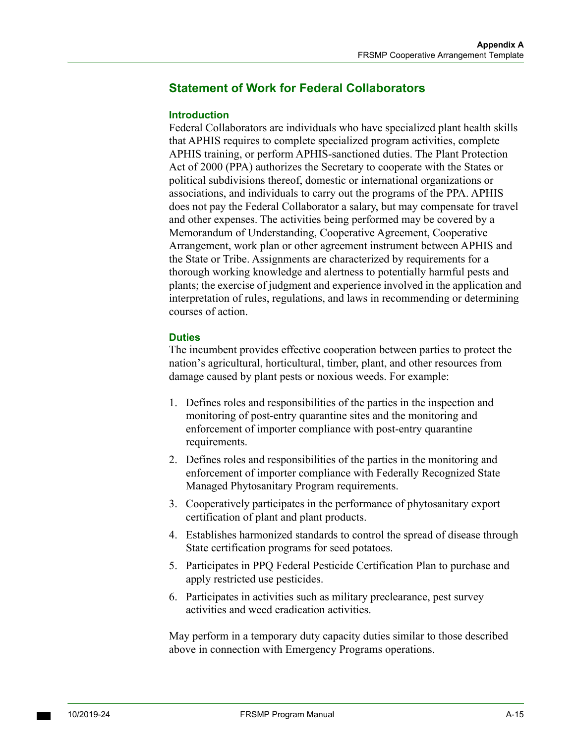## <span id="page-52-0"></span>**Statement of Work for Federal Collaborators**

### **Introduction**

Federal Collaborators are individuals who have specialized plant health skills that APHIS requires to complete specialized program activities, complete APHIS training, or perform APHIS-sanctioned duties. The Plant Protection Act of 2000 (PPA) authorizes the Secretary to cooperate with the States or political subdivisions thereof, domestic or international organizations or associations, and individuals to carry out the programs of the PPA. APHIS does not pay the Federal Collaborator a salary, but may compensate for travel and other expenses. The activities being performed may be covered by a Memorandum of Understanding, Cooperative Agreement, Cooperative Arrangement, work plan or other agreement instrument between APHIS and the State or Tribe. Assignments are characterized by requirements for a thorough working knowledge and alertness to potentially harmful pests and plants; the exercise of judgment and experience involved in the application and interpretation of rules, regulations, and laws in recommending or determining courses of action.

### **Duties**

The incumbent provides effective cooperation between parties to protect the nation's agricultural, horticultural, timber, plant, and other resources from damage caused by plant pests or noxious weeds. For example:

- 1. Defines roles and responsibilities of the parties in the inspection and monitoring of post-entry quarantine sites and the monitoring and enforcement of importer compliance with post-entry quarantine requirements.
- 2. Defines roles and responsibilities of the parties in the monitoring and enforcement of importer compliance with Federally Recognized State Managed Phytosanitary Program requirements.
- 3. Cooperatively participates in the performance of phytosanitary export certification of plant and plant products.
- 4. Establishes harmonized standards to control the spread of disease through State certification programs for seed potatoes.
- 5. Participates in PPQ Federal Pesticide Certification Plan to purchase and apply restricted use pesticides.
- 6. Participates in activities such as military preclearance, pest survey activities and weed eradication activities.

May perform in a temporary duty capacity duties similar to those described above in connection with Emergency Programs operations.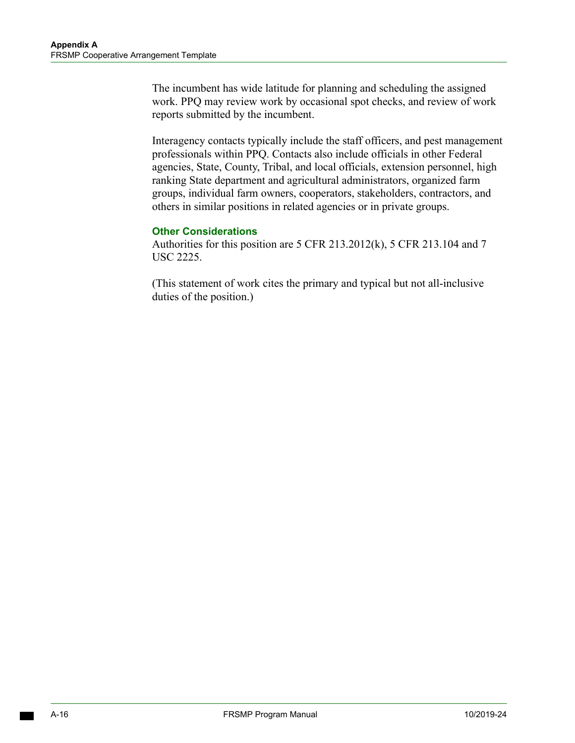The incumbent has wide latitude for planning and scheduling the assigned work. PPQ may review work by occasional spot checks, and review of work reports submitted by the incumbent.

Interagency contacts typically include the staff officers, and pest management professionals within PPQ. Contacts also include officials in other Federal agencies, State, County, Tribal, and local officials, extension personnel, high ranking State department and agricultural administrators, organized farm groups, individual farm owners, cooperators, stakeholders, contractors, and others in similar positions in related agencies or in private groups.

### **Other Considerations**

Authorities for this position are 5 CFR 213.2012(k), 5 CFR 213.104 and 7 USC 2225.

(This statement of work cites the primary and typical but not all-inclusive duties of the position.)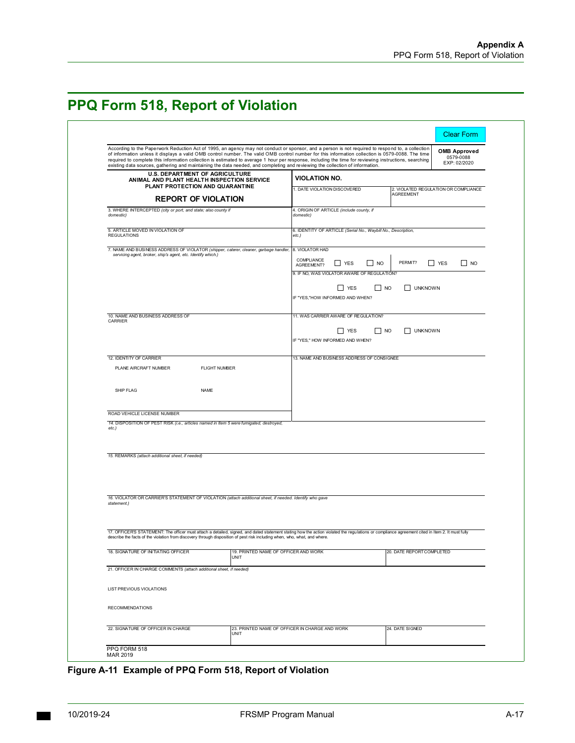# <span id="page-54-0"></span>**PPQ Form 518, Report of Violation**

| According to the Paperwork Reduction Act of 1995, an agency may not conduct or sponsor, and a person is not required to respond to, a collection<br>of information unless it displays a valid OMB control number. The valid OMB control number for this information collection is 0579-0088. The time<br>required to complete this information collection is estimated to average 1 hour per response, including the time for reviewing instructions, searching<br>existing data sources, gathering and maintaining the data needed, and completing and reviewing the collection of information. |                                                                                                                                                      | <b>OMB Approved</b><br>0579-0088<br>EXP: 02/2020                            |
|--------------------------------------------------------------------------------------------------------------------------------------------------------------------------------------------------------------------------------------------------------------------------------------------------------------------------------------------------------------------------------------------------------------------------------------------------------------------------------------------------------------------------------------------------------------------------------------------------|------------------------------------------------------------------------------------------------------------------------------------------------------|-----------------------------------------------------------------------------|
| <b>U.S. DEPARTMENT OF AGRICULTURE</b><br>ANIMAL AND PLANT HEALTH INSPECTION SERVICE                                                                                                                                                                                                                                                                                                                                                                                                                                                                                                              | <b>VIOLATION NO.</b>                                                                                                                                 |                                                                             |
| PLANT PROTECTION AND QUARANTINE<br><b>REPORT OF VIOLATION</b>                                                                                                                                                                                                                                                                                                                                                                                                                                                                                                                                    | 1. DATE VIOLATION DISCOVERED                                                                                                                         | 2. VIOLATED REGULATION OR COMPLIANCE<br><b>AGREEMENT</b>                    |
| 3. WHERE INTERCEPTED (city or port, and state; also county if<br>domestic)                                                                                                                                                                                                                                                                                                                                                                                                                                                                                                                       | 4. ORIGIN OF ARTICLE (include county, if<br>domestic)                                                                                                |                                                                             |
| 5. ARTICLE MOVED IN VIOLATION OF<br><b>REGULATIONS</b>                                                                                                                                                                                                                                                                                                                                                                                                                                                                                                                                           | 6. IDENTITY OF ARTICLE (Serial No., Waybill No., Description,<br>etc.)                                                                               |                                                                             |
| 7. NAME AND BUSINESS ADDRESS OF VIOLATOR (shipper, caterer, cleaner, garbage handler,<br>servicing agent, broker, ship's agent, etc. Identify which.)                                                                                                                                                                                                                                                                                                                                                                                                                                            | 8. VIOLATOR HAD<br>COMPLIANCE<br>$\Box$ YES<br>AGREEMENT?<br>9. IF NO, WAS VIOLATOR AWARE OF REGULATION?<br>I YES<br>IF "YES,"HOW INFORMED AND WHEN? | PERMIT?<br>YES<br>$\blacksquare$ NO<br>$\Box$ NO<br>$\vert$ NO<br>I UNKNOWN |
| 10. NAME AND BUSINESS ADDRESS OF<br>CARRIER                                                                                                                                                                                                                                                                                                                                                                                                                                                                                                                                                      | 11. WAS CARRIER AWARE OF REGULATION?<br>I YES<br>IF "YES," HOW INFORMED AND WHEN?                                                                    | $\Box$ NO<br>UNKNOWN                                                        |
| 12. IDENTITY OF CARRIER<br>PLANE AIRCRAFT NUMBER<br><b>FLIGHT NUMBER</b>                                                                                                                                                                                                                                                                                                                                                                                                                                                                                                                         | 13. NAME AND BUSINESS ADDRESS OF CONSIGNEE                                                                                                           |                                                                             |
| SHIP FLAG<br><b>NAME</b>                                                                                                                                                                                                                                                                                                                                                                                                                                                                                                                                                                         |                                                                                                                                                      |                                                                             |
| ROAD VEHICLE LICENSE NUMBER                                                                                                                                                                                                                                                                                                                                                                                                                                                                                                                                                                      |                                                                                                                                                      |                                                                             |
| 14. DISPOSITION OF PEST RISK (i.e., articles named in Item 5 were fumigated, destroyed,<br>etc.)                                                                                                                                                                                                                                                                                                                                                                                                                                                                                                 |                                                                                                                                                      |                                                                             |
| 15. REMARKS (attach additional sheet, if needed)                                                                                                                                                                                                                                                                                                                                                                                                                                                                                                                                                 |                                                                                                                                                      |                                                                             |
|                                                                                                                                                                                                                                                                                                                                                                                                                                                                                                                                                                                                  |                                                                                                                                                      |                                                                             |
| 16. VIOLATOR OR CARRIER'S STATEMENT OF VIOLATION (attach additional sheet, if needed. Identify who gave<br>statement.)                                                                                                                                                                                                                                                                                                                                                                                                                                                                           |                                                                                                                                                      |                                                                             |
| 17. OFFICER'S STATEMENT: The officer must attach a detailed, signed, and dated statement stating how the action violated the regulations or compliance agreement cited in Item 2. It must fully<br>describe the facts of the violation from discovery through disposition of pest risk including when, who, what, and where.                                                                                                                                                                                                                                                                     |                                                                                                                                                      |                                                                             |
| 18. SIGNATURE OF INITIATING OFFICER<br>UNIT                                                                                                                                                                                                                                                                                                                                                                                                                                                                                                                                                      | 19. PRINTED NAME OF OFFICER AND WORK                                                                                                                 | 20. DATE REPORT COMPLETED                                                   |
| 21. OFFICER IN CHARGE COMMENTS (attach additional sheet, if needed)                                                                                                                                                                                                                                                                                                                                                                                                                                                                                                                              |                                                                                                                                                      |                                                                             |
| LIST PREVIOUS VIOLATIONS                                                                                                                                                                                                                                                                                                                                                                                                                                                                                                                                                                         |                                                                                                                                                      |                                                                             |
|                                                                                                                                                                                                                                                                                                                                                                                                                                                                                                                                                                                                  |                                                                                                                                                      |                                                                             |
| <b>RECOMMENDATIONS</b>                                                                                                                                                                                                                                                                                                                                                                                                                                                                                                                                                                           |                                                                                                                                                      |                                                                             |

**Figure A-11 Example of PPQ Form 518, Report of Violation**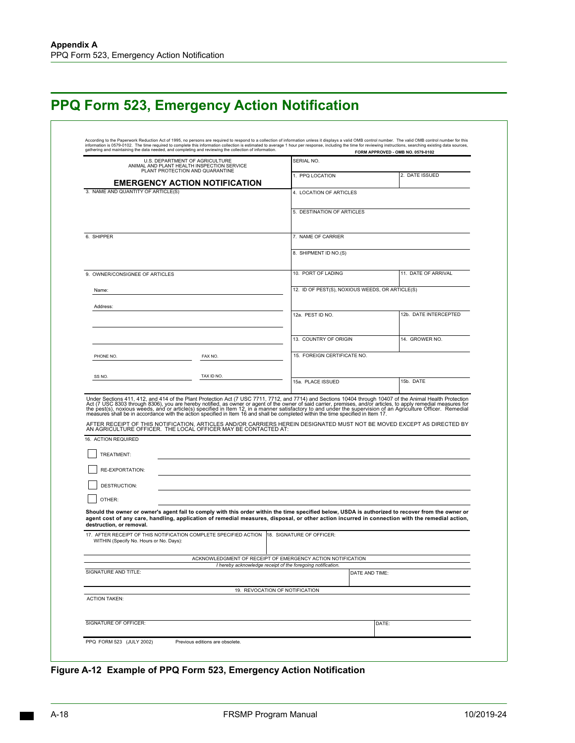<span id="page-55-0"></span>

|  |  |  | <b>PPQ Form 523, Emergency Action Notification</b> |
|--|--|--|----------------------------------------------------|
|  |  |  |                                                    |

| U.S. DEPARTMENT OF AGRICULTURE                                                                                                                                                                                                                                                                                                  | SERIAL NO.                                                                    |                       |
|---------------------------------------------------------------------------------------------------------------------------------------------------------------------------------------------------------------------------------------------------------------------------------------------------------------------------------|-------------------------------------------------------------------------------|-----------------------|
| ANIMAL AND PLANT HEALTH INSPECTION SERVICE<br>PLANT PROTECTION AND QUARANTINE                                                                                                                                                                                                                                                   | 1. PPQ LOCATION                                                               | 2. DATE ISSUED        |
| <b>EMERGENCY ACTION NOTIFICATION</b>                                                                                                                                                                                                                                                                                            |                                                                               |                       |
| 3. NAME AND QUANTITY OF ARTICLE(S)                                                                                                                                                                                                                                                                                              | 4. LOCATION OF ARTICLES                                                       |                       |
|                                                                                                                                                                                                                                                                                                                                 | 5. DESTINATION OF ARTICLES                                                    |                       |
| 6. SHIPPER                                                                                                                                                                                                                                                                                                                      | 7. NAME OF CARRIER                                                            |                       |
|                                                                                                                                                                                                                                                                                                                                 | 8. SHIPMENT ID NO.(S)                                                         |                       |
| 9. OWNER/CONSIGNEE OF ARTICLES                                                                                                                                                                                                                                                                                                  | 10. PORT OF LADING                                                            | 11. DATE OF ARRIVAL   |
| Name:                                                                                                                                                                                                                                                                                                                           | 12. ID OF PEST(S), NOXIOUS WEEDS, OR ARTICLE(S)                               |                       |
| Address:                                                                                                                                                                                                                                                                                                                        |                                                                               |                       |
|                                                                                                                                                                                                                                                                                                                                 | 12a. PEST ID NO.                                                              | 12b. DATE INTERCEPTED |
|                                                                                                                                                                                                                                                                                                                                 | 13. COUNTRY OF ORIGIN                                                         | 14. GROWER NO.        |
| PHONE NO.<br>FAX NO.                                                                                                                                                                                                                                                                                                            | 15. FOREIGN CERTIFICATE NO.                                                   |                       |
| TAX ID NO.<br>SS NO.                                                                                                                                                                                                                                                                                                            | 15a. PLACE ISSUED                                                             | 15b. DATE             |
|                                                                                                                                                                                                                                                                                                                                 |                                                                               |                       |
| AFTER RECEIPT OF THIS NOTIFICATION, ARTICLES AND/OR CARRIERS HEREIN DESIGNATED MUST NOT BE MOVED EXCEPT AS DIRECTED BY<br>AN AGRICULTURE OFFICER. THE LOCAL OFFICER MAY BE CONTACTED AT:<br>16. ACTION REQUIRED<br>TREATMENT:<br>RE-EXPORTATION:                                                                                |                                                                               |                       |
| <b>DESTRUCTION:</b>                                                                                                                                                                                                                                                                                                             |                                                                               |                       |
| OTHER:                                                                                                                                                                                                                                                                                                                          |                                                                               |                       |
| Should the owner or owner's agent fail to comply with this order within the time specified below, USDA is authorized to recover from the owner or<br>agent cost of any care, handling, application of remedial measures, disposal, or other action incurred in connection with the remedial action,<br>destruction, or removal. |                                                                               |                       |
| 17. AFTER RECEIPT OF THIS NOTIFICATION COMPLETE SPECIFIED ACTION 18. SIGNATURE OF OFFICER:<br>WITHIN (Specify No. Hours or No. Days):                                                                                                                                                                                           |                                                                               |                       |
|                                                                                                                                                                                                                                                                                                                                 | ACKNOWLEDGMENT OF RECEIPT OF EMERGENCY ACTION NOTIFICATION                    |                       |
| SIGNATURE AND TITLE:                                                                                                                                                                                                                                                                                                            | I hereby acknowledge receipt of the foregoing notification.<br>DATE AND TIME: |                       |
|                                                                                                                                                                                                                                                                                                                                 | 19. REVOCATION OF NOTIFICATION                                                |                       |
| <b>ACTION TAKEN:</b>                                                                                                                                                                                                                                                                                                            |                                                                               |                       |

**Figure A-12 Example of PPQ Form 523, Emergency Action Notification**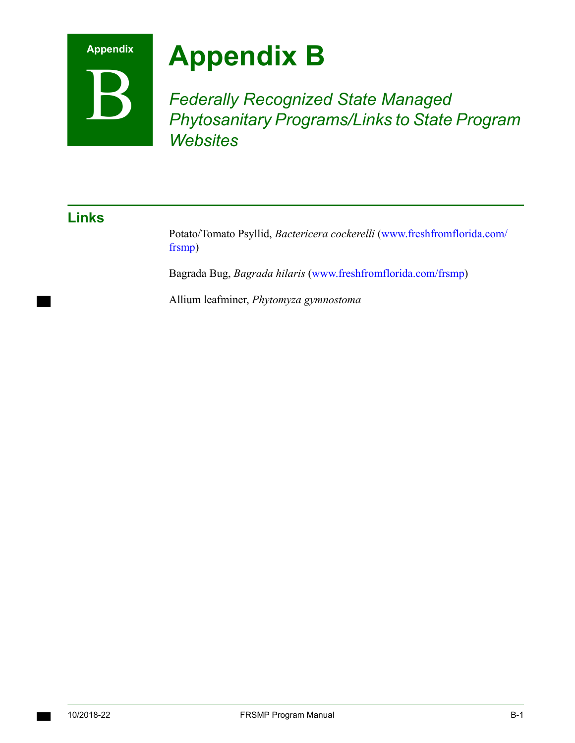# **Appendix**

# B **Appendix B**

*Federally Recognized State Managed Phytosanitary Programs/Links to State Program Websites*

# **Links**

Potato/Tomato Psyllid, *Bactericera cockerelli* [\(www.freshfromflorida.com/](www.freshfromflorida.com/frsmp) [frsmp\)](www.freshfromflorida.com/frsmp)

Bagrada Bug, *Bagrada hilaris* [\(www.freshfromflorida.com/frsmp\)](www.freshfromflorida.com/frsmp)

Allium leafminer, *Phytomyza gymnostoma*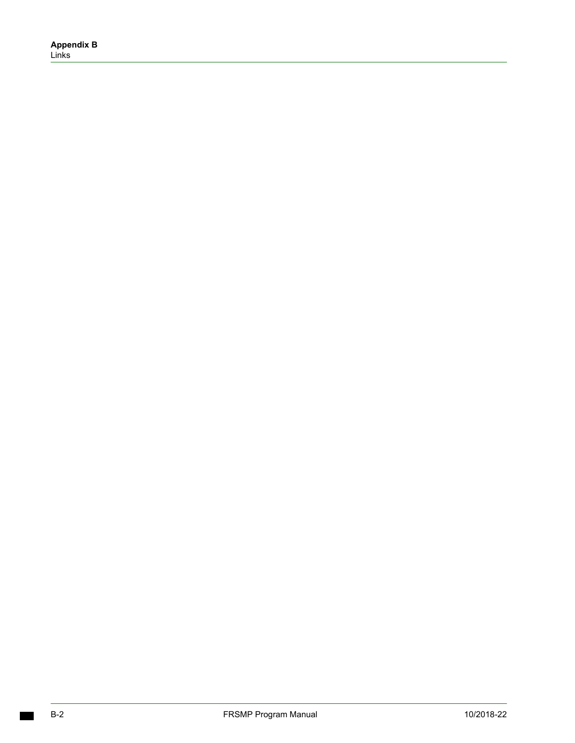**Appendix B** Links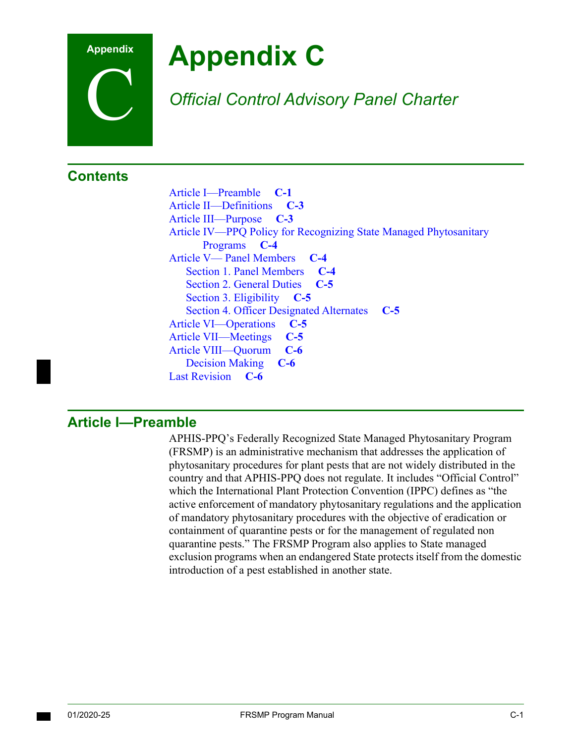### **Appendix**

# C **Appendix C**

# *Official Control Advisory Panel Charter*

## **Contents**

[Article I—Preamble](#page-58-0) **C-1** [Article II—Definitions](#page-60-0) **C-3** [Article III—Purpose](#page-60-1) **C-3** [Article IV—PPQ Policy for Recognizing State Managed Phytosanitary](#page-61-0)  [Programs](#page-61-0) **C-4** [Article V— Panel Members](#page-61-1) **C-4** [Section 1. Panel Members](#page-61-2) **C-4** [Section 2. General Duties](#page-62-2) **C-5** [Section 3. Eligibility](#page-62-3) **C-5** [Section 4. Officer Designated Alternates](#page-62-4) **C-5** [Article VI—Operations](#page-62-0) **C-5** [Article VII—Meetings](#page-62-1) **C-5** [Article VIII—Quorum](#page-63-0) **C-6** [Decision Making](#page-63-2) **C-6** [Last Revision](#page-63-1) **C-6**

## <span id="page-58-0"></span>**Article I—Preamble**

APHIS-PPQ's Federally Recognized State Managed Phytosanitary Program (FRSMP) is an administrative mechanism that addresses the application of phytosanitary procedures for plant pests that are not widely distributed in the country and that APHIS-PPQ does not regulate. It includes "Official Control" which the International Plant Protection Convention (IPPC) defines as "the active enforcement of mandatory phytosanitary regulations and the application of mandatory phytosanitary procedures with the objective of eradication or containment of quarantine pests or for the management of regulated non quarantine pests." The FRSMP Program also applies to State managed exclusion programs when an endangered State protects itself from the domestic introduction of a pest established in another state.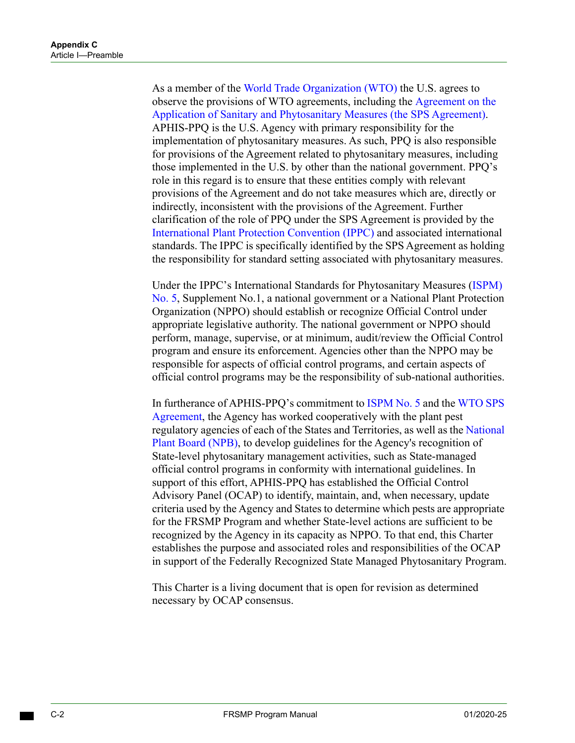As a member of the [World Trade Organization \(WTO\)](http://www.wto.org/) the U.S. agrees to observe the provisions of WTO agreements, including the [Agreement on the](http://www.wto.org/english/tratop_e/sps_e/spsagr_e.htm)  [Application of Sanitary and Phytosanitary Measures \(the SPS Agreement\)](http://www.wto.org/english/tratop_e/sps_e/spsagr_e.htm). APHIS-PPQ is the U.S. Agency with primary responsibility for the implementation of phytosanitary measures. As such, PPQ is also responsible for provisions of the Agreement related to phytosanitary measures, including those implemented in the U.S. by other than the national government. PPQ's role in this regard is to ensure that these entities comply with relevant provisions of the Agreement and do not take measures which are, directly or indirectly, inconsistent with the provisions of the Agreement. Further clarification of the role of PPQ under the SPS Agreement is provided by the [International Plant Protection Convention \(IPPC\)](https://www.ippc.int/) and associated international standards. The IPPC is specifically identified by the SPS Agreement as holding the responsibility for standard setting associated with phytosanitary measures.

Under the IPPC's International Standards for Phytosanitary Measures [\(ISPM\)](https://www.ippc.int/publications/glossary-phytosanitary-terms)  [No. 5,](https://www.ippc.int/publications/glossary-phytosanitary-terms) Supplement No.1, a national government or a National Plant Protection Organization (NPPO) should establish or recognize Official Control under appropriate legislative authority. The national government or NPPO should perform, manage, supervise, or at minimum, audit/review the Official Control program and ensure its enforcement. Agencies other than the NPPO may be responsible for aspects of official control programs, and certain aspects of official control programs may be the responsibility of sub-national authorities.

In furtherance of APHIS-PPQ's commitment to [ISPM No. 5](https://www.ippc.int/publications/glossary-phytosanitary-terms) and the [WTO SPS](http://www.wto.org/english/tratop_e/sps_e/spsagr_e.htm)  [Agreement](http://www.wto.org/english/tratop_e/sps_e/spsagr_e.htm), the Agency has worked cooperatively with the plant pest regulatory agencies of each of the States and Territories, as well as the [National](http://www.nationalplantboard.org/)  [Plant Board \(NPB\)](http://www.nationalplantboard.org/), to develop guidelines for the Agency's recognition of State-level phytosanitary management activities, such as State-managed official control programs in conformity with international guidelines. In support of this effort, APHIS-PPQ has established the Official Control Advisory Panel (OCAP) to identify, maintain, and, when necessary, update criteria used by the Agency and States to determine which pests are appropriate for the FRSMP Program and whether State-level actions are sufficient to be recognized by the Agency in its capacity as NPPO. To that end, this Charter establishes the purpose and associated roles and responsibilities of the OCAP in support of the Federally Recognized State Managed Phytosanitary Program.

This Charter is a living document that is open for revision as determined necessary by OCAP consensus.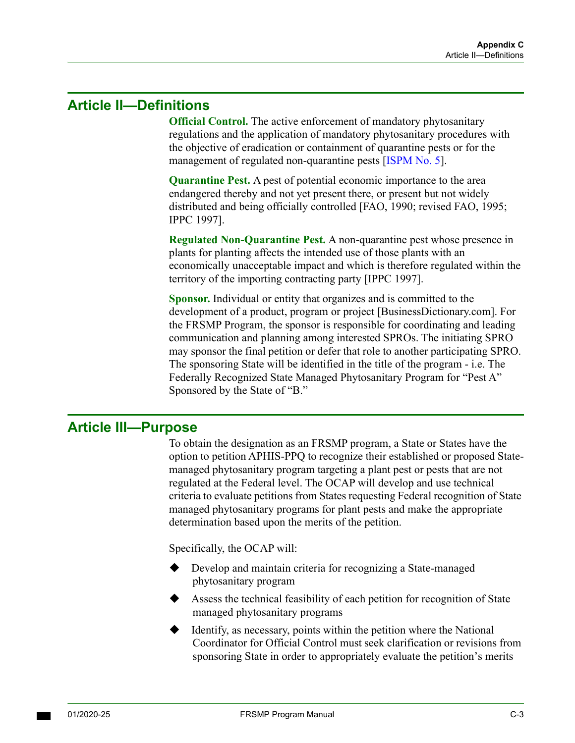## <span id="page-60-0"></span>**Article II—Definitions**

**Official Control.** The active enforcement of mandatory phytosanitary regulations and the application of mandatory phytosanitary procedures with the objective of eradication or containment of quarantine pests or for the management of regulated non-quarantine pests [\[ISPM No. 5](https://www.ippc.int/publications/glossary-phytosanitary-terms)].

**Quarantine Pest.** A pest of potential economic importance to the area endangered thereby and not yet present there, or present but not widely distributed and being officially controlled [FAO, 1990; revised FAO, 1995; IPPC 1997].

**Regulated Non-Quarantine Pest.** A non-quarantine pest whose presence in plants for planting affects the intended use of those plants with an economically unacceptable impact and which is therefore regulated within the territory of the importing contracting party [IPPC 1997].

**Sponsor.** Individual or entity that organizes and is committed to the development of a product, program or project [BusinessDictionary.com]. For the FRSMP Program, the sponsor is responsible for coordinating and leading communication and planning among interested SPROs. The initiating SPRO may sponsor the final petition or defer that role to another participating SPRO. The sponsoring State will be identified in the title of the program - i.e. The Federally Recognized State Managed Phytosanitary Program for "Pest A" Sponsored by the State of "B."

## <span id="page-60-1"></span>**Article III—Purpose**

To obtain the designation as an FRSMP program, a State or States have the option to petition APHIS-PPQ to recognize their established or proposed Statemanaged phytosanitary program targeting a plant pest or pests that are not regulated at the Federal level. The OCAP will develop and use technical criteria to evaluate petitions from States requesting Federal recognition of State managed phytosanitary programs for plant pests and make the appropriate determination based upon the merits of the petition.

Specifically, the OCAP will:

- Develop and maintain criteria for recognizing a State-managed phytosanitary program
- Assess the technical feasibility of each petition for recognition of State managed phytosanitary programs
- Identify, as necessary, points within the petition where the National Coordinator for Official Control must seek clarification or revisions from sponsoring State in order to appropriately evaluate the petition's merits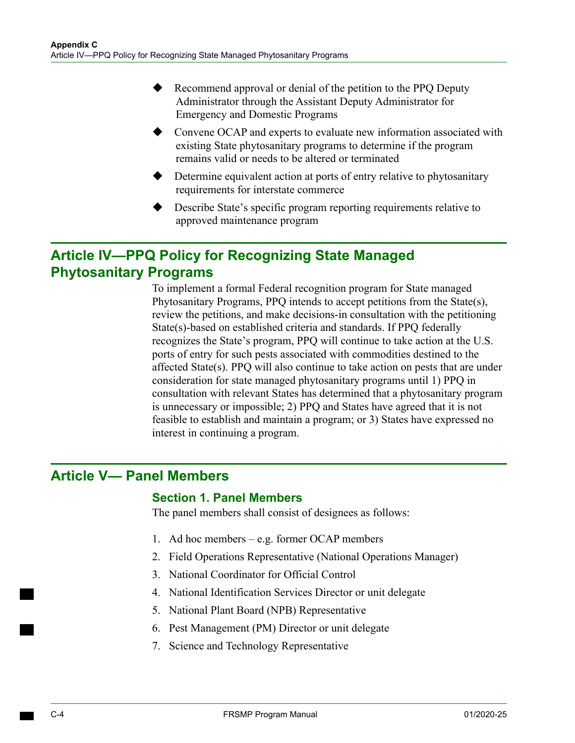- Recommend approval or denial of the petition to the PPQ Deputy Administrator through the Assistant Deputy Administrator for Emergency and Domestic Programs
- Convene OCAP and experts to evaluate new information associated with existing State phytosanitary programs to determine if the program remains valid or needs to be altered or terminated
- Determine equivalent action at ports of entry relative to phytosanitary requirements for interstate commerce
- Describe State's specific program reporting requirements relative to approved maintenance program

# <span id="page-61-0"></span>**Article IV—PPQ Policy for Recognizing State Managed Phytosanitary Programs**

To implement a formal Federal recognition program for State managed Phytosanitary Programs, PPQ intends to accept petitions from the State(s), review the petitions, and make decisions-in consultation with the petitioning State(s)-based on established criteria and standards. If PPQ federally recognizes the State's program, PPQ will continue to take action at the U.S. ports of entry for such pests associated with commodities destined to the affected State(s). PPQ will also continue to take action on pests that are under consideration for state managed phytosanitary programs until 1) PPQ in consultation with relevant States has determined that a phytosanitary program is unnecessary or impossible; 2) PPQ and States have agreed that it is not feasible to establish and maintain a program; or 3) States have expressed no interest in continuing a program.

# <span id="page-61-1"></span>**Article V— Panel Members**

### <span id="page-61-2"></span>**Section 1. Panel Members**

The panel members shall consist of designees as follows:

- 1. Ad hoc members e.g. former OCAP members
- 2. Field Operations Representative (National Operations Manager)
- 3. National Coordinator for Official Control
- 4. National Identification Services Director or unit delegate
- 5. National Plant Board (NPB) Representative
- 6. Pest Management (PM) Director or unit delegate
- 7. Science and Technology Representative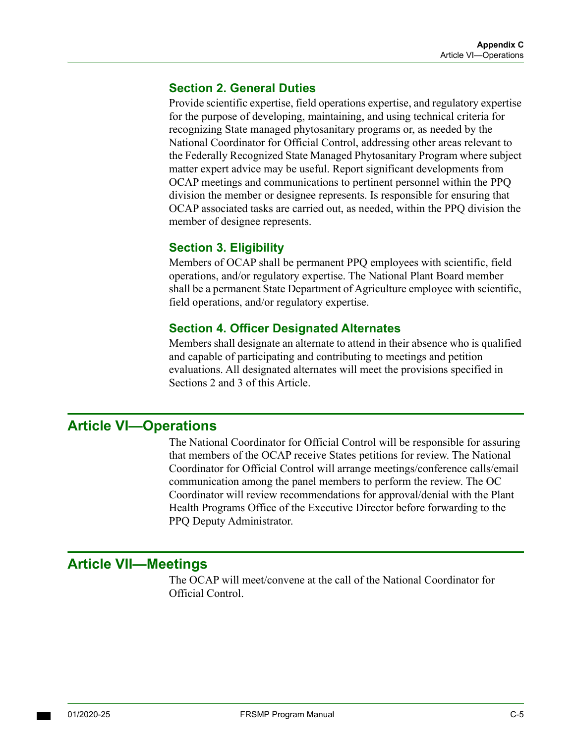### <span id="page-62-2"></span>**Section 2. General Duties**

Provide scientific expertise, field operations expertise, and regulatory expertise for the purpose of developing, maintaining, and using technical criteria for recognizing State managed phytosanitary programs or, as needed by the National Coordinator for Official Control, addressing other areas relevant to the Federally Recognized State Managed Phytosanitary Program where subject matter expert advice may be useful. Report significant developments from OCAP meetings and communications to pertinent personnel within the PPQ division the member or designee represents. Is responsible for ensuring that OCAP associated tasks are carried out, as needed, within the PPQ division the member of designee represents.

### <span id="page-62-3"></span>**Section 3. Eligibility**

Members of OCAP shall be permanent PPQ employees with scientific, field operations, and/or regulatory expertise. The National Plant Board member shall be a permanent State Department of Agriculture employee with scientific, field operations, and/or regulatory expertise.

### <span id="page-62-4"></span>**Section 4. Officer Designated Alternates**

Members shall designate an alternate to attend in their absence who is qualified and capable of participating and contributing to meetings and petition evaluations. All designated alternates will meet the provisions specified in Sections 2 and 3 of this Article.

## <span id="page-62-0"></span>**Article VI—Operations**

The National Coordinator for Official Control will be responsible for assuring that members of the OCAP receive States petitions for review. The National Coordinator for Official Control will arrange meetings/conference calls/email communication among the panel members to perform the review. The OC Coordinator will review recommendations for approval/denial with the Plant Health Programs Office of the Executive Director before forwarding to the PPQ Deputy Administrator.

## <span id="page-62-1"></span>**Article VII—Meetings**

The OCAP will meet/convene at the call of the National Coordinator for Official Control.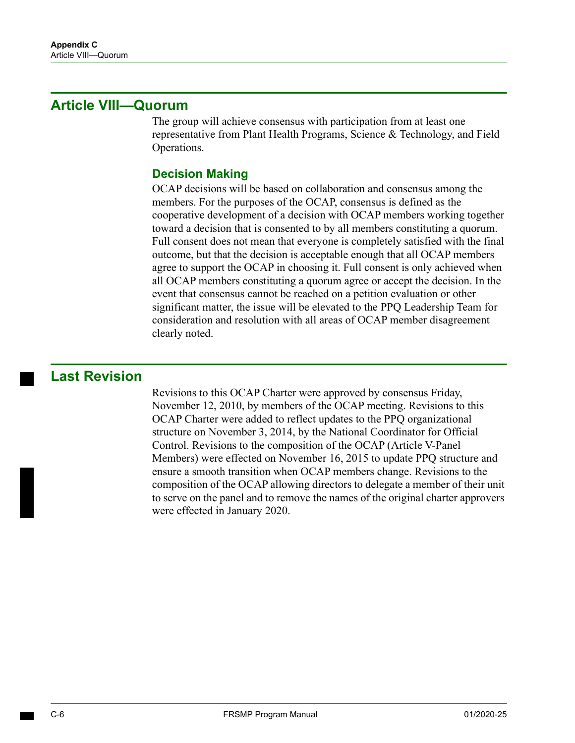## <span id="page-63-0"></span>**Article VIII—Quorum**

The group will achieve consensus with participation from at least one representative from Plant Health Programs, Science & Technology, and Field Operations.

### <span id="page-63-2"></span>**Decision Making**

OCAP decisions will be based on collaboration and consensus among the members. For the purposes of the OCAP, consensus is defined as the cooperative development of a decision with OCAP members working together toward a decision that is consented to by all members constituting a quorum. Full consent does not mean that everyone is completely satisfied with the final outcome, but that the decision is acceptable enough that all OCAP members agree to support the OCAP in choosing it. Full consent is only achieved when all OCAP members constituting a quorum agree or accept the decision. In the event that consensus cannot be reached on a petition evaluation or other significant matter, the issue will be elevated to the PPQ Leadership Team for consideration and resolution with all areas of OCAP member disagreement clearly noted.

## <span id="page-63-1"></span>**Last Revision**

Revisions to this OCAP Charter were approved by consensus Friday, November 12, 2010, by members of the OCAP meeting. Revisions to this OCAP Charter were added to reflect updates to the PPQ organizational structure on November 3, 2014, by the National Coordinator for Official Control. Revisions to the composition of the OCAP (Article V-Panel Members) were effected on November 16, 2015 to update PPQ structure and ensure a smooth transition when OCAP members change. Revisions to the composition of the OCAP allowing directors to delegate a member of their unit to serve on the panel and to remove the names of the original charter approvers were effected in January 2020.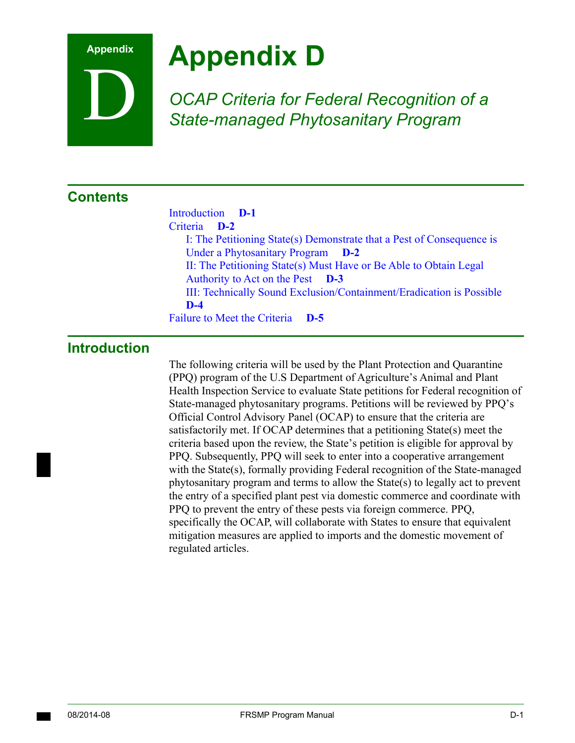# **Appendix D**

*OCAP Criteria for Federal Recognition of a State-managed Phytosanitary Program*

# **Contents**

**Appendix**

| <b>Introduction D-1</b>                                               |
|-----------------------------------------------------------------------|
| Criteria <b>D-2</b>                                                   |
| I: The Petitioning State(s) Demonstrate that a Pest of Consequence is |
| Under a Phytosanitary Program D-2                                     |
| II: The Petitioning State(s) Must Have or Be Able to Obtain Legal     |
| Authority to Act on the Pest D-3                                      |
| III: Technically Sound Exclusion/Containment/Eradication is Possible  |
| $D-4$                                                                 |
| <b>Failure to Meet the Criteria</b><br>$D-5$                          |

# <span id="page-64-0"></span>**Introduction**

The following criteria will be used by the Plant Protection and Quarantine (PPQ) program of the U.S Department of Agriculture's Animal and Plant Health Inspection Service to evaluate State petitions for Federal recognition of State-managed phytosanitary programs. Petitions will be reviewed by PPQ's Official Control Advisory Panel (OCAP) to ensure that the criteria are satisfactorily met. If OCAP determines that a petitioning State(s) meet the criteria based upon the review, the State's petition is eligible for approval by PPQ. Subsequently, PPQ will seek to enter into a cooperative arrangement with the State(s), formally providing Federal recognition of the State-managed phytosanitary program and terms to allow the State(s) to legally act to prevent the entry of a specified plant pest via domestic commerce and coordinate with PPQ to prevent the entry of these pests via foreign commerce. PPQ, specifically the OCAP, will collaborate with States to ensure that equivalent mitigation measures are applied to imports and the domestic movement of regulated articles.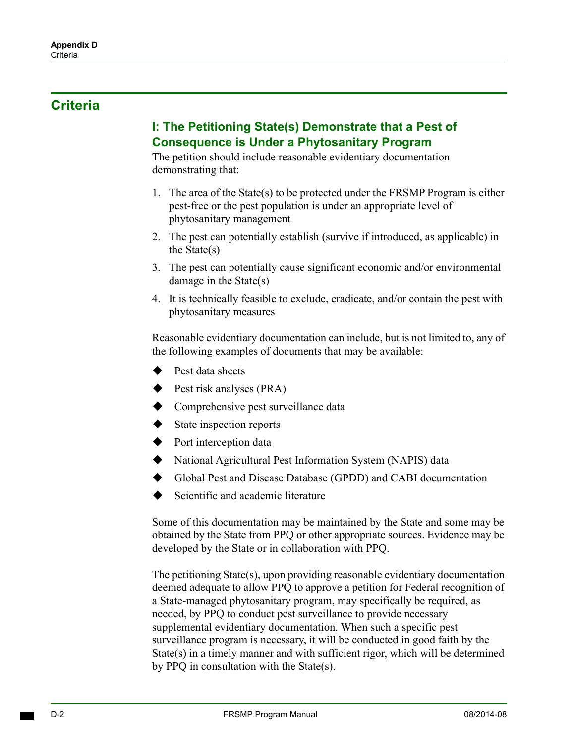# <span id="page-65-1"></span>**Criteria**

## <span id="page-65-0"></span>**I: The Petitioning State(s) Demonstrate that a Pest of Consequence is Under a Phytosanitary Program**

The petition should include reasonable evidentiary documentation demonstrating that:

- 1. The area of the State(s) to be protected under the FRSMP Program is either pest-free or the pest population is under an appropriate level of phytosanitary management
- 2. The pest can potentially establish (survive if introduced, as applicable) in the State(s)
- 3. The pest can potentially cause significant economic and/or environmental damage in the State(s)
- 4. It is technically feasible to exclude, eradicate, and/or contain the pest with phytosanitary measures

Reasonable evidentiary documentation can include, but is not limited to, any of the following examples of documents that may be available:

- Pest data sheets
- Pest risk analyses (PRA)
- ◆ Comprehensive pest surveillance data
- ◆ State inspection reports
- ◆ Port interception data
- National Agricultural Pest Information System (NAPIS) data
- Global Pest and Disease Database (GPDD) and CABI documentation
- Scientific and academic literature

Some of this documentation may be maintained by the State and some may be obtained by the State from PPQ or other appropriate sources. Evidence may be developed by the State or in collaboration with PPQ.

The petitioning  $State(s)$ , upon providing reasonable evidentiary documentation deemed adequate to allow PPQ to approve a petition for Federal recognition of a State-managed phytosanitary program, may specifically be required, as needed, by PPQ to conduct pest surveillance to provide necessary supplemental evidentiary documentation. When such a specific pest surveillance program is necessary, it will be conducted in good faith by the State(s) in a timely manner and with sufficient rigor, which will be determined by PPQ in consultation with the State(s).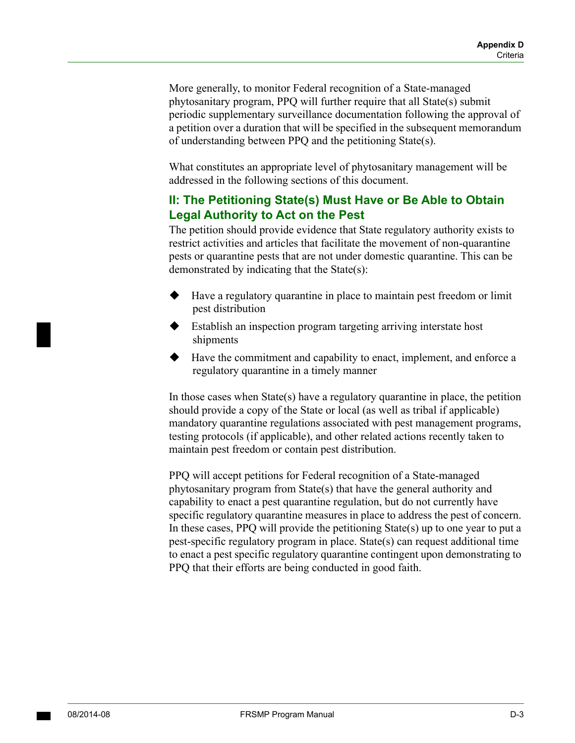More generally, to monitor Federal recognition of a State-managed phytosanitary program, PPQ will further require that all State(s) submit periodic supplementary surveillance documentation following the approval of a petition over a duration that will be specified in the subsequent memorandum of understanding between PPQ and the petitioning State(s).

What constitutes an appropriate level of phytosanitary management will be addressed in the following sections of this document.

## <span id="page-66-0"></span>**II: The Petitioning State(s) Must Have or Be Able to Obtain Legal Authority to Act on the Pest**

The petition should provide evidence that State regulatory authority exists to restrict activities and articles that facilitate the movement of non-quarantine pests or quarantine pests that are not under domestic quarantine. This can be demonstrated by indicating that the State(s):

- Have a regulatory quarantine in place to maintain pest freedom or limit pest distribution
- Establish an inspection program targeting arriving interstate host shipments
- Have the commitment and capability to enact, implement, and enforce a regulatory quarantine in a timely manner

In those cases when State(s) have a regulatory quarantine in place, the petition should provide a copy of the State or local (as well as tribal if applicable) mandatory quarantine regulations associated with pest management programs, testing protocols (if applicable), and other related actions recently taken to maintain pest freedom or contain pest distribution.

PPQ will accept petitions for Federal recognition of a State-managed phytosanitary program from State(s) that have the general authority and capability to enact a pest quarantine regulation, but do not currently have specific regulatory quarantine measures in place to address the pest of concern. In these cases, PPQ will provide the petitioning State(s) up to one year to put a pest-specific regulatory program in place. State(s) can request additional time to enact a pest specific regulatory quarantine contingent upon demonstrating to PPQ that their efforts are being conducted in good faith.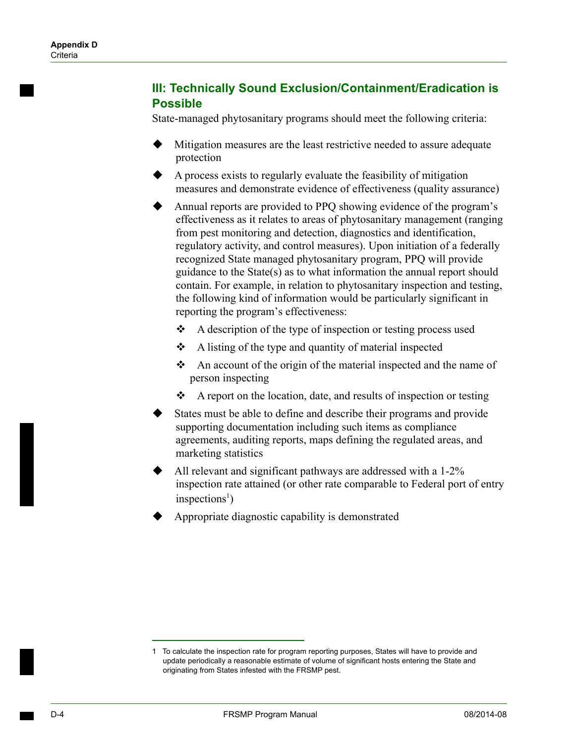### <span id="page-67-0"></span>**III: Technically Sound Exclusion/Containment/Eradication is Possible**

State-managed phytosanitary programs should meet the following criteria:

- Mitigation measures are the least restrictive needed to assure adequate protection
- A process exists to regularly evaluate the feasibility of mitigation measures and demonstrate evidence of effectiveness (quality assurance)
- Annual reports are provided to PPQ showing evidence of the program's effectiveness as it relates to areas of phytosanitary management (ranging from pest monitoring and detection, diagnostics and identification, regulatory activity, and control measures). Upon initiation of a federally recognized State managed phytosanitary program, PPQ will provide guidance to the State(s) as to what information the annual report should contain. For example, in relation to phytosanitary inspection and testing, the following kind of information would be particularly significant in reporting the program's effectiveness:
	- $\triangle$  A description of the type of inspection or testing process used
	- ❖ A listing of the type and quantity of material inspected
	- $\triangle$  An account of the origin of the material inspected and the name of person inspecting
	- $\triangle$  A report on the location, date, and results of inspection or testing
- States must be able to define and describe their programs and provide supporting documentation including such items as compliance agreements, auditing reports, maps defining the regulated areas, and marketing statistics
- All relevant and significant pathways are addressed with a 1-2% inspection rate attained (or other rate comparable to Federal port of entry  $inspections<sup>1</sup>$ )
- Appropriate diagnostic capability is demonstrated

<sup>1</sup> To calculate the inspection rate for program reporting purposes, States will have to provide and update periodically a reasonable estimate of volume of significant hosts entering the State and originating from States infested with the FRSMP pest.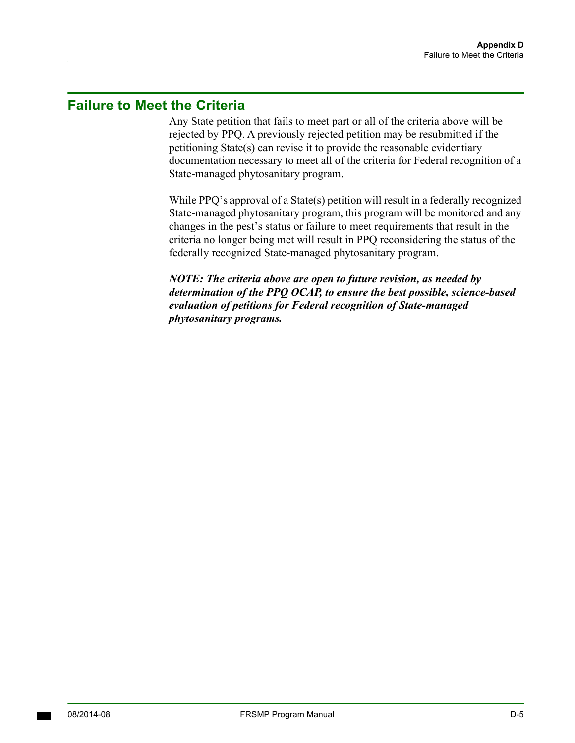## <span id="page-68-0"></span>**Failure to Meet the Criteria**

Any State petition that fails to meet part or all of the criteria above will be rejected by PPQ. A previously rejected petition may be resubmitted if the petitioning State(s) can revise it to provide the reasonable evidentiary documentation necessary to meet all of the criteria for Federal recognition of a State-managed phytosanitary program.

While PPQ's approval of a State(s) petition will result in a federally recognized State-managed phytosanitary program, this program will be monitored and any changes in the pest's status or failure to meet requirements that result in the criteria no longer being met will result in PPQ reconsidering the status of the federally recognized State-managed phytosanitary program.

*NOTE: The criteria above are open to future revision, as needed by determination of the PPQ OCAP, to ensure the best possible, science-based evaluation of petitions for Federal recognition of State-managed phytosanitary programs.*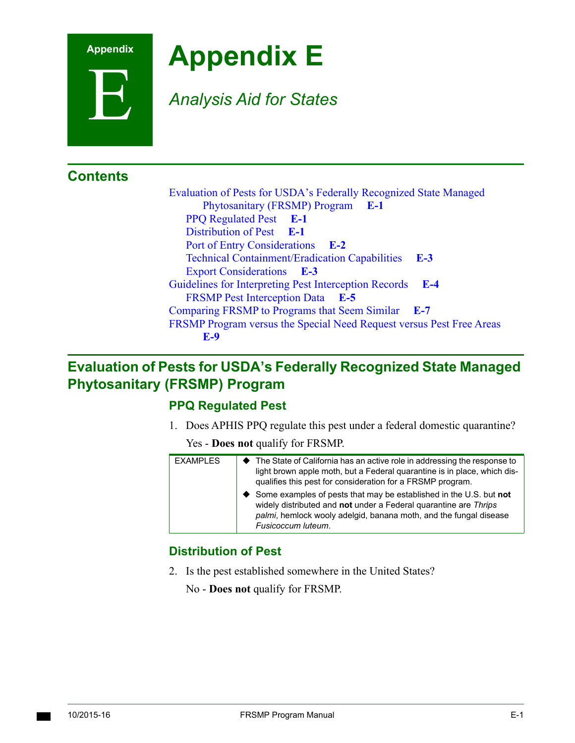# E **Appendix E**

# *Analysis Aid for States*

**Contents**

**Appendix**

[Evaluation of Pests for USDA's Federally Recognized State Managed](#page-70-0)  [Phytosanitary \(FRSMP\) Program](#page-70-0) **E-1** [PPQ Regulated Pest](#page-70-1) **E-1** [Distribution of Pest](#page-70-2) **E-1** [Port of Entry Considerations](#page-71-0) **E-2** [Technical Containment/Eradication Capabilities](#page-72-0) **E-3** [Export Considerations](#page-72-1) **E-3** [Guidelines for Interpreting Pest Interception Records](#page-73-1) **E-4** [FRSMP Pest Interception Data](#page-74-0) **E-5** [Comparing FRSMP to Programs that Seem Similar](#page-76-0) **E-7** [FRSMP Program versus the Special Need Request versus Pest Free Areas](#page-78-0)  **[E-9](#page-78-0)**

# <span id="page-70-0"></span>**Evaluation of Pests for USDA's Federally Recognized State Managed Phytosanitary (FRSMP) Program**

## <span id="page-70-1"></span>**PPQ Regulated Pest**

1. Does APHIS PPQ regulate this pest under a federal domestic quarantine?

Yes - **Does not** qualify for FRSMP.

| <b>EXAMPLES</b> | $\blacklozenge$ The State of California has an active role in addressing the response to<br>light brown apple moth, but a Federal quarantine is in place, which dis-<br>qualifies this pest for consideration for a FRSMP program. |
|-----------------|------------------------------------------------------------------------------------------------------------------------------------------------------------------------------------------------------------------------------------|
|                 | Some examples of pests that may be established in the U.S. but not<br>widely distributed and not under a Federal quarantine are Thrips<br>palmi, hemlock wooly adelgid, banana moth, and the fungal disease<br>Fusicoccum luteum.  |

## <span id="page-70-2"></span>**Distribution of Pest**

2. Is the pest established somewhere in the United States?

No - **Does not** qualify for FRSMP.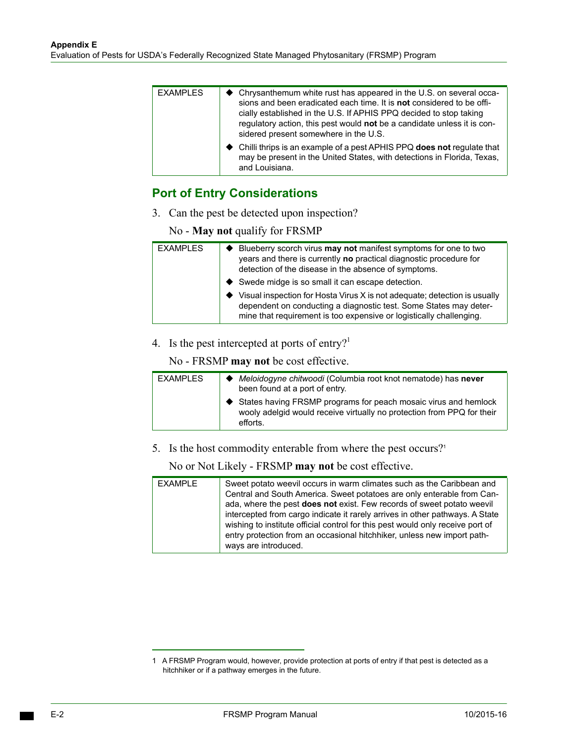| <b>EXAMPLES</b> | $\blacklozenge$ Chrysanthemum white rust has appeared in the U.S. on several occa-<br>sions and been eradicated each time. It is <b>not</b> considered to be offi-<br>cially established in the U.S. If APHIS PPQ decided to stop taking<br>regulatory action, this pest would not be a candidate unless it is con-<br>sidered present somewhere in the U.S. |
|-----------------|--------------------------------------------------------------------------------------------------------------------------------------------------------------------------------------------------------------------------------------------------------------------------------------------------------------------------------------------------------------|
|                 | ♦ Chilli thrips is an example of a pest APHIS PPQ does not regulate that<br>may be present in the United States, with detections in Florida, Texas,<br>and Louisiana.                                                                                                                                                                                        |

## <span id="page-71-0"></span>**Port of Entry Considerations**

3. Can the pest be detected upon inspection?

No - **May not** qualify for FRSMP

| EXAMPLES | $\blacklozenge$ Blueberry scorch virus <b>may not</b> manifest symptoms for one to two<br>years and there is currently no practical diagnostic procedure for<br>detection of the disease in the absence of symptoms.  |
|----------|-----------------------------------------------------------------------------------------------------------------------------------------------------------------------------------------------------------------------|
|          | ♦ Swede midge is so small it can escape detection.                                                                                                                                                                    |
|          | Visual inspection for Hosta Virus X is not adequate; detection is usually<br>dependent on conducting a diagnostic test. Some States may deter-<br>mine that requirement is too expensive or logistically challenging. |

4. Is the pest intercepted at ports of entry?<sup>1</sup>

### No - FRSMP **may not** be cost effective.

| EXAMPLES | ◆ Meloidogyne chitwoodi (Columbia root knot nematode) has never<br>been found at a port of entry.                                                       |
|----------|---------------------------------------------------------------------------------------------------------------------------------------------------------|
|          | ♦ States having FRSMP programs for peach mosaic virus and hemlock<br>wooly adelgid would receive virtually no protection from PPQ for their<br>efforts. |

5. Is the host commodity enterable from where the pest occurs?<sup>[1](#page-71-1)</sup>

No or Not Likely - FRSMP **may not** be cost effective.

| EXAMPLE | Sweet potato weevil occurs in warm climates such as the Caribbean and<br>Central and South America. Sweet potatoes are only enterable from Can-<br>ada, where the pest <b>does not</b> exist. Few records of sweet potato weevil<br>intercepted from cargo indicate it rarely arrives in other pathways. A State |
|---------|------------------------------------------------------------------------------------------------------------------------------------------------------------------------------------------------------------------------------------------------------------------------------------------------------------------|
|         | wishing to institute official control for this pest would only receive port of<br>entry protection from an occasional hitchhiker, unless new import path-                                                                                                                                                        |
|         | ways are introduced.                                                                                                                                                                                                                                                                                             |

<span id="page-71-1"></span><sup>1</sup> A FRSMP Program would, however, provide protection at ports of entry if that pest is detected as a hitchhiker or if a pathway emerges in the future.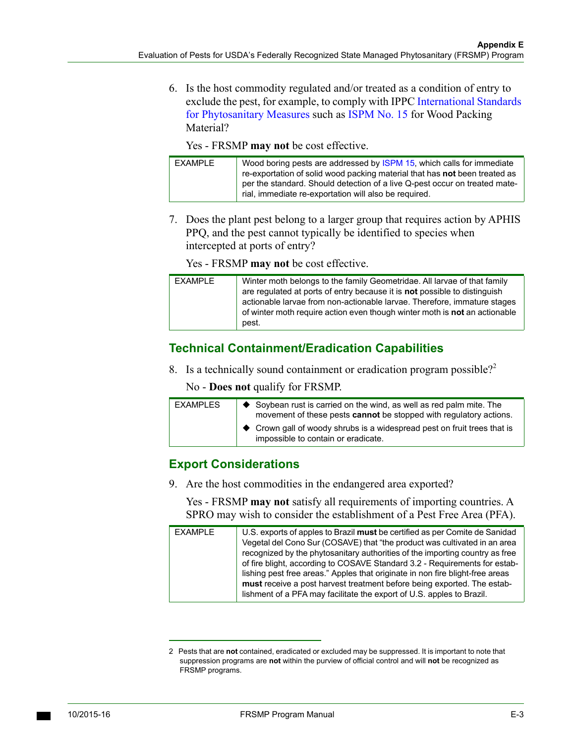6. Is the host commodity regulated and/or treated as a condition of entry to exclude the pest, for example, to comply with IPPC [International Standards](https://www.ippc.int/core-activities/standards-setting/ispms)  [for Phytosanitary Measures](https://www.ippc.int/core-activities/standards-setting/ispms) such as [ISPM No. 15](https://www.ippc.int/publications/regulation-wood-packaging-material-international-trade-0) for Wood Packing Material?

<span id="page-72-0"></span>Yes - FRSMP **may not** be cost effective.

| Wood boring pests are addressed by ISPM 15, which calls for immediate             |
|-----------------------------------------------------------------------------------|
| re-exportation of solid wood packing material that has <b>not</b> been treated as |
|                                                                                   |
| per the standard. Should detection of a live Q-pest occur on treated mate-        |
| rial, immediate re-exportation will also be required.                             |
|                                                                                   |

7. Does the plant pest belong to a larger group that requires action by APHIS PPQ, and the pest cannot typically be identified to species when intercepted at ports of entry?

Yes - FRSMP **may not** be cost effective.

# **Technical Containment/Eradication Capabilities**

8. Is a technically sound containment or eradication program possible?<sup>2</sup>

No - **Does not** qualify for FRSMP.

| <b>EXAMPLES</b> | ♦ Soybean rust is carried on the wind, as well as red palm mite. The<br>movement of these pests <b>cannot</b> be stopped with regulatory actions. |
|-----------------|---------------------------------------------------------------------------------------------------------------------------------------------------|
|                 | $\blacklozenge$ Crown gall of woody shrubs is a widespread pest on fruit trees that is<br>impossible to contain or eradicate.                     |

# **Export Considerations**

9. Are the host commodities in the endangered area exported?

Yes - FRSMP **may not** satisfy all requirements of importing countries. A SPRO may wish to consider the establishment of a Pest Free Area (PFA).

| EXAMPLE | U.S. exports of apples to Brazil must be certified as per Comite de Sanidad<br>Vegetal del Cono Sur (COSAVE) that "the product was cultivated in an area<br>recognized by the phytosanitary authorities of the importing country as free<br>of fire blight, according to COSAVE Standard 3.2 - Requirements for estab- |
|---------|------------------------------------------------------------------------------------------------------------------------------------------------------------------------------------------------------------------------------------------------------------------------------------------------------------------------|
|         | lishing pest free areas." Apples that originate in non fire blight-free areas<br>must receive a post harvest treatment before being exported. The estab-<br>lishment of a PFA may facilitate the export of U.S. apples to Brazil.                                                                                      |

<sup>2</sup> Pests that are **not** contained, eradicated or excluded may be suppressed. It is important to note that suppression programs are **not** within the purview of official control and will **not** be recognized as FRSMP programs.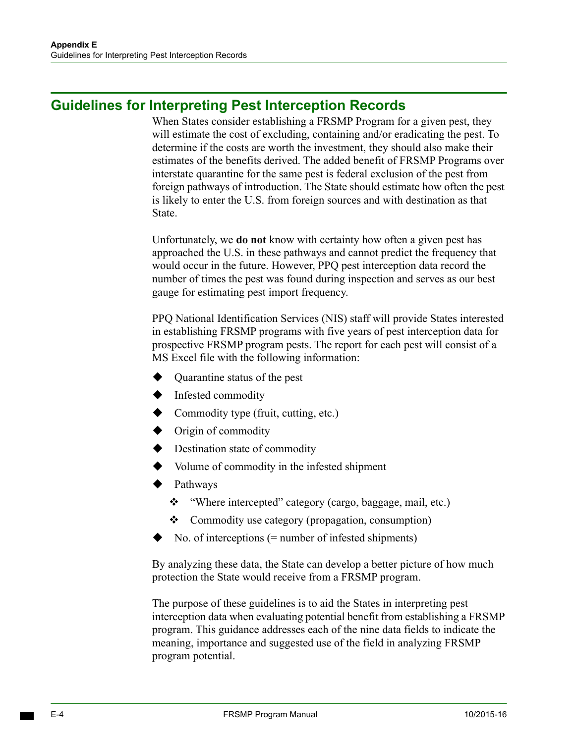# **Guidelines for Interpreting Pest Interception Records**

When States consider establishing a FRSMP Program for a given pest, they will estimate the cost of excluding, containing and/or eradicating the pest. To determine if the costs are worth the investment, they should also make their estimates of the benefits derived. The added benefit of FRSMP Programs over interstate quarantine for the same pest is federal exclusion of the pest from foreign pathways of introduction. The State should estimate how often the pest is likely to enter the U.S. from foreign sources and with destination as that State.

Unfortunately, we **do not** know with certainty how often a given pest has approached the U.S. in these pathways and cannot predict the frequency that would occur in the future. However, PPQ pest interception data record the number of times the pest was found during inspection and serves as our best gauge for estimating pest import frequency.

PPQ National Identification Services (NIS) staff will provide States interested in establishing FRSMP programs with five years of pest interception data for prospective FRSMP program pests. The report for each pest will consist of a MS Excel file with the following information:

- Quarantine status of the pest
- $\blacklozenge$  Infested commodity
- $\blacklozenge$  Commodity type (fruit, cutting, etc.)
- ◆ Origin of commodity
- ◆ Destination state of commodity
- $\blacklozenge$  Volume of commodity in the infested shipment
- **◆** Pathways
	- \* "Where intercepted" category (cargo, baggage, mail, etc.)
	- Commodity use category (propagation, consumption)
- No. of interceptions (= number of infested shipments)

By analyzing these data, the State can develop a better picture of how much protection the State would receive from a FRSMP program.

The purpose of these guidelines is to aid the States in interpreting pest interception data when evaluating potential benefit from establishing a FRSMP program. This guidance addresses each of the nine data fields to indicate the meaning, importance and suggested use of the field in analyzing FRSMP program potential.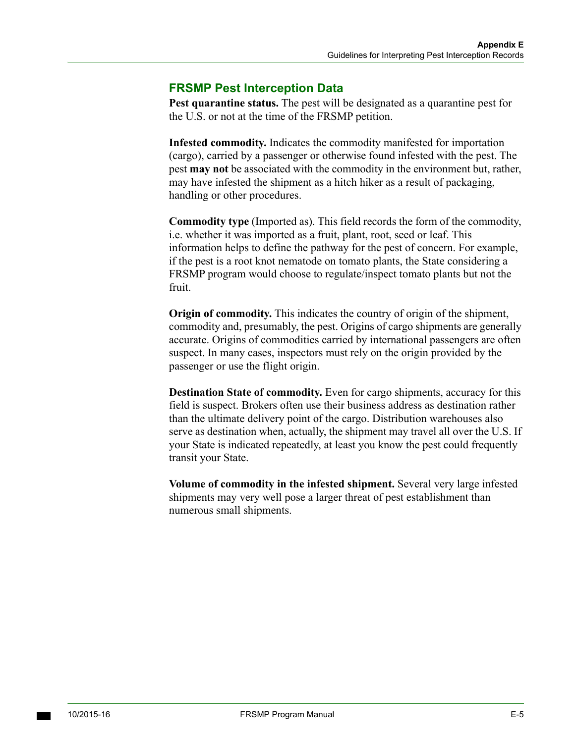#### **FRSMP Pest Interception Data**

**Pest quarantine status.** The pest will be designated as a quarantine pest for the U.S. or not at the time of the FRSMP petition.

**Infested commodity.** Indicates the commodity manifested for importation (cargo), carried by a passenger or otherwise found infested with the pest. The pest **may not** be associated with the commodity in the environment but, rather, may have infested the shipment as a hitch hiker as a result of packaging, handling or other procedures.

**Commodity type** (Imported as). This field records the form of the commodity, i.e. whether it was imported as a fruit, plant, root, seed or leaf. This information helps to define the pathway for the pest of concern. For example, if the pest is a root knot nematode on tomato plants, the State considering a FRSMP program would choose to regulate/inspect tomato plants but not the fruit.

**Origin of commodity.** This indicates the country of origin of the shipment, commodity and, presumably, the pest. Origins of cargo shipments are generally accurate. Origins of commodities carried by international passengers are often suspect. In many cases, inspectors must rely on the origin provided by the passenger or use the flight origin.

**Destination State of commodity.** Even for cargo shipments, accuracy for this field is suspect. Brokers often use their business address as destination rather than the ultimate delivery point of the cargo. Distribution warehouses also serve as destination when, actually, the shipment may travel all over the U.S. If your State is indicated repeatedly, at least you know the pest could frequently transit your State.

**Volume of commodity in the infested shipment.** Several very large infested shipments may very well pose a larger threat of pest establishment than numerous small shipments.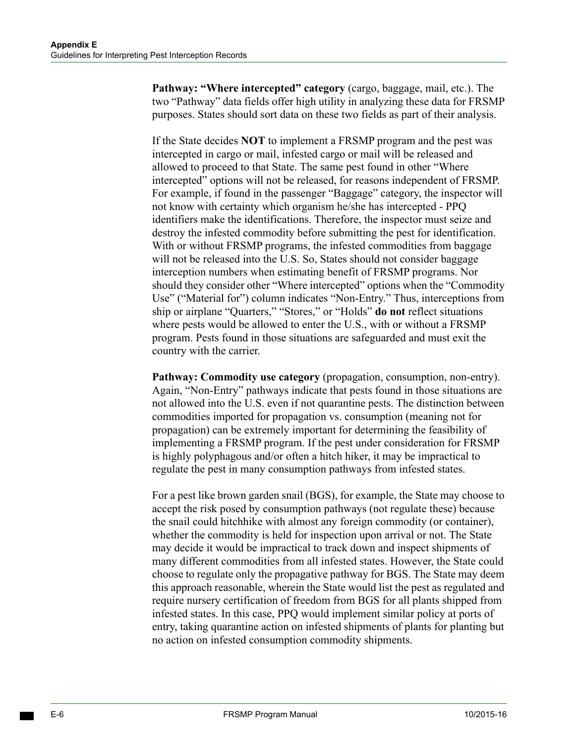**Pathway: "Where intercepted" category** (cargo, baggage, mail, etc.). The two "Pathway" data fields offer high utility in analyzing these data for FRSMP purposes. States should sort data on these two fields as part of their analysis.

If the State decides **NOT** to implement a FRSMP program and the pest was intercepted in cargo or mail, infested cargo or mail will be released and allowed to proceed to that State. The same pest found in other "Where intercepted" options will not be released, for reasons independent of FRSMP. For example, if found in the passenger "Baggage" category, the inspector will not know with certainty which organism he/she has intercepted - PPQ identifiers make the identifications. Therefore, the inspector must seize and destroy the infested commodity before submitting the pest for identification. With or without FRSMP programs, the infested commodities from baggage will not be released into the U.S. So, States should not consider baggage interception numbers when estimating benefit of FRSMP programs. Nor should they consider other "Where intercepted" options when the "Commodity Use" ("Material for") column indicates "Non-Entry." Thus, interceptions from ship or airplane "Quarters," "Stores," or "Holds" **do not** reflect situations where pests would be allowed to enter the U.S., with or without a FRSMP program. Pests found in those situations are safeguarded and must exit the country with the carrier.

**Pathway: Commodity use category** (propagation, consumption, non-entry). Again, "Non-Entry" pathways indicate that pests found in those situations are not allowed into the U.S. even if not quarantine pests. The distinction between commodities imported for propagation vs. consumption (meaning not for propagation) can be extremely important for determining the feasibility of implementing a FRSMP program. If the pest under consideration for FRSMP is highly polyphagous and/or often a hitch hiker, it may be impractical to regulate the pest in many consumption pathways from infested states.

For a pest like brown garden snail (BGS), for example, the State may choose to accept the risk posed by consumption pathways (not regulate these) because the snail could hitchhike with almost any foreign commodity (or container), whether the commodity is held for inspection upon arrival or not. The State may decide it would be impractical to track down and inspect shipments of many different commodities from all infested states. However, the State could choose to regulate only the propagative pathway for BGS. The State may deem this approach reasonable, wherein the State would list the pest as regulated and require nursery certification of freedom from BGS for all plants shipped from infested states. In this case, PPQ would implement similar policy at ports of entry, taking quarantine action on infested shipments of plants for planting but no action on infested consumption commodity shipments.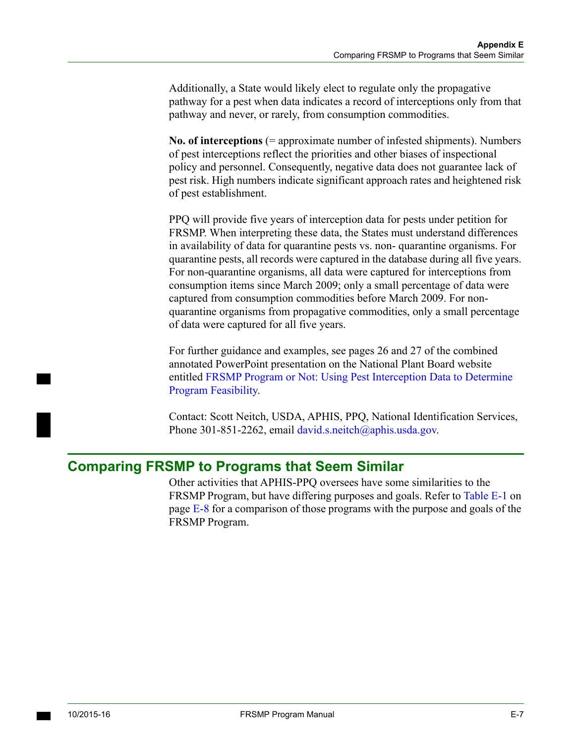Additionally, a State would likely elect to regulate only the propagative pathway for a pest when data indicates a record of interceptions only from that pathway and never, or rarely, from consumption commodities.

**No. of interceptions** (= approximate number of infested shipments). Numbers of pest interceptions reflect the priorities and other biases of inspectional policy and personnel. Consequently, negative data does not guarantee lack of pest risk. High numbers indicate significant approach rates and heightened risk of pest establishment.

PPQ will provide five years of interception data for pests under petition for FRSMP. When interpreting these data, the States must understand differences in availability of data for quarantine pests vs. non- quarantine organisms. For quarantine pests, all records were captured in the database during all five years. For non-quarantine organisms, all data were captured for interceptions from consumption items since March 2009; only a small percentage of data were captured from consumption commodities before March 2009. For nonquarantine organisms from propagative commodities, only a small percentage of data were captured for all five years.

For further guidance and examples, see pages 26 and 27 of the combined annotated PowerPoint presentation on the National Plant Board website entitled [FRSMP Program or Not: Using Pest Interception Data to Determine](http://nationalplantboard.org/wp-content/uploads/docs/2011_meeting/thurs_2_frsmp.pdf)  [Program Feasibility](http://nationalplantboard.org/wp-content/uploads/docs/2011_meeting/thurs_2_frsmp.pdf).

Contact: Scott Neitch, USDA, APHIS, PPQ, National Identification Services, Phone 301-851-2262, email [david.s.neitch@aphis.usda.gov.](mailto:david.s.neitch@aphis.usda.gov)

# **Comparing FRSMP to Programs that Seem Similar**

Other activities that APHIS-PPQ oversees have some similarities to the FRSMP Program, but have differing purposes and goals. Refer to [Table E-1 on](#page-77-0)  [page](#page-77-0) E-8 for a comparison of those programs with the purpose and goals of the FRSMP Program.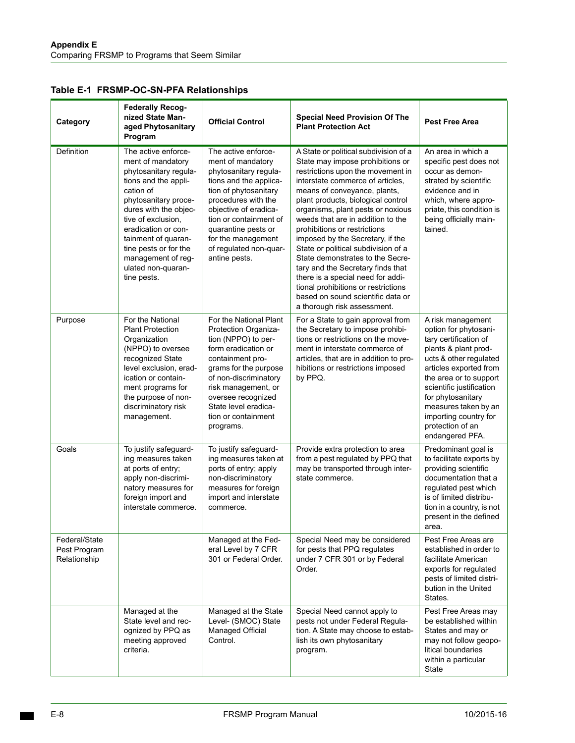| Category                                      | <b>Federally Recog-</b><br>nized State Man-<br>aged Phytosanitary<br>Program                                                                                                                                                                                                                                    | <b>Official Control</b>                                                                                                                                                                                                                                                                | <b>Special Need Provision Of The</b><br><b>Plant Protection Act</b>                                                                                                                                                                                                                                                                                                                                                                                                                                                                                                                                                                    | Pest Free Area                                                                                                                                                                                                                                                                                                     |
|-----------------------------------------------|-----------------------------------------------------------------------------------------------------------------------------------------------------------------------------------------------------------------------------------------------------------------------------------------------------------------|----------------------------------------------------------------------------------------------------------------------------------------------------------------------------------------------------------------------------------------------------------------------------------------|----------------------------------------------------------------------------------------------------------------------------------------------------------------------------------------------------------------------------------------------------------------------------------------------------------------------------------------------------------------------------------------------------------------------------------------------------------------------------------------------------------------------------------------------------------------------------------------------------------------------------------------|--------------------------------------------------------------------------------------------------------------------------------------------------------------------------------------------------------------------------------------------------------------------------------------------------------------------|
| Definition                                    | The active enforce-<br>ment of mandatory<br>phytosanitary regula-<br>tions and the appli-<br>cation of<br>phytosanitary proce-<br>dures with the objec-<br>tive of exclusion.<br>eradication or con-<br>tainment of quaran-<br>tine pests or for the<br>management of reg-<br>ulated non-quaran-<br>tine pests. | The active enforce-<br>ment of mandatory<br>phytosanitary regula-<br>tions and the applica-<br>tion of phytosanitary<br>procedures with the<br>objective of eradica-<br>tion or containment of<br>quarantine pests or<br>for the management<br>of regulated non-quar-<br>antine pests. | A State or political subdivision of a<br>State may impose prohibitions or<br>restrictions upon the movement in<br>interstate commerce of articles,<br>means of conveyance, plants,<br>plant products, biological control<br>organisms, plant pests or noxious<br>weeds that are in addition to the<br>prohibitions or restrictions<br>imposed by the Secretary, if the<br>State or political subdivision of a<br>State demonstrates to the Secre-<br>tary and the Secretary finds that<br>there is a special need for addi-<br>tional prohibitions or restrictions<br>based on sound scientific data or<br>a thorough risk assessment. | An area in which a<br>specific pest does not<br>occur as demon-<br>strated by scientific<br>evidence and in<br>which, where appro-<br>priate, this condition is<br>being officially main-<br>tained.                                                                                                               |
| Purpose                                       | For the National<br><b>Plant Protection</b><br>Organization<br>(NPPO) to oversee<br>recognized State<br>level exclusion, erad-<br>ication or contain-<br>ment programs for<br>the purpose of non-<br>discriminatory risk<br>management.                                                                         | For the National Plant<br>Protection Organiza-<br>tion (NPPO) to per-<br>form eradication or<br>containment pro-<br>grams for the purpose<br>of non-discriminatory<br>risk management, or<br>oversee recognized<br>State level eradica-<br>tion or containment<br>programs.            | For a State to gain approval from<br>the Secretary to impose prohibi-<br>tions or restrictions on the move-<br>ment in interstate commerce of<br>articles, that are in addition to pro-<br>hibitions or restrictions imposed<br>by PPQ.                                                                                                                                                                                                                                                                                                                                                                                                | A risk management<br>option for phytosani-<br>tary certification of<br>plants & plant prod-<br>ucts & other regulated<br>articles exported from<br>the area or to support<br>scientific justification<br>for phytosanitary<br>measures taken by an<br>importing country for<br>protection of an<br>endangered PFA. |
| Goals                                         | To justify safeguard-<br>ing measures taken<br>at ports of entry;<br>apply non-discrimi-<br>natory measures for<br>foreign import and<br>interstate commerce.                                                                                                                                                   | To justify safeguard-<br>ing measures taken at<br>ports of entry; apply<br>non-discriminatory<br>measures for foreign<br>import and interstate<br>commerce.                                                                                                                            | Provide extra protection to area<br>from a pest regulated by PPQ that<br>may be transported through inter-<br>state commerce.                                                                                                                                                                                                                                                                                                                                                                                                                                                                                                          | Predominant goal is<br>to facilitate exports by<br>providing scientific<br>documentation that a<br>regulated pest which<br>is of limited distribu-<br>tion in a country, is not<br>present in the defined<br>area.                                                                                                 |
| Federal/State<br>Pest Program<br>Relationship |                                                                                                                                                                                                                                                                                                                 | Managed at the Fed-<br>eral Level by 7 CFR<br>301 or Federal Order.                                                                                                                                                                                                                    | Special Need may be considered<br>for pests that PPQ regulates<br>under 7 CFR 301 or by Federal<br>Order.                                                                                                                                                                                                                                                                                                                                                                                                                                                                                                                              | Pest Free Areas are<br>established in order to<br>facilitate American<br>exports for regulated<br>pests of limited distri-<br>bution in the United<br>States.                                                                                                                                                      |
|                                               | Managed at the<br>State level and rec-<br>ognized by PPQ as<br>meeting approved<br>criteria.                                                                                                                                                                                                                    | Managed at the State<br>Level- (SMOC) State<br>Managed Official<br>Control.                                                                                                                                                                                                            | Special Need cannot apply to<br>pests not under Federal Regula-<br>tion. A State may choose to estab-<br>lish its own phytosanitary<br>program.                                                                                                                                                                                                                                                                                                                                                                                                                                                                                        | Pest Free Areas may<br>be established within<br>States and may or<br>may not follow geopo-<br>litical boundaries<br>within a particular<br>State                                                                                                                                                                   |

#### <span id="page-77-0"></span>**Table E-1 FRSMP-OC-SN-PFA Relationships**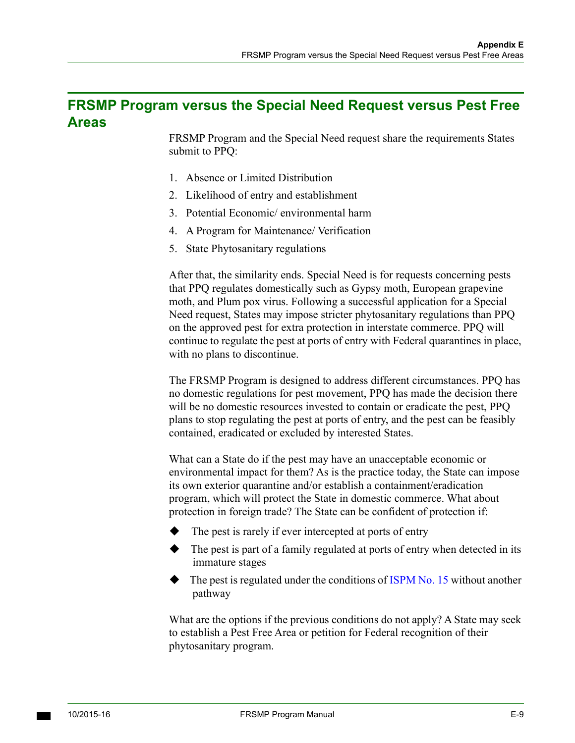# **FRSMP Program versus the Special Need Request versus Pest Free Areas**

FRSMP Program and the Special Need request share the requirements States submit to PPQ:

- 1. Absence or Limited Distribution
- 2. Likelihood of entry and establishment
- 3. Potential Economic/ environmental harm
- 4. A Program for Maintenance/ Verification
- 5. State Phytosanitary regulations

After that, the similarity ends. Special Need is for requests concerning pests that PPQ regulates domestically such as Gypsy moth, European grapevine moth, and Plum pox virus. Following a successful application for a Special Need request, States may impose stricter phytosanitary regulations than PPQ on the approved pest for extra protection in interstate commerce. PPQ will continue to regulate the pest at ports of entry with Federal quarantines in place, with no plans to discontinue.

The FRSMP Program is designed to address different circumstances. PPQ has no domestic regulations for pest movement, PPQ has made the decision there will be no domestic resources invested to contain or eradicate the pest, PPQ plans to stop regulating the pest at ports of entry, and the pest can be feasibly contained, eradicated or excluded by interested States.

What can a State do if the pest may have an unacceptable economic or environmental impact for them? As is the practice today, the State can impose its own exterior quarantine and/or establish a containment/eradication program, which will protect the State in domestic commerce. What about protection in foreign trade? The State can be confident of protection if:

- The pest is rarely if ever intercepted at ports of entry
- <span id="page-78-0"></span>The pest is part of a family regulated at ports of entry when detected in its immature stages
- The pest is regulated under the conditions of [ISPM No. 15](https://www.ippc.int/publications/regulation-wood-packaging-material-international-trade-0) without another pathway

What are the options if the previous conditions do not apply? A State may seek to establish a Pest Free Area or petition for Federal recognition of their phytosanitary program.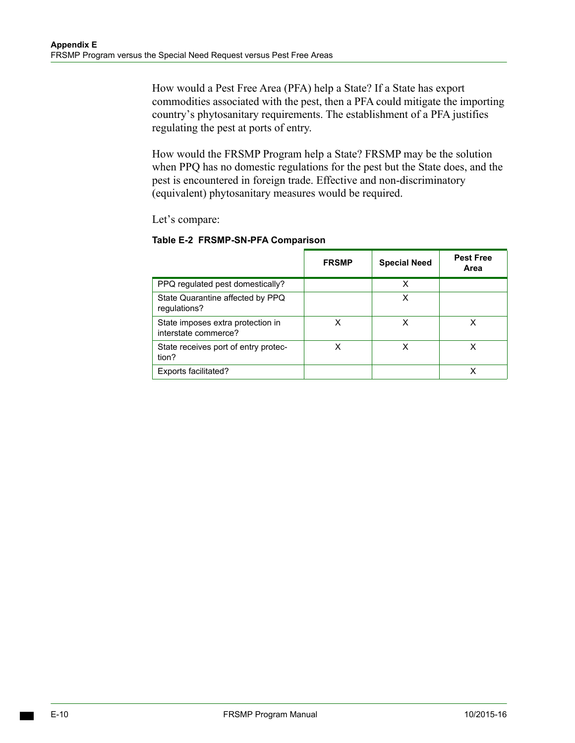How would a Pest Free Area (PFA) help a State? If a State has export commodities associated with the pest, then a PFA could mitigate the importing country's phytosanitary requirements. The establishment of a PFA justifies regulating the pest at ports of entry.

How would the FRSMP Program help a State? FRSMP may be the solution when PPQ has no domestic regulations for the pest but the State does, and the pest is encountered in foreign trade. Effective and non-discriminatory (equivalent) phytosanitary measures would be required.

Let's compare:

|                                                           | <b>FRSMP</b> | <b>Special Need</b> | <b>Pest Free</b><br>Area |
|-----------------------------------------------------------|--------------|---------------------|--------------------------|
| PPQ regulated pest domestically?                          |              |                     |                          |
| State Quarantine affected by PPQ<br>regulations?          |              | х                   |                          |
| State imposes extra protection in<br>interstate commerce? | х            | x                   |                          |
| State receives port of entry protec-<br>tion?             | x            | x                   |                          |
| Exports facilitated?                                      |              |                     |                          |

#### **Table E-2 FRSMP-SN-PFA Comparison**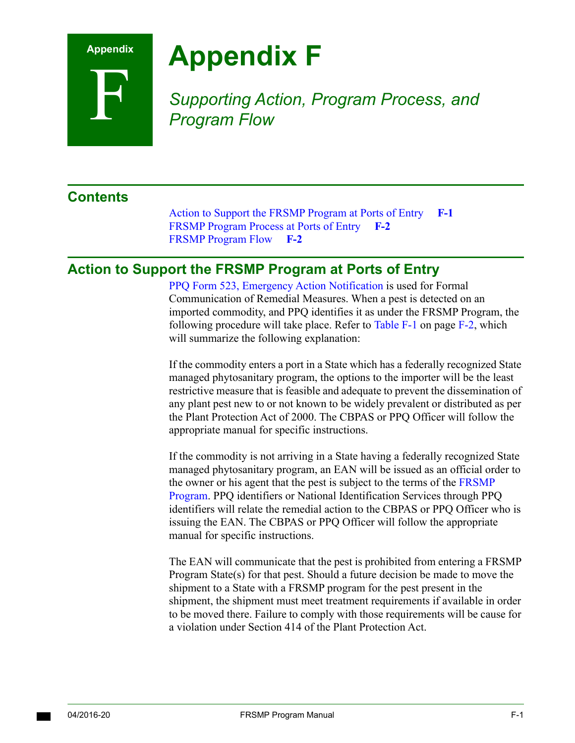

# **Appendix F**

*Supporting Action, Program Process, and Program Flow*

# **Contents**

[Action to Support the FRSMP Program at Ports of Entry](#page-80-0) **F-1** [FRSMP Program Process at Ports of Entry](#page-81-0) **F-2** [FRSMP Program Flow](#page-81-1) **F-2**

# <span id="page-80-0"></span>**Action to Support the FRSMP Program at Ports of Entry**

[PPQ Form 523, Emergency Action Notification](#page-55-0) is used for Formal Communication of Remedial Measures. When a pest is detected on an imported commodity, and PPQ identifies it as under the FRSMP Program, the following procedure will take place. Refer to [Table F-1 on page](#page-81-2) F-2, which will summarize the following explanation:

If the commodity enters a port in a State which has a federally recognized State managed phytosanitary program, the options to the importer will be the least restrictive measure that is feasible and adequate to prevent the dissemination of any plant pest new to or not known to be widely prevalent or distributed as per the Plant Protection Act of 2000. The CBPAS or PPQ Officer will follow the appropriate manual for specific instructions.

If the commodity is not arriving in a State having a federally recognized State managed phytosanitary program, an EAN will be issued as an official order to the owner or his agent that the pest is subject to the terms of the [FRSMP](http://www.aphis.usda.gov/plant_health/plant_pest_info/frsmp/index.shtml)  [Program](http://www.aphis.usda.gov/plant_health/plant_pest_info/frsmp/index.shtml). PPQ identifiers or National Identification Services through PPQ identifiers will relate the remedial action to the CBPAS or PPQ Officer who is issuing the EAN. The CBPAS or PPQ Officer will follow the appropriate manual for specific instructions.

The EAN will communicate that the pest is prohibited from entering a FRSMP Program State(s) for that pest. Should a future decision be made to move the shipment to a State with a FRSMP program for the pest present in the shipment, the shipment must meet treatment requirements if available in order to be moved there. Failure to comply with those requirements will be cause for a violation under Section 414 of the Plant Protection Act.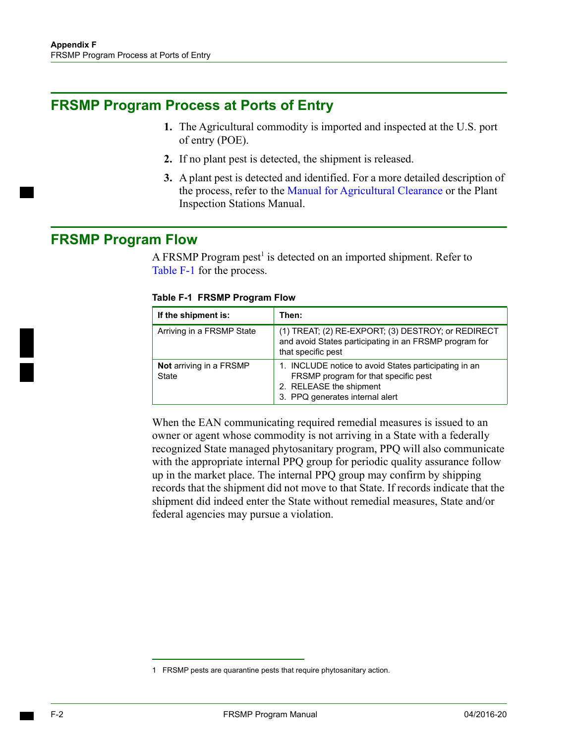# <span id="page-81-0"></span>**FRSMP Program Process at Ports of Entry**

- **1.** The Agricultural commodity is imported and inspected at the U.S. port of entry (POE).
- **2.** If no plant pest is detected, the shipment is released.
- **3.** A plant pest is detected and identified. For a more detailed description of the process, refer to the [Manual for Agricultural Clearance](https://cbp.aphis.usda.gov/ppq/php/manual/mac.pdf) or the Plant Inspection Stations Manual.

# <span id="page-81-1"></span>**FRSMP Program Flow**

A FRSMP Program pest<sup>1</sup> is detected on an imported shipment. Refer to [Table F-1](#page-81-2) for the process.

<span id="page-81-2"></span>

| Table F-1 FRSMP Program Flow |  |  |  |
|------------------------------|--|--|--|
|------------------------------|--|--|--|

| If the shipment is:                            | Then:                                                                                                                                                       |
|------------------------------------------------|-------------------------------------------------------------------------------------------------------------------------------------------------------------|
| Arriving in a FRSMP State                      | (1) TREAT; (2) RE-EXPORT; (3) DESTROY; or REDIRECT<br>and avoid States participating in an FRSMP program for<br>that specific pest                          |
| <b>Not</b> arriving in a FRSMP<br><b>State</b> | 1. INCLUDE notice to avoid States participating in an<br>FRSMP program for that specific pest<br>2. RELEASE the shipment<br>3. PPQ generates internal alert |

When the EAN communicating required remedial measures is issued to an owner or agent whose commodity is not arriving in a State with a federally recognized State managed phytosanitary program, PPQ will also communicate with the appropriate internal PPQ group for periodic quality assurance follow up in the market place. The internal PPQ group may confirm by shipping records that the shipment did not move to that State. If records indicate that the shipment did indeed enter the State without remedial measures, State and/or federal agencies may pursue a violation.

<sup>1</sup> FRSMP pests are quarantine pests that require phytosanitary action.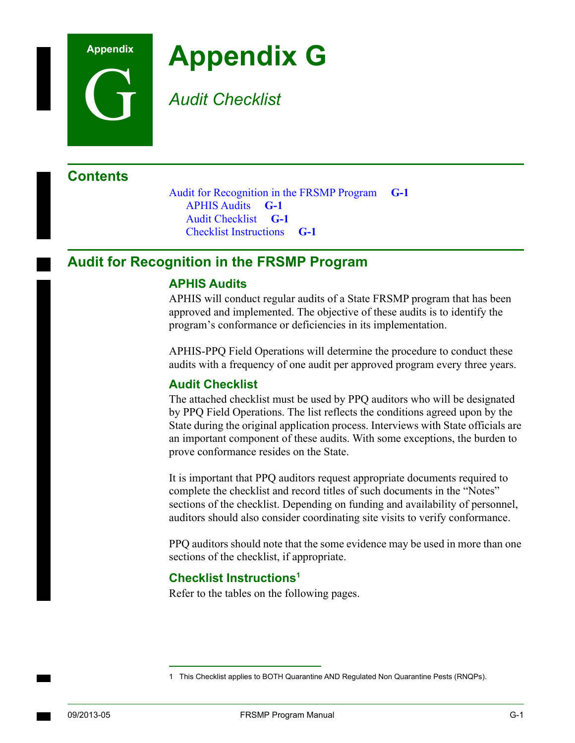# G **Appendix G**

*Audit Checklist*

# **Contents**

**Appendix**

[Audit for Recognition in the FRSMP Program](#page-82-0) **G-1** [APHIS Audits](#page-82-1) **G-1** [Audit Checklist](#page-82-2) **G-1** [Checklist Instructions](#page-82-3) **G-1**

# <span id="page-82-0"></span>**Audit for Recognition in the FRSMP Program**

#### <span id="page-82-1"></span>**APHIS Audits**

APHIS will conduct regular audits of a State FRSMP program that has been approved and implemented. The objective of these audits is to identify the program's conformance or deficiencies in its implementation.

APHIS-PPQ Field Operations will determine the procedure to conduct these audits with a frequency of one audit per approved program every three years.

# <span id="page-82-2"></span>**Audit Checklist**

The attached checklist must be used by PPQ auditors who will be designated by PPQ Field Operations. The list reflects the conditions agreed upon by the State during the original application process. Interviews with State officials are an important component of these audits. With some exceptions, the burden to prove conformance resides on the State.

It is important that PPQ auditors request appropriate documents required to complete the checklist and record titles of such documents in the "Notes" sections of the checklist. Depending on funding and availability of personnel, auditors should also consider coordinating site visits to verify conformance.

PPQ auditors should note that the some evidence may be used in more than one sections of the checklist, if appropriate.

# <span id="page-82-3"></span>**Checklist Instructions1**

Refer to the tables on the following pages.

<sup>1</sup> This Checklist applies to BOTH Quarantine AND Regulated Non Quarantine Pests (RNQPs).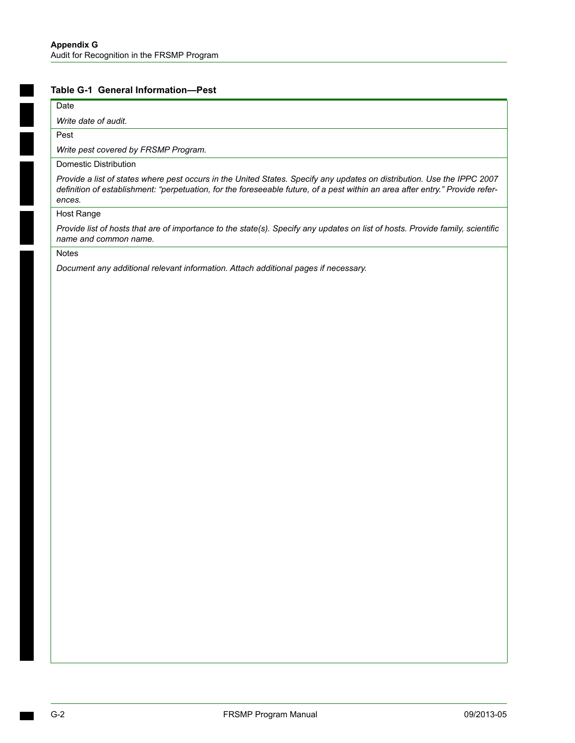#### **Table G-1 General Information—Pest**

#### Date *Write date of audit.* Pest

*Write pest covered by FRSMP Program.*

#### Domestic Distribution

*Provide a list of states where pest occurs in the United States. Specify any updates on distribution. Use the IPPC 2007 definition of establishment: "perpetuation, for the foreseeable future, of a pest within an area after entry." Provide references.*

#### Host Range

*Provide list of hosts that are of importance to the state(s). Specify any updates on list of hosts. Provide family, scientific name and common name.*

#### **Notes**

*Document any additional relevant information. Attach additional pages if necessary.*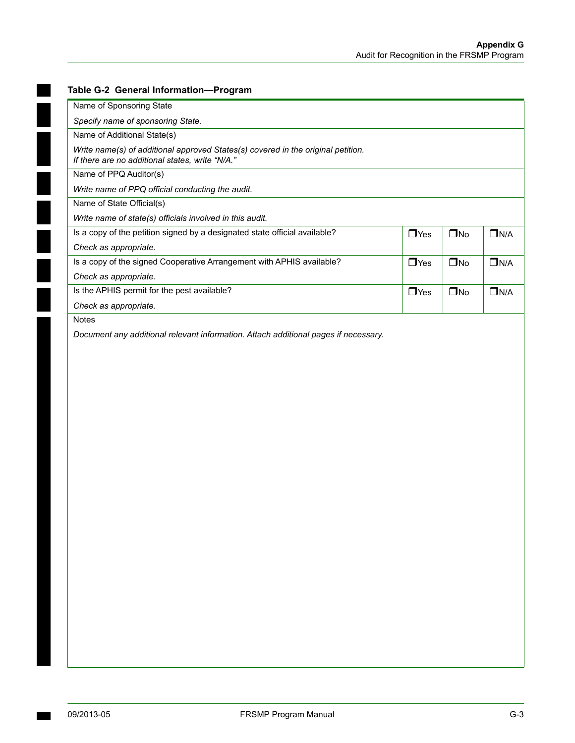| Table G-2 General Information-Program                                                                                               |            |              |               |
|-------------------------------------------------------------------------------------------------------------------------------------|------------|--------------|---------------|
| Name of Sponsoring State                                                                                                            |            |              |               |
| Specify name of sponsoring State.                                                                                                   |            |              |               |
| Name of Additional State(s)                                                                                                         |            |              |               |
| Write name(s) of additional approved States(s) covered in the original petition.<br>If there are no additional states, write "N/A." |            |              |               |
| Name of PPQ Auditor(s)                                                                                                              |            |              |               |
| Write name of PPQ official conducting the audit.                                                                                    |            |              |               |
| Name of State Official(s)                                                                                                           |            |              |               |
| Write name of state(s) officials involved in this audit.                                                                            |            |              |               |
| Is a copy of the petition signed by a designated state official available?                                                          | $\Box$ Yes | $\Box$ No    | $\square$ N/A |
| Check as appropriate.                                                                                                               |            |              |               |
| Is a copy of the signed Cooperative Arrangement with APHIS available?                                                               | $\Box$ Yes | $\square$ No | $\square$ N/A |
| Check as appropriate.                                                                                                               |            |              |               |
| Is the APHIS permit for the pest available?                                                                                         | $\Box$ Yes | $\Box$ No    | $\Box N/A$    |
| Check as appropriate.                                                                                                               |            |              |               |
| <b>Notes</b>                                                                                                                        |            |              |               |

*Document any additional relevant information. Attach additional pages if necessary.*

 $\blacksquare$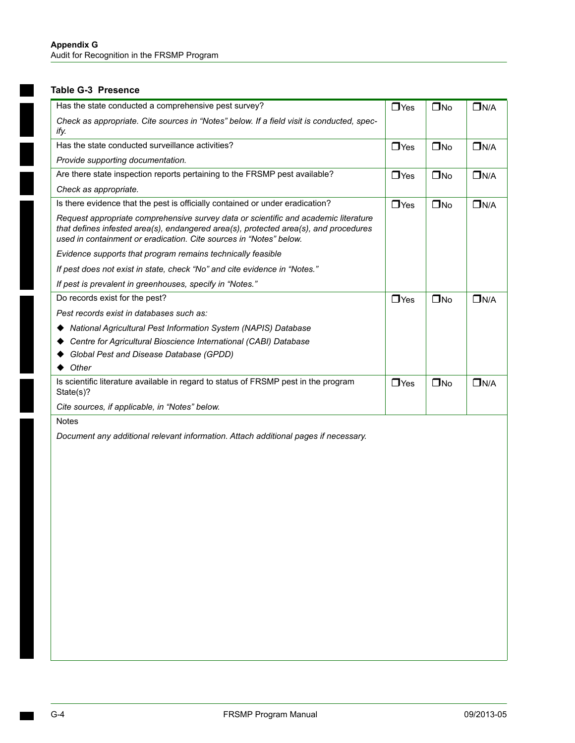#### **Table G-3 Presence**

| Has the state conducted a comprehensive pest survey?                                                                                                                                                                                              | $\Box$ Yes | $\square$ No | $\square$ N/A |
|---------------------------------------------------------------------------------------------------------------------------------------------------------------------------------------------------------------------------------------------------|------------|--------------|---------------|
| Check as appropriate. Cite sources in "Notes" below. If a field visit is conducted, spec-<br>ify.                                                                                                                                                 |            |              |               |
| Has the state conducted surveillance activities?                                                                                                                                                                                                  | $\Box$ Yes | $\square$ No | $\square$ N/A |
| Provide supporting documentation.                                                                                                                                                                                                                 |            |              |               |
| Are there state inspection reports pertaining to the FRSMP pest available?                                                                                                                                                                        | $\Box$ Yes | $\square$ No | $\square$ N/A |
| Check as appropriate.                                                                                                                                                                                                                             |            |              |               |
| Is there evidence that the pest is officially contained or under eradication?                                                                                                                                                                     | $\Box$ Yes | $\square$ No | $\square$ N/A |
| Request appropriate comprehensive survey data or scientific and academic literature<br>that defines infested area(s), endangered area(s), protected area(s), and procedures<br>used in containment or eradication. Cite sources in "Notes" below. |            |              |               |
| Evidence supports that program remains technically feasible                                                                                                                                                                                       |            |              |               |
| If pest does not exist in state, check "No" and cite evidence in "Notes."                                                                                                                                                                         |            |              |               |
| If pest is prevalent in greenhouses, specify in "Notes."                                                                                                                                                                                          |            |              |               |
| Do records exist for the pest?                                                                                                                                                                                                                    | $\Box$ Yes | $\square$ No | $\square$ N/A |
| Pest records exist in databases such as:                                                                                                                                                                                                          |            |              |               |
| National Agricultural Pest Information System (NAPIS) Database                                                                                                                                                                                    |            |              |               |
| Centre for Agricultural Bioscience International (CABI) Database                                                                                                                                                                                  |            |              |               |
| Global Pest and Disease Database (GPDD)                                                                                                                                                                                                           |            |              |               |
| Other                                                                                                                                                                                                                                             |            |              |               |
| Is scientific literature available in regard to status of FRSMP pest in the program<br>State(s)?                                                                                                                                                  | $\Box$ Yes | $\square$ No | $\square$ N/A |
| Cite sources, if applicable, in "Notes" below.                                                                                                                                                                                                    |            |              |               |
| <b>Notes</b>                                                                                                                                                                                                                                      |            |              |               |

*Document any additional relevant information. Attach additional pages if necessary.*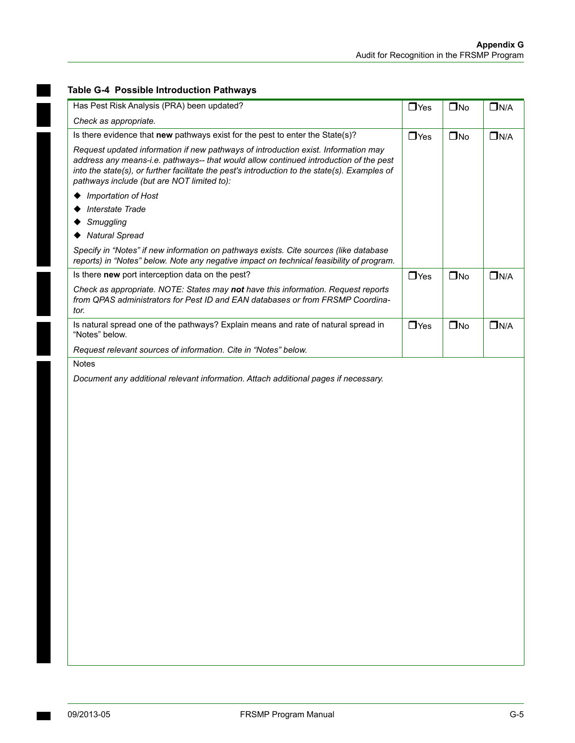#### **Table G-4 Possible Introduction Pathways**

| Has Pest Risk Analysis (PRA) been updated?                                                                                                                                                                                                                                                                                 | $\Box$ Yes | $\square$ No | $\square$ N/A |
|----------------------------------------------------------------------------------------------------------------------------------------------------------------------------------------------------------------------------------------------------------------------------------------------------------------------------|------------|--------------|---------------|
| Check as appropriate.                                                                                                                                                                                                                                                                                                      |            |              |               |
| Is there evidence that new pathways exist for the pest to enter the State(s)?                                                                                                                                                                                                                                              | $\Box$ Yes | $\square$ No | $\square$ N/A |
| Request updated information if new pathways of introduction exist. Information may<br>address any means-i.e. pathways-- that would allow continued introduction of the pest<br>into the state(s), or further facilitate the pest's introduction to the state(s). Examples of<br>pathways include (but are NOT limited to): |            |              |               |
| Importation of Host                                                                                                                                                                                                                                                                                                        |            |              |               |
| Interstate Trade                                                                                                                                                                                                                                                                                                           |            |              |               |
| Smuggling                                                                                                                                                                                                                                                                                                                  |            |              |               |
| <b>Natural Spread</b>                                                                                                                                                                                                                                                                                                      |            |              |               |
| Specify in "Notes" if new information on pathways exists. Cite sources (like database<br>reports) in "Notes" below. Note any negative impact on technical feasibility of program.                                                                                                                                          |            |              |               |
| Is there new port interception data on the pest?                                                                                                                                                                                                                                                                           | $\Box$ Yes | $\square$ No | $\Box$ N/A    |
| Check as appropriate. NOTE: States may not have this information. Request reports<br>from QPAS administrators for Pest ID and EAN databases or from FRSMP Coordina-<br>tor.                                                                                                                                                |            |              |               |
| Is natural spread one of the pathways? Explain means and rate of natural spread in<br>"Notes" below                                                                                                                                                                                                                        | $\Box$ Yes | $\square$ No | $\square$ N/A |
| Request relevant sources of information. Cite in "Notes" below.                                                                                                                                                                                                                                                            |            |              |               |
| <b>Notes</b>                                                                                                                                                                                                                                                                                                               |            |              |               |
| Document any additional relevant information. Attach additional pages if necessary.                                                                                                                                                                                                                                        |            |              |               |
|                                                                                                                                                                                                                                                                                                                            |            |              |               |
|                                                                                                                                                                                                                                                                                                                            |            |              |               |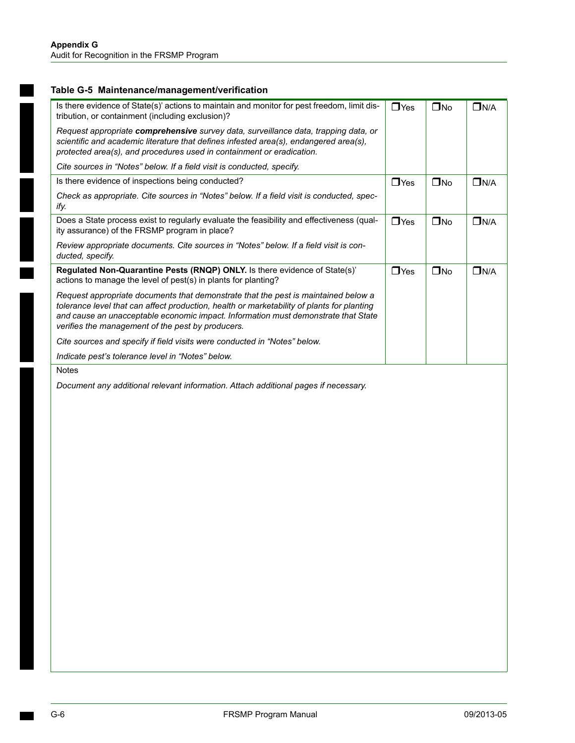#### **Table G-5 Maintenance/management/verification**

| Is there evidence of State(s)' actions to maintain and monitor for pest freedom, limit dis-<br>tribution, or containment (including exclusion)?                                                                                                                                                                             | $\Box$ Yes | $\square$ No | $\Box$ N/A    |
|-----------------------------------------------------------------------------------------------------------------------------------------------------------------------------------------------------------------------------------------------------------------------------------------------------------------------------|------------|--------------|---------------|
| Request appropriate comprehensive survey data, surveillance data, trapping data, or<br>scientific and academic literature that defines infested area(s), endangered area(s),<br>protected area(s), and procedures used in containment or eradication.                                                                       |            |              |               |
| Cite sources in "Notes" below. If a field visit is conducted, specify.                                                                                                                                                                                                                                                      |            |              |               |
| Is there evidence of inspections being conducted?                                                                                                                                                                                                                                                                           | $\Box$ Yes | $\square$ No | $\square$ N/A |
| Check as appropriate. Cite sources in "Notes" below. If a field visit is conducted, spec-<br>ify.                                                                                                                                                                                                                           |            |              |               |
| Does a State process exist to regularly evaluate the feasibility and effectiveness (qual-<br>ity assurance) of the FRSMP program in place?                                                                                                                                                                                  | $\Box$ Yes | $\square$ No | $\square$ N/A |
| Review appropriate documents. Cite sources in "Notes" below. If a field visit is con-<br>ducted, specify.                                                                                                                                                                                                                   |            |              |               |
| Regulated Non-Quarantine Pests (RNQP) ONLY. Is there evidence of State(s)'<br>actions to manage the level of pest(s) in plants for planting?                                                                                                                                                                                | $\Box$ Yes | $\square$ No | $\square$ N/A |
| Request appropriate documents that demonstrate that the pest is maintained below a<br>tolerance level that can affect production, health or marketability of plants for planting<br>and cause an unacceptable economic impact. Information must demonstrate that State<br>verifies the management of the pest by producers. |            |              |               |
| Cite sources and specify if field visits were conducted in "Notes" below.                                                                                                                                                                                                                                                   |            |              |               |
| Indicate pest's tolerance level in "Notes" below.                                                                                                                                                                                                                                                                           |            |              |               |
| <b>Notes</b>                                                                                                                                                                                                                                                                                                                |            |              |               |
| Document any additional relevant information. Attach additional pages if necessary.                                                                                                                                                                                                                                         |            |              |               |
|                                                                                                                                                                                                                                                                                                                             |            |              |               |
|                                                                                                                                                                                                                                                                                                                             |            |              |               |
|                                                                                                                                                                                                                                                                                                                             |            |              |               |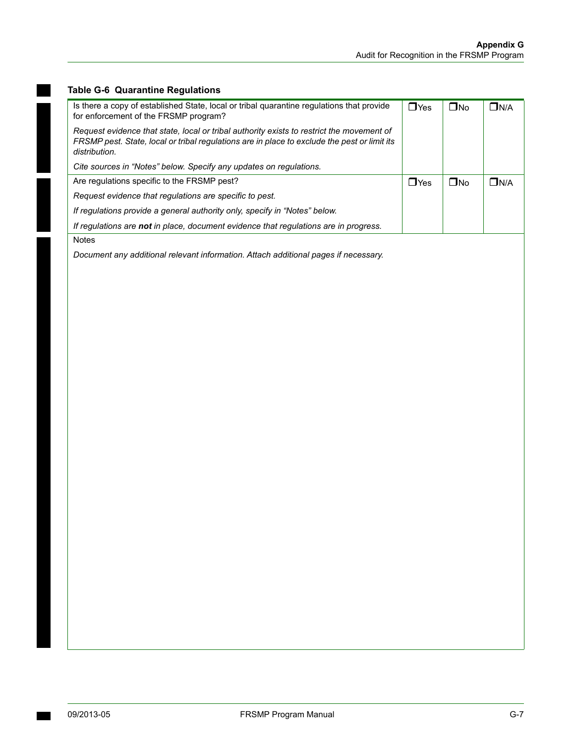#### **Table G-6 Quarantine Regulations**

| Is there a copy of established State, local or tribal quarantine regulations that provide<br>for enforcement of the FRSMP program?                                                                         | $\Box$ Yes | $\Box$ No | $\blacksquare$ N/A |
|------------------------------------------------------------------------------------------------------------------------------------------------------------------------------------------------------------|------------|-----------|--------------------|
| Request evidence that state, local or tribal authority exists to restrict the movement of<br>FRSMP pest. State, local or tribal regulations are in place to exclude the pest or limit its<br>distribution. |            |           |                    |
| Cite sources in "Notes" below. Specify any updates on regulations.                                                                                                                                         |            |           |                    |
| Are regulations specific to the FRSMP pest?                                                                                                                                                                | $\Box$ Yes | $\Box$ No | $\Box$ N/A         |
| Request evidence that regulations are specific to pest.                                                                                                                                                    |            |           |                    |
| If regulations provide a general authority only, specify in "Notes" below.                                                                                                                                 |            |           |                    |
| If regulations are not in place, document evidence that regulations are in progress.                                                                                                                       |            |           |                    |
| <b>Notes</b>                                                                                                                                                                                               |            |           |                    |

*Document any additional relevant information. Attach additional pages if necessary.*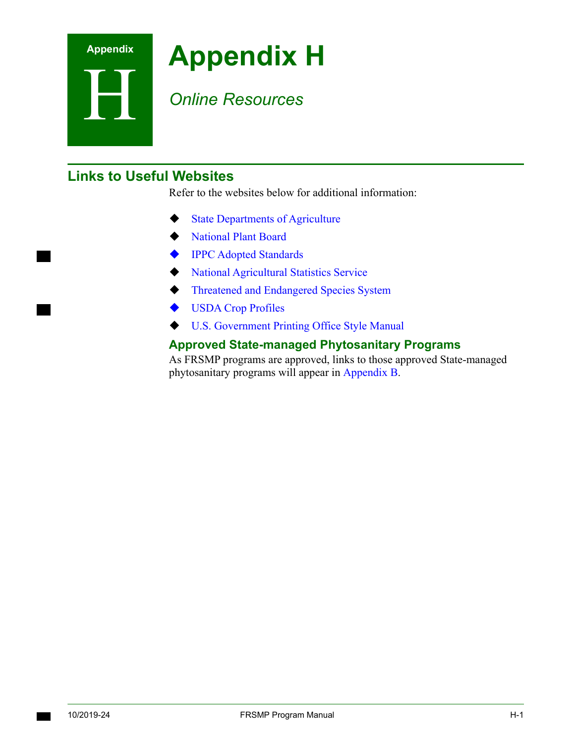# H **Appendix H**

# *Online Resources*

# **Links to Useful Websites**

**Appendix**

Refer to the websites below for additional information:

- [State Departments of Agriculture](http://nationalplantboard.org/membership/)
- [National Plant Board](http://www.nationalplantboard.org/)
- [IPPC Adopted Standards](https://www.ippc.int/en/core-activities/standards-setting/ispms/#publications)
- [National Agricultural Statistics Service](http://www.nass.usda.gov/)
- [Threatened and Endangered Species System](http://www.fws.gov/endangered/)
- ◆ USDA Crop Profiles
- [U.S. Government Printing Office Style Manual](http://www.gpo.gov/fdsys/search/pagedetails.action?granuleId=&packageId=GPO-STYLEMANUAL-2008&fromBrowse=true)

### **Approved State-managed Phytosanitary Programs**

As FRSMP programs are approved, links to those approved State-managed phytosanitary programs will appear in [Appendix B.](#page-56-0)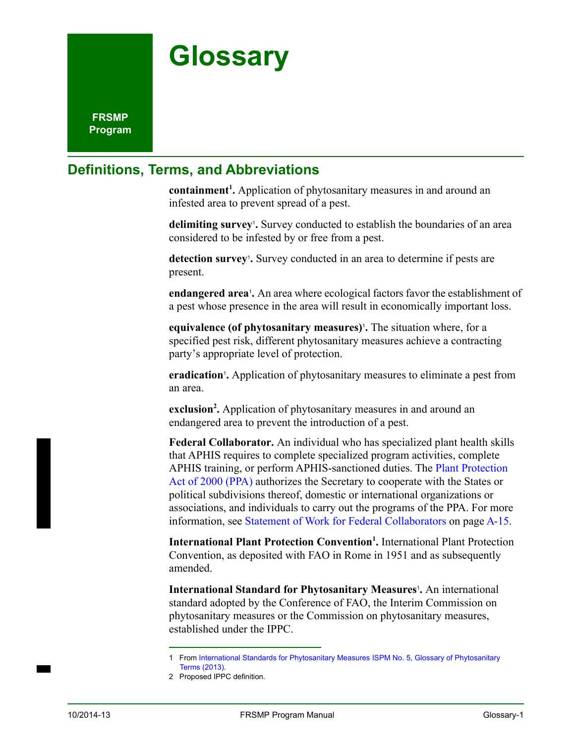

**FRSMP Program** 

# **Definitions, Terms, and Abbreviations**

containment<sup>1</sup>. Application of phytosanitary measures in and around an infested area to prevent spread of a pest.

delimiting survey<sup>[1](#page-92-0)</sup>. Survey conducted to establish the boundaries of an area considered to be infested by or free from a pest.

detection survey<sup>[1](#page-92-0)</sup>. Survey conducted in an area to determine if pests are present.

**endangered area**[1](#page-92-0) **.** An area where ecological factors favor the establishment of a pest whose presence in the area will result in economically important loss.

**equivalence (of phytosanitary measures)**[1](#page-92-0) **.** The situation where, for a specified pest risk, different phytosanitary measures achieve a contracting party's appropriate level of protection.

**eradication**[1](#page-92-0) **.** Application of phytosanitary measures to eliminate a pest from an area.

exclusion<sup>2</sup>. Application of phytosanitary measures in and around an endangered area to prevent the introduction of a pest.

**Federal Collaborator.** An individual who has specialized plant health skills that APHIS requires to complete specialized program activities, complete APHIS training, or perform APHIS-sanctioned duties. The [Plant Protection](http://www.aphis.usda.gov/brs/pdf/PlantProtAct2000.pdf)  [Act of 2000 \(PPA\)](http://www.aphis.usda.gov/brs/pdf/PlantProtAct2000.pdf) authorizes the Secretary to cooperate with the States or political subdivisions thereof, domestic or international organizations or associations, and individuals to carry out the programs of the PPA. For more information, see [Statement of Work for Federal Collaborators on page A-15](#page-52-0).

**International Plant Protection Convention<sup>1</sup>.** International Plant Protection Convention, as deposited with FAO in Rome in 1951 and as subsequently amended.

**International Standard for Phytosanitary Measures**[1](#page-92-0) **.** An international standard adopted by the Conference of FAO, the Interim Commission on phytosanitary measures or the Commission on phytosanitary measures, established under the IPPC.

<span id="page-92-1"></span><span id="page-92-0"></span><sup>1</sup> From [International Standards for Phytosanitary Measures ISPM No. 5, Glossary of Phytosanitary](https://www.ippc.int/publications/glossary-phytosanitary-terms)  [Terms \(2013\).](https://www.ippc.int/publications/glossary-phytosanitary-terms)

<sup>2</sup> Proposed IPPC definition.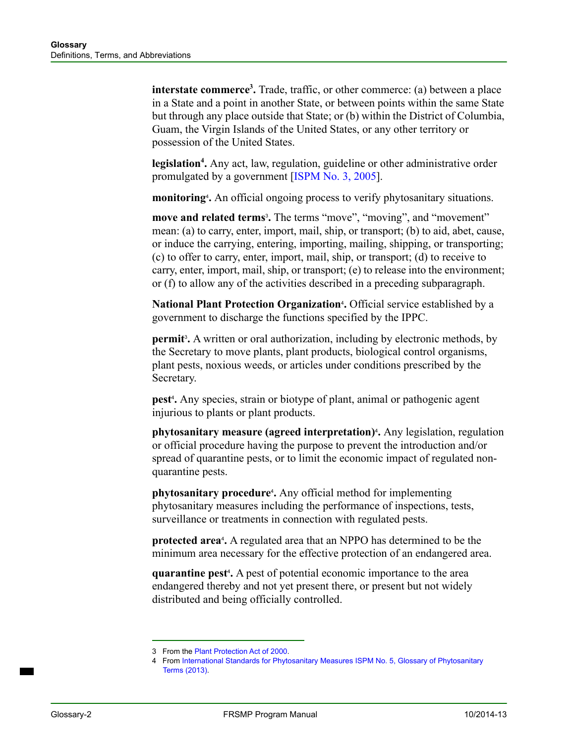**interstate commerce<sup>3</sup>.** Trade, traffic, or other commerce: (a) between a place in a State and a point in another State, or between points within the same State but through any place outside that State; or (b) within the District of Columbia, Guam, the Virgin Islands of the United States, or any other territory or possession of the United States.

<span id="page-93-2"></span>**legislation4 .** Any act, law, regulation, guideline or other administrative order promulgated by a government [\[ISPM No. 3, 2005\]](https://www.ippc.int/publications/guidelines-export-shipment-import-and-release-biological-control-agents-and-other).

**monitoring**[4](#page-93-0) **.** An official ongoing process to verify phytosanitary situations.

move and related terms<sup>[3](#page-93-1)</sup>. The terms "move", "moving", and "movement" mean: (a) to carry, enter, import, mail, ship, or transport; (b) to aid, abet, cause, or induce the carrying, entering, importing, mailing, shipping, or transporting; (c) to offer to carry, enter, import, mail, ship, or transport; (d) to receive to carry, enter, import, mail, ship, or transport; (e) to release into the environment; or (f) to allow any of the activities described in a preceding subparagraph.

National Plant Protection Organization<sup>[4](#page-93-0)</sup>. Official service established by a government to discharge the functions specified by the IPPC.

**permit**[3](#page-93-1) **.** A written or oral authorization, including by electronic methods, by the Secretary to move plants, plant products, biological control organisms, plant pests, noxious weeds, or articles under conditions prescribed by the Secretary.

**pest**[4](#page-93-0) **.** Any species, strain or biotype of plant, animal or pathogenic agent injurious to plants or plant products.

**phytosanitary measure (agreed interpretation)**[4](#page-93-0) **.** Any legislation, regulation or official procedure having the purpose to prevent the introduction and/or spread of quarantine pests, or to limit the economic impact of regulated nonquarantine pests.

**phytosanitary procedure**[4](#page-93-0) **.** Any official method for implementing phytosanitary measures including the performance of inspections, tests, surveillance or treatments in connection with regulated pests.

**protected area**[4](#page-93-0) **.** A regulated area that an NPPO has determined to be the minimum area necessary for the effective protection of an endangered area.

quarantine pest<sup>[4](#page-93-0)</sup>. A pest of potential economic importance to the area endangered thereby and not yet present there, or present but not widely distributed and being officially controlled.

<span id="page-93-3"></span><span id="page-93-1"></span><sup>3</sup> From the [Plant Protection Act of 2000](http://www.aphis.usda.gov/brs/pdf/PlantProtAct2000.pdf).

<span id="page-93-0"></span><sup>4</sup> From [International Standards for Phytosanitary Measures ISPM No. 5, Glossary of Phytosanitary](https://www.ippc.int/sites/default/files/documents/20140214/ispm_05_en_2014-02-14cpm-8_201402141055--559.25%20KB.pdf)  [Terms \(2013\).](https://www.ippc.int/sites/default/files/documents/20140214/ispm_05_en_2014-02-14cpm-8_201402141055--559.25%20KB.pdf)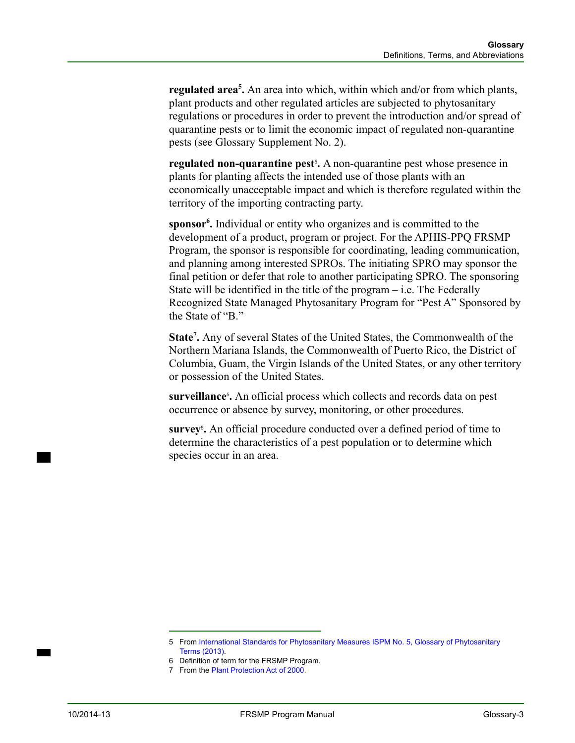**regulated area<sup>5</sup>**. An area into which, within which and/or from which plants, plant products and other regulated articles are subjected to phytosanitary regulations or procedures in order to prevent the introduction and/or spread of quarantine pests or to limit the economic impact of regulated non-quarantine pests (see Glossary Supplement No. 2).

**regulated non-quarantine pest<sup>[5](#page-94-0)</sup>.** A non-quarantine pest whose presence in plants for planting affects the intended use of those plants with an economically unacceptable impact and which is therefore regulated within the territory of the importing contracting party.

**sponsor6 .** Individual or entity who organizes and is committed to the development of a product, program or project. For the APHIS-PPQ FRSMP Program, the sponsor is responsible for coordinating, leading communication, and planning among interested SPROs. The initiating SPRO may sponsor the final petition or defer that role to another participating SPRO. The sponsoring State will be identified in the title of the program – i.e. The Federally Recognized State Managed Phytosanitary Program for "Pest A" Sponsored by the State of "B."

**State7 .** Any of several States of the United States, the Commonwealth of the Northern Mariana Islands, the Commonwealth of Puerto Rico, the District of Columbia, Guam, the Virgin Islands of the United States, or any other territory or possession of the United States.

**surveillance**[5](#page-94-0) **.** An official process which collects and records data on pest occurrence or absence by survey, monitoring, or other procedures.

**survey**[5](#page-94-0) **.** An official procedure conducted over a defined period of time to determine the characteristics of a pest population or to determine which species occur in an area.

<span id="page-94-1"></span><span id="page-94-0"></span><sup>5</sup> From [International Standards for Phytosanitary Measures ISPM No. 5, Glossary of Phytosanitary](https://www.ippc.int/publications/glossary-phytosanitary-terms)  [Terms \(2013\).](https://www.ippc.int/publications/glossary-phytosanitary-terms)

<sup>6</sup> Definition of term for the FRSMP Program.

<sup>7</sup> From the [Plant Protection Act of 2000](http://www.aphis.usda.gov/brs/pdf/PlantProtAct2000.pdf).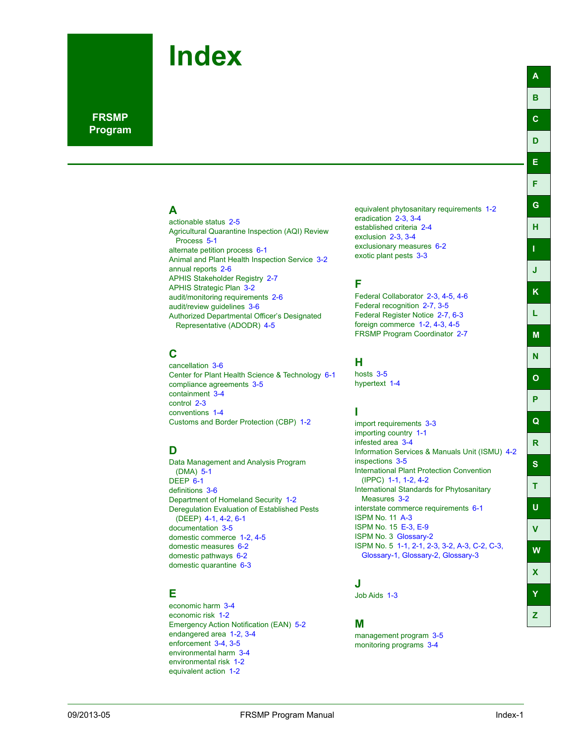#### **FRSMP Program**

#### <span id="page-96-0"></span>**A**

actionable status [2-5](#page-16-0) Agricultural Quarantine Inspection (AQI) Review Process [5-1](#page-32-0) alternate petition process [6-1](#page-34-0) Animal and Plant Health Inspection Service [3-2](#page-21-0) annual reports [2-6](#page-17-0) APHIS Stakeholder Registry [2-7](#page-18-0) APHIS Strategic Plan [3-2](#page-21-1) audit/monitoring requirements [2-6](#page-17-1) audit/review guidelines [3-6](#page-25-0) Authorized Departmental Officer's Designated Representative (ADODR) [4-5](#page-30-0)

# <span id="page-96-1"></span>**C**

cancellation [3-6](#page-25-1) Center for Plant Health Science & Technology [6-1](#page-34-1) compliance agreements [3-5](#page-24-0) containment [3-4](#page-23-0) control [2-3](#page-14-0) conventions [1-4](#page-11-0) Customs and Border Protection (CBP) [1-2](#page-9-0)

# <span id="page-96-2"></span>**D**

Data Management and Analysis Program (DMA) [5-1](#page-32-1) DEEP [6-1](#page-34-2) definitions [3-6](#page-25-2) Department of Homeland Security [1-2](#page-9-1) Deregulation Evaluation of Established Pests (DEEP) [4-1,](#page-26-0) [4-2,](#page-27-0) [6-1](#page-34-3) documentation [3-5](#page-24-1) domestic commerce [1-2,](#page-9-2) [4-5](#page-30-1) domestic measures [6-2](#page-35-0) domestic pathways [6-2](#page-35-1) domestic quarantine [6-3](#page-36-0)

# <span id="page-96-3"></span>**E**

economic harm [3-4](#page-23-1) economic risk [1-2](#page-9-3) Emergency Action Notification (EAN) [5-2](#page-33-0) endangered area [1-2,](#page-9-4) [3-4](#page-23-2) enforcement [3-4,](#page-23-3) [3-5](#page-24-2) environmental harm [3-4](#page-23-4) environmental risk [1-2](#page-9-5) equivalent action [1-2](#page-9-6)

equivalent phytosanitary requirements [1-2](#page-9-7) eradication [2-3,](#page-14-1) [3-4](#page-23-5) established criteria [2-4](#page-15-0) exclusion [2-3,](#page-14-2) [3-4](#page-23-6) exclusionary measures [6-2](#page-35-2) exotic plant pests [3-3](#page-22-0)

**[A](#page-96-0)**

**[B](#page-96-1)**

**[C](#page-96-1)**

**[D](#page-96-2)**

**[E](#page-96-3)**

**[F](#page-96-4)**

**[G](#page-96-5)**

**[H](#page-96-5)**

**[I](#page-96-6)**

**[J](#page-96-7)**

**[K](#page-96-8)**

**[L](#page-96-8)**

**[M](#page-96-8)**

**[N](#page-97-0)**

**[O](#page-97-1)**

**[P](#page-97-2)**

**[Q](#page-97-3)**

**[R](#page-97-4)**

**[S](#page-97-5)**

**[T](#page-97-6)**

**[U](#page-97-7)**

**[V](#page-97-7)**

**[W](#page-97-7)**

**X**

**Y**

**Z**

#### <span id="page-96-4"></span>**F**

Federal Collaborator [2-3,](#page-14-3) [4-5,](#page-30-2) [4-6](#page-31-0) Federal recognition [2-7,](#page-18-1) [3-5](#page-24-3) Federal Register Notice [2-7,](#page-18-2) [6-3](#page-36-1) foreign commerce [1-2,](#page-9-8) [4-3,](#page-28-0) [4-5](#page-30-3) FRSMP Program Coordinator [2-7](#page-18-3)

#### <span id="page-96-5"></span>**H**

hosts [3-5](#page-24-4) hypertext [1-4](#page-11-1)

#### <span id="page-96-6"></span>**I**

import requirements [3-3](#page-22-1) importing country [1-1](#page-8-0) infested area [3-4](#page-23-7) Information Services & Manuals Unit (ISMU) [4-2](#page-27-1) inspections [3-5](#page-24-5) International Plant Protection Convention (IPPC) [1-1,](#page-8-1) [1-2,](#page-9-9) [4-2](#page-27-2) International Standards for Phytosanitary Measures [3-2](#page-21-2) interstate commerce requirements [6-1](#page-34-4) ISPM No. 11 [A-3](#page-40-0) ISPM No. 15 [E-3,](#page-72-0) [E-9](#page-78-0) ISPM No. 3 [Glossary-2](#page-93-2) ISPM No. 5 [1-1,](#page-8-2) [2-1,](#page-12-0) [2-3,](#page-14-4) [3-2,](#page-21-3) [A-3,](#page-40-1) [C-2,](#page-59-0) [C-3,](#page-60-0)  [Glossary-1,](#page-92-1) [Glossary-2,](#page-93-3) [Glossary-3](#page-94-1)

#### <span id="page-96-7"></span>**J**

Job Aids [1-3](#page-10-0)

#### <span id="page-96-8"></span>**M**

management program [3-5](#page-24-6) monitoring programs [3-4](#page-23-8)